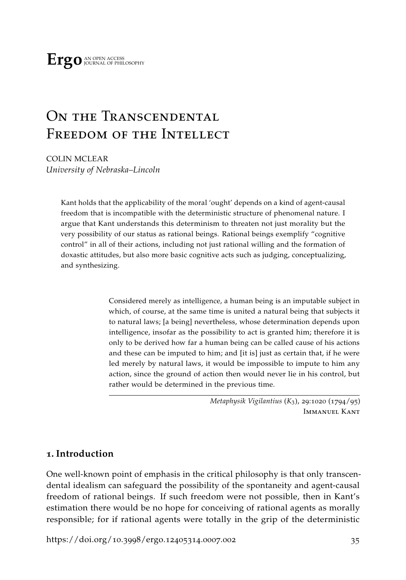# ON THE TRANSCENDENTAL Freedom of the Intellect

COLIN MCLEAR *University of Nebraska–Lincoln*

> Kant holds that the applicability of the moral 'ought' depends on a kind of agent-causal freedom that is incompatible with the deterministic structure of phenomenal nature. I argue that Kant understands this determinism to threaten not just morality but the very possibility of our status as rational beings. Rational beings exemplify "cognitive control" in all of their actions, including not just rational willing and the formation of doxastic attitudes, but also more basic cognitive acts such as judging, conceptualizing, and synthesizing.

> > Considered merely as intelligence, a human being is an imputable subject in which, of course, at the same time is united a natural being that subjects it to natural laws; [a being] nevertheless, whose determination depends upon intelligence, insofar as the possibility to act is granted him; therefore it is only to be derived how far a human being can be called cause of his actions and these can be imputed to him; and [it is] just as certain that, if he were led merely by natural laws, it would be impossible to impute to him any action, since the ground of action then would never lie in his control, but rather would be determined in the previous time.

> > > *Metaphysik Vigilantius* (*K*3), 29:1020 (1794/95) Immanuel Kant

## **1. Introduction**

One well-known point of emphasis in the critical philosophy is that only transcendental idealism can safeguard the possibility of the spontaneity and agent-causal freedom of rational beings. If such freedom were not possible, then in Kant's estimation there would be no hope for conceiving of rational agents as morally responsible; for if rational agents were totally in the grip of the deterministic

[https://doi.org/](https://doi.org/10.3998/ergo.12405314.0007.002)10.3998/ergo.12405314.0007.002 35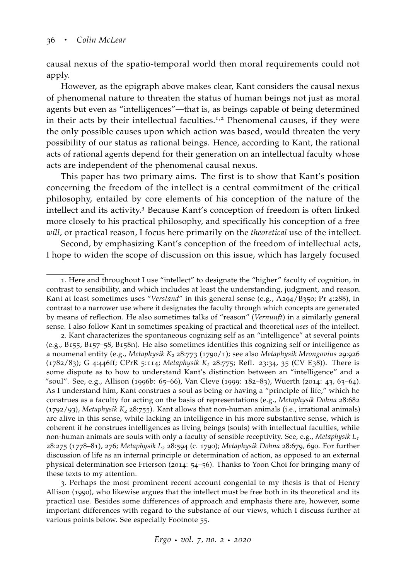causal nexus of the spatio-temporal world then moral requirements could not apply.

However, as the epigraph above makes clear, Kant considers the causal nexus of phenomenal nature to threaten the status of human beings not just as moral agents but even as "intelligences"—that is, as beings capable of being determined in their acts by their intellectual faculties.<sup>1,2</sup> Phenomenal causes, if they were the only possible causes upon which action was based, would threaten the very possibility of our status as rational beings. Hence, according to Kant, the rational acts of rational agents depend for their generation on an intellectual faculty whose acts are independent of the phenomenal causal nexus.

This paper has two primary aims. The first is to show that Kant's position concerning the freedom of the intellect is a central commitment of the critical philosophy, entailed by core elements of his conception of the nature of the intellect and its activity.<sup>3</sup> Because Kant's conception of freedom is often linked more closely to his practical philosophy, and specifically his conception of a free *will*, or practical reason, I focus here primarily on the *theoretical* use of the intellect.

Second, by emphasizing Kant's conception of the freedom of intellectual acts, I hope to widen the scope of discussion on this issue, which has largely focused

<sup>1</sup>. Here and throughout I use "intellect" to designate the "higher" faculty of cognition, in contrast to sensibility, and which includes at least the understanding, judgment, and reason. Kant at least sometimes uses "*Verstand*" in this general sense (e.g., A294/B350; Pr 4:288), in contrast to a narrower use where it designates the faculty through which concepts are generated by means of reflection. He also sometimes talks of "reason" (*Vernunft*) in a similarly general sense. I also follow Kant in sometimes speaking of practical and theoretical *uses* of the intellect.

<sup>2</sup>. Kant characterizes the spontaneous cognizing self as an "intelligence" at several points (e.g., B155, B157–58, B158n). He also sometimes identifies this cognizing self or intelligence as a noumenal entity (e.g., *Metaphysik K<sup>2</sup>* 28:773 (1790/1); see also *Metaphysik Mrongovius* 29:926 (1782/83); G 4:446ff; CPrR 5:114; *Metaphysik K<sup>2</sup>* 28:775; Refl. 23:34, 35 (CV E38)). There is some dispute as to how to understand Kant's distinction between an "intelligence" and a "soul". See, e.g., [Allison](#page-60-0) ([1996](#page-60-0)b: 65–66), [Van Cleve](#page-68-0) ([1999](#page-68-0): 182–83), [Wuerth](#page-69-0) ([2014](#page-69-0): 43, 63–64). As I understand him, Kant construes a soul as being or having a "principle of life," which he construes as a faculty for acting on the basis of representations (e.g., *Metaphysik Dohna* 28:682 (1792/93), *Metaphysik K<sup>2</sup>* 28:755). Kant allows that non-human animals (i.e., irrational animals) are alive in this sense, while lacking an intelligence in his more substantive sense, which is coherent if he construes intelligences as living beings (souls) with intellectual faculties, while non-human animals are souls with only a faculty of sensible receptivity. See, e.g., *Metaphysik L1* 28:275 (1778–81), 276; *Metaphysik L<sup>2</sup>* 28:594 (c. 1790); *Metaphysik Dohna* 28:679, 690. For further discussion of life as an internal principle or determination of action, as opposed to an external physical determination see [Frierson](#page-62-0) ([2014](#page-62-0): 54–56). Thanks to Yoon Choi for bringing many of these texts to my attention.

<sup>3</sup>. Perhaps the most prominent recent account congenial to my thesis is that of Henry Allison ([1990](#page-60-1)), who likewise argues that the intellect must be free both in its theoretical and its practical use. Besides some differences of approach and emphasis there are, however, some important differences with regard to the substance of our views, which I discuss further at various points below. See especially Footnote 55.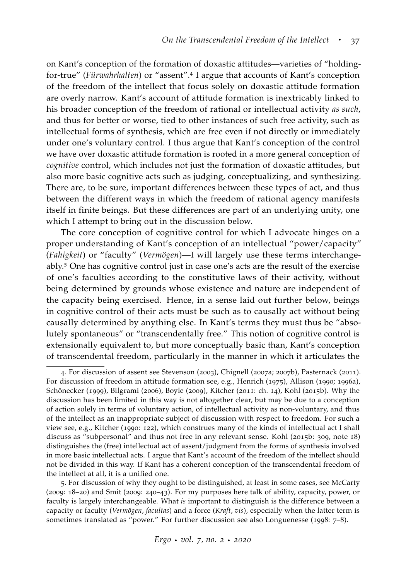on Kant's conception of the formation of doxastic attitudes—varieties of "holdingfor-true" (*Fürwahrhalten*) or "assent".<sup>4</sup> I argue that accounts of Kant's conception of the freedom of the intellect that focus solely on doxastic attitude formation are overly narrow. Kant's account of attitude formation is inextricably linked to his broader conception of the freedom of rational or intellectual activity *as such*, and thus for better or worse, tied to other instances of such free activity, such as intellectual forms of synthesis, which are free even if not directly or immediately under one's voluntary control. I thus argue that Kant's conception of the control we have over doxastic attitude formation is rooted in a more general conception of *cognitive* control, which includes not just the formation of doxastic attitudes, but also more basic cognitive acts such as judging, conceptualizing, and synthesizing. There are, to be sure, important differences between these types of act, and thus between the different ways in which the freedom of rational agency manifests itself in finite beings. But these differences are part of an underlying unity, one which I attempt to bring out in the discussion below.

The core conception of cognitive control for which I advocate hinges on a proper understanding of Kant's conception of an intellectual "power/capacity" (*Fahigkeit*) or "faculty" (*Vermögen*)—I will largely use these terms interchangeably.<sup>5</sup> One has cognitive control just in case one's acts are the result of the exercise of one's faculties according to the constitutive laws of their activity, without being determined by grounds whose existence and nature are independent of the capacity being exercised. Hence, in a sense laid out further below, beings in cognitive control of their acts must be such as to causally act without being causally determined by anything else. In Kant's terms they must thus be "absolutely spontaneous" or "transcendentally free." This notion of cognitive control is extensionally equivalent to, but more conceptually basic than, Kant's conception of transcendental freedom, particularly in the manner in which it articulates the

<sup>4</sup>. For discussion of assent see [Stevenson](#page-68-1) ([2003](#page-68-1)), [Chignell](#page-62-1) ([2007](#page-62-1)a; [2007](#page-62-2)b), [Pasternack](#page-66-0) ([2011](#page-66-0)). For discussion of freedom in attitude formation see, e.g., [Henrich](#page-63-0) ([1975](#page-63-0)), [Allison](#page-60-1) ([1990](#page-60-1); [1996](#page-60-2)a), [Schönecker](#page-67-0) ([1999](#page-67-0)), [Bilgrami](#page-61-0) ([2006](#page-61-0)), [Boyle](#page-61-1) ([2009](#page-61-1)), [Kitcher](#page-63-1) ([2011](#page-63-1): ch. 14), [Kohl](#page-64-0) ([2015](#page-64-0)b). Why the discussion has been limited in this way is not altogether clear, but may be due to a conception of action solely in terms of voluntary action, of intellectual activity as non-voluntary, and thus of the intellect as an inappropriate subject of discussion with respect to freedom. For such a view see, e.g., [Kitcher](#page-63-2) ([1990](#page-63-2): 122), which construes many of the kinds of intellectual act I shall discuss as "subpersonal" and thus not free in any relevant sense. Kohl ([2015](#page-64-0)b: 309, note 18) distinguishes the (free) intellectual act of assent/judgment from the forms of synthesis involved in more basic intellectual acts. I argue that Kant's account of the freedom of the intellect should not be divided in this way. If Kant has a coherent conception of the transcendental freedom of the intellect at all, it is a unified one.

<sup>5</sup>. For discussion of why they ought to be distinguished, at least in some cases, see [McCarty](#page-64-1) ([2009](#page-64-1): 18–20) and [Smit](#page-67-1) ([2009](#page-67-1): 240–43). For my purposes here talk of ability, capacity, power, or faculty is largely interchangeable. What *is* important to distinguish is the difference between a capacity or faculty (*Vermögen*, *facultas*) and a force (*Kraft*, *vis*), especially when the latter term is sometimes translated as "power." For further discussion see also [Longuenesse](#page-64-2) ([1998](#page-64-2): 7–8).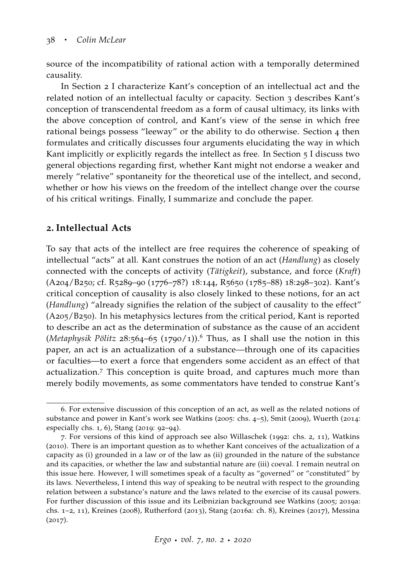source of the incompatibility of rational action with a temporally determined causality.

In Section 2 I characterize Kant's conception of an intellectual act and the related notion of an intellectual faculty or capacity. Section 3 describes Kant's conception of transcendental freedom as a form of causal ultimacy, its links with the above conception of control, and Kant's view of the sense in which free rational beings possess "leeway" or the ability to do otherwise. Section 4 then formulates and critically discusses four arguments elucidating the way in which Kant implicitly or explicitly regards the intellect as free. In Section 5 I discuss two general objections regarding first, whether Kant might not endorse a weaker and merely "relative" spontaneity for the theoretical use of the intellect, and second, whether or how his views on the freedom of the intellect change over the course of his critical writings. Finally, I summarize and conclude the paper.

# **2. Intellectual Acts**

To say that acts of the intellect are free requires the coherence of speaking of intellectual "acts" at all. Kant construes the notion of an act (*Handlung*) as closely connected with the concepts of activity (*Tätigkeit*), substance, and force (*Kraft*) (A204/B250; cf. R5289–90 (1776–78?) 18:144, R5650 (1785–88) 18:298–302). Kant's critical conception of causality is also closely linked to these notions, for an act (*Handlung*) "already signifies the relation of the subject of causality to the effect" (A205/B250). In his metaphysics lectures from the critical period, Kant is reported to describe an act as the determination of substance as the cause of an accident (*Metaphysik Pölitz* 28:564–65 (1790/1)).<sup>6</sup> Thus, as I shall use the notion in this paper, an act is an actualization of a substance—through one of its capacities or faculties—to exert a force that engenders some accident as an effect of that actualization.<sup>7</sup> This conception is quite broad, and captures much more than merely bodily movements, as some commentators have tended to construe Kant's

<sup>6</sup>. For extensive discussion of this conception of an act, as well as the related notions of substance and power in Kant's work see [Watkins](#page-68-2) ([2005](#page-68-2): chs. 4–5), [Smit](#page-67-1) ([2009](#page-67-1)), [Wuerth](#page-69-0) ([2014](#page-69-0): especially chs. 1, 6), [Stang](#page-67-2) ([2019](#page-67-2): 92–94).

<sup>7</sup>. For versions of this kind of approach see also [Willaschek](#page-69-1) ([1992](#page-69-1): chs. 2, 11), [Watkins](#page-68-3) ([2010](#page-68-3)). There is an important question as to whether Kant conceives of the actualization of a capacity as (i) grounded in a law or of the law as (ii) grounded in the nature of the substance and its capacities, or whether the law and substantial nature are (iii) coeval. I remain neutral on this issue here. However, I will sometimes speak of a faculty as "governed" or "constituted" by its laws. Nevertheless, I intend this way of speaking to be neutral with respect to the grounding relation between a substance's nature and the laws related to the exercise of its causal powers. For further discussion of this issue and its Leibnizian background see [Watkins](#page-68-2) ([2005](#page-68-2); [2019](#page-68-4)a: chs. 1–2, 11), [Kreines](#page-64-3) ([2008](#page-64-3)), [Rutherford](#page-66-1) ([2013](#page-66-1)), [Stang](#page-67-3) ([2016](#page-67-3)a: ch. 8), [Kreines](#page-64-4) ([2017](#page-64-4)), [Messina](#page-65-0)  $(2017).$  $(2017).$  $(2017).$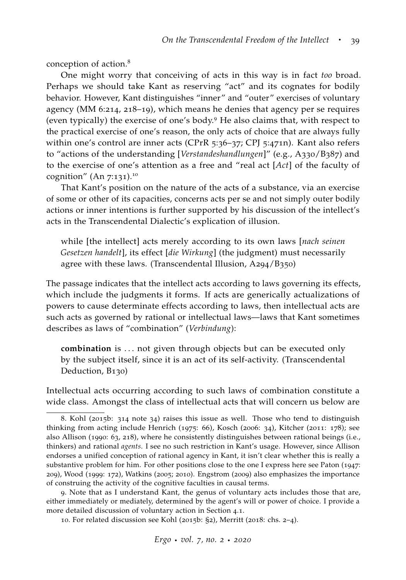conception of action.<sup>8</sup>

One might worry that conceiving of acts in this way is in fact *too* broad. Perhaps we should take Kant as reserving "act" and its cognates for bodily behavior. However, Kant distinguishes "inner" and "outer" exercises of voluntary agency (MM 6:214, 218–19), which means he denies that agency per se requires (even typically) the exercise of one's body.<sup>9</sup> He also claims that, with respect to the practical exercise of one's reason, the only acts of choice that are always fully within one's control are inner acts (CPrR 5:36-37; CPJ 5:471n). Kant also refers to "actions of the understanding [*Verstandeshandlungen*]" (e.g., A330/B387) and to the exercise of one's attention as a free and "real act [*Act*] of the faculty of cognition" (An  $7:131$ ).<sup>10</sup>

That Kant's position on the nature of the acts of a substance, via an exercise of some or other of its capacities, concerns acts per se and not simply outer bodily actions or inner intentions is further supported by his discussion of the intellect's acts in the Transcendental Dialectic's explication of illusion.

while [the intellect] acts merely according to its own laws [*nach seinen Gesetzen handelt*], its effect [*die Wirkung*] (the judgment) must necessarily agree with these laws. (Transcendental Illusion, A294/B350)

The passage indicates that the intellect acts according to laws governing its effects, which include the judgments it forms. If acts are generically actualizations of powers to cause determinate effects according to laws, then intellectual acts are such acts as governed by rational or intellectual laws—laws that Kant sometimes describes as laws of "combination" (*Verbindung*):

combination is ... not given through objects but can be executed only by the subject itself, since it is an act of its self-activity. (Transcendental Deduction, B130)

Intellectual acts occurring according to such laws of combination constitute a wide class. Amongst the class of intellectual acts that will concern us below are

<sup>8</sup>. Kohl ([2015](#page-64-0)b: 314 note 34) raises this issue as well. Those who tend to distinguish thinking from acting include [Henrich](#page-63-0) ([1975](#page-63-0): 66), [Kosch](#page-64-5) ([2006](#page-64-5): 34), [Kitcher](#page-63-1) ([2011](#page-63-1): 178); see also [Allison](#page-60-1) ([1990](#page-60-1): 63, 218), where he consistently distinguishes between rational beings (i.e., thinkers) and rational *agents*. I see no such restriction in Kant's usage. However, since Allison endorses a unified conception of rational agency in Kant, it isn't clear whether this is really a substantive problem for him. For other positions close to the one I express here see [Paton](#page-66-2) ([1947](#page-66-2): 209), [Wood](#page-69-2) ([1999](#page-69-2): 172), [Watkins](#page-68-2) ([2005](#page-68-2); [2010](#page-68-3)). Engstrom ([2009](#page-62-3)) also emphasizes the importance of construing the activity of the cognitive faculties in causal terms.

<sup>9</sup>. Note that as I understand Kant, the genus of voluntary acts includes those that are, either immediately or mediately, determined by the agent's will or power of choice. I provide a more detailed discussion of voluntary action in Section 4.1.

<sup>10</sup>. For related discussion see [Kohl](#page-64-0) ([2015](#page-64-0)b: §2), [Merritt](#page-65-1) ([2018](#page-65-1): chs. 2–4).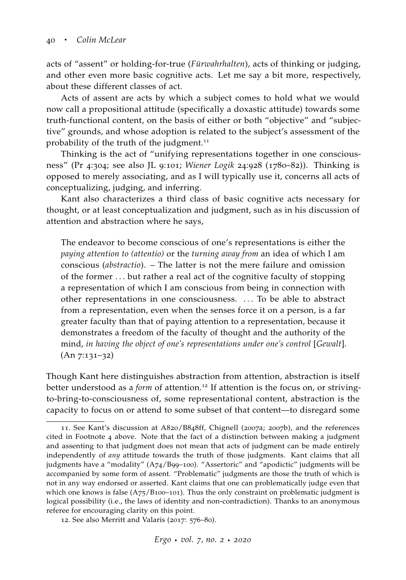acts of "assent" or holding-for-true (*Fürwahrhalten*), acts of thinking or judging, and other even more basic cognitive acts. Let me say a bit more, respectively, about these different classes of act.

Acts of assent are acts by which a subject comes to hold what we would now call a propositional attitude (specifically a doxastic attitude) towards some truth-functional content, on the basis of either or both "objective" and "subjective" grounds, and whose adoption is related to the subject's assessment of the probability of the truth of the judgment.<sup>11</sup>

Thinking is the act of "unifying representations together in one consciousness" (Pr 4:304; see also JL 9:101; *Wiener Logik* 24:928 (1780–82)). Thinking is opposed to merely associating, and as I will typically use it, concerns all acts of conceptualizing, judging, and inferring.

Kant also characterizes a third class of basic cognitive acts necessary for thought, or at least conceptualization and judgment, such as in his discussion of attention and abstraction where he says,

The endeavor to become conscious of one's representations is either the *paying attention to (attentio)* or the *turning away from* an idea of which I am conscious (*abstractio*). – The latter is not the mere failure and omission of the former . . . but rather a real act of the cognitive faculty of stopping a representation of which I am conscious from being in connection with other representations in one consciousness. . . . To be able to abstract from a representation, even when the senses force it on a person, is a far greater faculty than that of paying attention to a representation, because it demonstrates a freedom of the faculty of thought and the authority of the mind, *in having the object of one's representations under one's control* [*Gewalt*]. (An 7:131–32)

Though Kant here distinguishes abstraction from attention, abstraction is itself better understood as a *form* of attention.<sup>12</sup> If attention is the focus on, or strivingto-bring-to-consciousness of, some representational content, abstraction is the capacity to focus on or attend to some subset of that content—to disregard some

<sup>11</sup>. See Kant's discussion at A820/B848ff, [Chignell](#page-62-1) ([2007](#page-62-1)a; [2007](#page-62-2)b), and the references cited in Footnote 4 above. Note that the fact of a distinction between making a judgment and assenting to that judgment does not mean that acts of judgment can be made entirely independently of *any* attitude towards the truth of those judgments. Kant claims that all judgments have a "modality" (A74/B99–100). "Assertoric" and "apodictic" judgments will be accompanied by some form of assent. "Problematic" judgments are those the truth of which is not in any way endorsed or asserted. Kant claims that one can problematically judge even that which one knows is false  $(A75/B100-101)$ . Thus the only constraint on problematic judgment is logical possibility (i.e., the laws of identity and non-contradiction). Thanks to an anonymous referee for encouraging clarity on this point.

<sup>12</sup>. See also [Merritt and Valaris](#page-65-2) ([2017](#page-65-2): 576–80).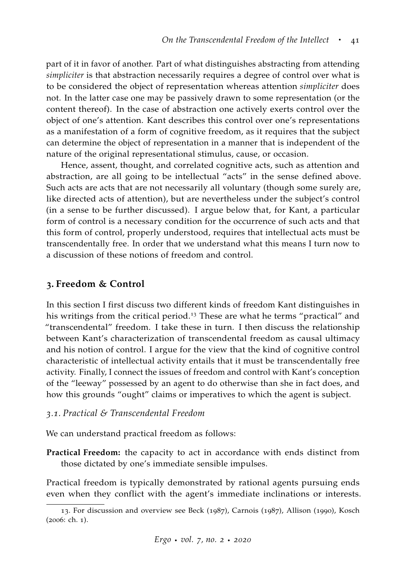part of it in favor of another. Part of what distinguishes abstracting from attending *simpliciter* is that abstraction necessarily requires a degree of control over what is to be considered the object of representation whereas attention *simpliciter* does not. In the latter case one may be passively drawn to some representation (or the content thereof). In the case of abstraction one actively exerts control over the object of one's attention. Kant describes this control over one's representations as a manifestation of a form of cognitive freedom, as it requires that the subject can determine the object of representation in a manner that is independent of the nature of the original representational stimulus, cause, or occasion.

Hence, assent, thought, and correlated cognitive acts, such as attention and abstraction, are all going to be intellectual "acts" in the sense defined above. Such acts are acts that are not necessarily all voluntary (though some surely are, like directed acts of attention), but are nevertheless under the subject's control (in a sense to be further discussed). I argue below that, for Kant, a particular form of control is a necessary condition for the occurrence of such acts and that this form of control, properly understood, requires that intellectual acts must be transcendentally free. In order that we understand what this means I turn now to a discussion of these notions of freedom and control.

## **3. Freedom & Control**

In this section I first discuss two different kinds of freedom Kant distinguishes in his writings from the critical period.<sup>13</sup> These are what he terms "practical" and "transcendental" freedom. I take these in turn. I then discuss the relationship between Kant's characterization of transcendental freedom as causal ultimacy and his notion of control. I argue for the view that the kind of cognitive control characteristic of intellectual activity entails that it must be transcendentally free activity. Finally, I connect the issues of freedom and control with Kant's conception of the "leeway" possessed by an agent to do otherwise than she in fact does, and how this grounds "ought" claims or imperatives to which the agent is subject.

#### *3.1. Practical & Transcendental Freedom*

We can understand practical freedom as follows:

**Practical Freedom:** the capacity to act in accordance with ends distinct from those dictated by one's immediate sensible impulses.

Practical freedom is typically demonstrated by rational agents pursuing ends even when they conflict with the agent's immediate inclinations or interests.

<sup>13</sup>. For discussion and overview see [Beck](#page-61-2) ([1987](#page-61-2)), [Carnois](#page-62-4) ([1987](#page-62-4)), [Allison](#page-60-1) ([1990](#page-60-1)), [Kosch](#page-64-5) ([2006](#page-64-5): ch. 1).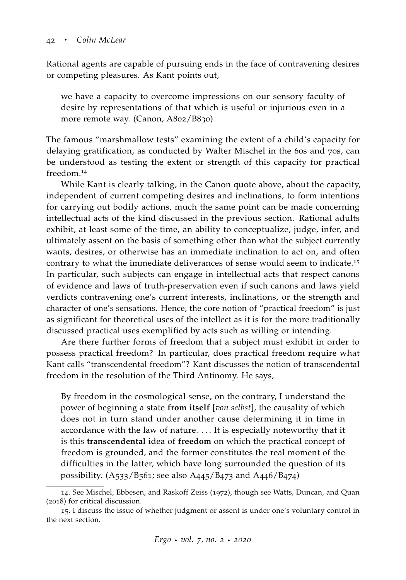Rational agents are capable of pursuing ends in the face of contravening desires or competing pleasures. As Kant points out,

we have a capacity to overcome impressions on our sensory faculty of desire by representations of that which is useful or injurious even in a more remote way. (Canon, A802/B830)

The famous "marshmallow tests" examining the extent of a child's capacity for delaying gratification, as conducted by Walter Mischel in the 60s and 70s, can be understood as testing the extent or strength of this capacity for practical freedom.<sup>14</sup>

While Kant is clearly talking, in the Canon quote above, about the capacity, independent of current competing desires and inclinations, to form intentions for carrying out bodily actions, much the same point can be made concerning intellectual acts of the kind discussed in the previous section. Rational adults exhibit, at least some of the time, an ability to conceptualize, judge, infer, and ultimately assent on the basis of something other than what the subject currently wants, desires, or otherwise has an immediate inclination to act on, and often contrary to what the immediate deliverances of sense would seem to indicate.<sup>15</sup> In particular, such subjects can engage in intellectual acts that respect canons of evidence and laws of truth-preservation even if such canons and laws yield verdicts contravening one's current interests, inclinations, or the strength and character of one's sensations. Hence, the core notion of "practical freedom" is just as significant for theoretical uses of the intellect as it is for the more traditionally discussed practical uses exemplified by acts such as willing or intending.

Are there further forms of freedom that a subject must exhibit in order to possess practical freedom? In particular, does practical freedom require what Kant calls "transcendental freedom"? Kant discusses the notion of transcendental freedom in the resolution of the Third Antinomy. He says,

By freedom in the cosmological sense, on the contrary, I understand the power of beginning a state **from itself** [*von selbst*], the causality of which does not in turn stand under another cause determining it in time in accordance with the law of nature. . . . It is especially noteworthy that it is this **transcendental** idea of **freedom** on which the practical concept of freedom is grounded, and the former constitutes the real moment of the difficulties in the latter, which have long surrounded the question of its possibility. (A533/B561; see also A445/B473 and A446/B474)

<sup>14</sup>. See [Mischel, Ebbesen, and Raskoff Zeiss](#page-65-3) ([1972](#page-65-3)), though see [Watts, Duncan, and Quan](#page-69-3) ([2018](#page-69-3)) for critical discussion.

<sup>15</sup>. I discuss the issue of whether judgment or assent is under one's voluntary control in the next section.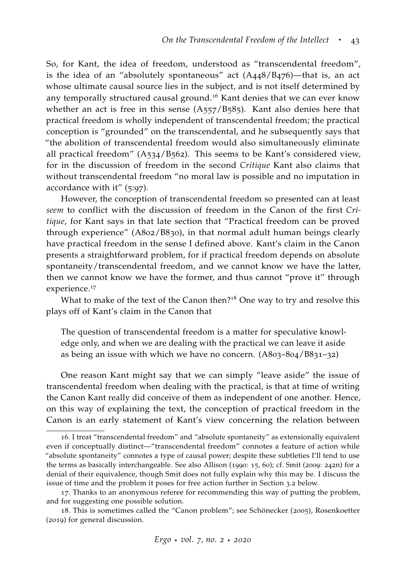So, for Kant, the idea of freedom, understood as "transcendental freedom", is the idea of an "absolutely spontaneous" act (A448/B476)—that is, an act whose ultimate causal source lies in the subject, and is not itself determined by any temporally structured causal ground.<sup>16</sup> Kant denies that we can ever know whether an act is free in this sense  $(A557/B585)$ . Kant also denies here that practical freedom is wholly independent of transcendental freedom; the practical conception is "grounded" on the transcendental, and he subsequently says that "the abolition of transcendental freedom would also simultaneously eliminate all practical freedom" (A534/B562). This seems to be Kant's considered view, for in the discussion of freedom in the second *Critique* Kant also claims that without transcendental freedom "no moral law is possible and no imputation in accordance with it" (5:97).

However, the conception of transcendental freedom so presented can at least *seem* to conflict with the discussion of freedom in the Canon of the first *Critique*, for Kant says in that late section that "Practical freedom can be proved through experience" (A802/B830), in that normal adult human beings clearly have practical freedom in the sense I defined above. Kant's claim in the Canon presents a straightforward problem, for if practical freedom depends on absolute spontaneity/transcendental freedom, and we cannot know we have the latter, then we cannot know we have the former, and thus cannot "prove it" through experience.<sup>17</sup>

What to make of the text of the Canon then?<sup>18</sup> One way to try and resolve this plays off of Kant's claim in the Canon that

The question of transcendental freedom is a matter for speculative knowledge only, and when we are dealing with the practical we can leave it aside as being an issue with which we have no concern. (A803–804/B831–32)

One reason Kant might say that we can simply "leave aside" the issue of transcendental freedom when dealing with the practical, is that at time of writing the Canon Kant really did conceive of them as independent of one another. Hence, on this way of explaining the text, the conception of practical freedom in the Canon is an early statement of Kant's view concerning the relation between

<sup>16</sup>. I treat "transcendental freedom" and "absolute spontaneity" as extensionally equivalent even if conceptually distinct—"transcendental freedom" connotes a feature of action while "absolute spontaneity" connotes a type of causal power; despite these subtleties I'll tend to use the terms as basically interchangeable. See also [Allison](#page-60-1) ([1990](#page-60-1): 15, 60); cf. [Smit](#page-67-1) ([2009](#page-67-1): 242n) for a denial of their equivalence, though Smit does not fully explain why this may be. I discuss the issue of time and the problem it poses for free action further in Section 3.2 below.

<sup>17</sup>. Thanks to an anonymous referee for recommending this way of putting the problem, and for suggesting one possible solution.

<sup>18</sup>. This is sometimes called the "Canon problem"; see [Schönecker](#page-67-4) ([2005](#page-67-4)), [Rosenkoetter](#page-66-3) ([2019](#page-66-3)) for general discussion.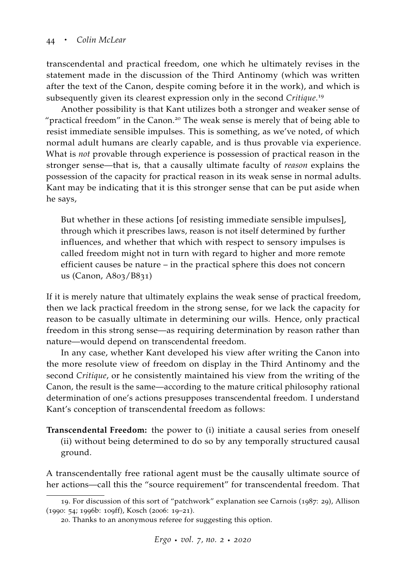transcendental and practical freedom, one which he ultimately revises in the statement made in the discussion of the Third Antinomy (which was written after the text of the Canon, despite coming before it in the work), and which is subsequently given its clearest expression only in the second *Critique*. 19

Another possibility is that Kant utilizes both a stronger and weaker sense of "practical freedom" in the Canon.<sup>20</sup> The weak sense is merely that of being able to resist immediate sensible impulses. This is something, as we've noted, of which normal adult humans are clearly capable, and is thus provable via experience. What is *not* provable through experience is possession of practical reason in the stronger sense—that is, that a causally ultimate faculty of *reason* explains the possession of the capacity for practical reason in its weak sense in normal adults. Kant may be indicating that it is this stronger sense that can be put aside when he says,

But whether in these actions [of resisting immediate sensible impulses], through which it prescribes laws, reason is not itself determined by further influences, and whether that which with respect to sensory impulses is called freedom might not in turn with regard to higher and more remote efficient causes be nature – in the practical sphere this does not concern us (Canon, A803/B831)

If it is merely nature that ultimately explains the weak sense of practical freedom, then we lack practical freedom in the strong sense, for we lack the capacity for reason to be casually ultimate in determining our wills. Hence, only practical freedom in this strong sense—as requiring determination by reason rather than nature—would depend on transcendental freedom.

In any case, whether Kant developed his view after writing the Canon into the more resolute view of freedom on display in the Third Antinomy and the second *Critique*, or he consistently maintained his view from the writing of the Canon, the result is the same—according to the mature critical philosophy rational determination of one's actions presupposes transcendental freedom. I understand Kant's conception of transcendental freedom as follows:

**Transcendental Freedom:** the power to (i) initiate a causal series from oneself (ii) without being determined to do so by any temporally structured causal ground.

A transcendentally free rational agent must be the causally ultimate source of her actions—call this the "source requirement" for transcendental freedom. That

<sup>19</sup>. For discussion of this sort of "patchwork" explanation see [Carnois](#page-62-4) ([1987](#page-62-4): 29), [Allison](#page-60-1) ([1990](#page-60-1): 54; [1996](#page-60-0)b: 109ff), [Kosch](#page-64-5) ([2006](#page-64-5): 19–21).

<sup>20</sup>. Thanks to an anonymous referee for suggesting this option.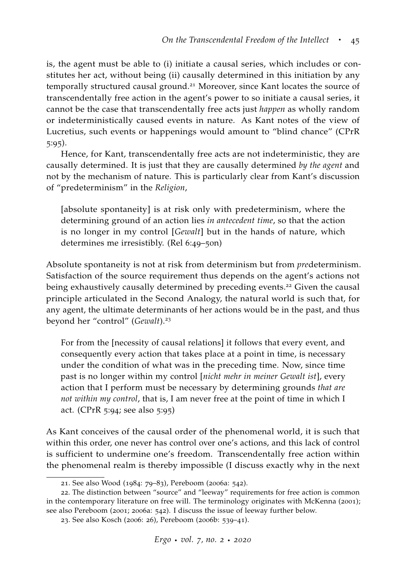is, the agent must be able to (i) initiate a causal series, which includes or constitutes her act, without being (ii) causally determined in this initiation by any temporally structured causal ground.<sup>21</sup> Moreover, since Kant locates the source of transcendentally free action in the agent's power to so initiate a causal series, it cannot be the case that transcendentally free acts just *happen* as wholly random or indeterministically caused events in nature. As Kant notes of the view of Lucretius, such events or happenings would amount to "blind chance" (CPrR 5:95).

Hence, for Kant, transcendentally free acts are not indeterministic, they are causally determined. It is just that they are causally determined *by the agent* and not by the mechanism of nature. This is particularly clear from Kant's discussion of "predeterminism" in the *Religion*,

[absolute spontaneity] is at risk only with predeterminism, where the determining ground of an action lies *in antecedent time*, so that the action is no longer in my control [*Gewalt*] but in the hands of nature, which determines me irresistibly. (Rel 6:49–50n)

Absolute spontaneity is not at risk from determinism but from *pre*determinism. Satisfaction of the source requirement thus depends on the agent's actions not being exhaustively causally determined by preceding events.<sup>22</sup> Given the causal principle articulated in the Second Analogy, the natural world is such that, for any agent, the ultimate determinants of her actions would be in the past, and thus beyond her "control" (*Gewalt*).<sup>23</sup>

For from the [necessity of causal relations] it follows that every event, and consequently every action that takes place at a point in time, is necessary under the condition of what was in the preceding time. Now, since time past is no longer within my control [*nicht mehr in meiner Gewalt ist*], every action that I perform must be necessary by determining grounds *that are not within my control*, that is, I am never free at the point of time in which I act. (CPrR 5:94; see also 5:95)

As Kant conceives of the causal order of the phenomenal world, it is such that within this order, one never has control over one's actions, and this lack of control is sufficient to undermine one's freedom. Transcendentally free action within the phenomenal realm is thereby impossible (I discuss exactly why in the next

<sup>21</sup>. See also [Wood](#page-69-4) ([1984](#page-69-4): 79–83), [Pereboom](#page-66-4) ([2006](#page-66-4)a: 542).

<sup>22</sup>. The distinction between "source" and "leeway" requirements for free action is common in the contemporary literature on free will. The terminology originates with [McKenna](#page-65-4) ([2001](#page-65-4)); see also [Pereboom](#page-66-5) ([2001](#page-66-5); [2006](#page-66-4)a: 542). I discuss the issue of leeway further below.

<sup>23</sup>. See also [Kosch](#page-64-5) ([2006](#page-64-5): 26), [Pereboom](#page-66-6) ([2006](#page-66-6)b: 539–41).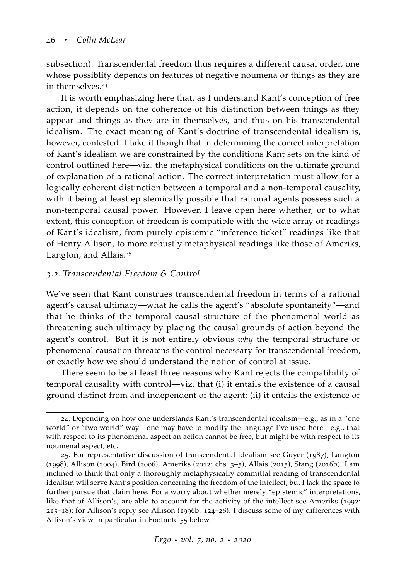subsection). Transcendental freedom thus requires a different causal order, one whose possiblity depends on features of negative noumena or things as they are in themselves.<sup>24</sup>

It is worth emphasizing here that, as I understand Kant's conception of free action, it depends on the coherence of his distinction between things as they appear and things as they are in themselves, and thus on his transcendental idealism. The exact meaning of Kant's doctrine of transcendental idealism is, however, contested. I take it though that in determining the correct interpretation of Kant's idealism we are constrained by the conditions Kant sets on the kind of control outlined here—viz. the metaphysical conditions on the ultimate ground of explanation of a rational action. The correct interpretation must allow for a logically coherent distinction between a temporal and a non-temporal causality, with it being at least epistemically possible that rational agents possess such a non-temporal causal power. However, I leave open here whether, or to what extent, this conception of freedom is compatible with the wide array of readings of Kant's idealism, from purely epistemic "inference ticket" readings like that of Henry Allison, to more robustly metaphysical readings like those of Ameriks, Langton, and Allais.<sup>25</sup>

## *3.2. Transcendental Freedom & Control*

We've seen that Kant construes transcendental freedom in terms of a rational agent's causal ultimacy—what he calls the agent's "absolute spontaneity"—and that he thinks of the temporal causal structure of the phenomenal world as threatening such ultimacy by placing the causal grounds of action beyond the agent's control. But it is not entirely obvious *why* the temporal structure of phenomenal causation threatens the control necessary for transcendental freedom, or exactly how we should understand the notion of control at issue.

There seem to be at least three reasons why Kant rejects the compatibility of temporal causality with control—viz. that (i) it entails the existence of a causal ground distinct from and independent of the agent; (ii) it entails the existence of

<sup>24</sup>. Depending on how one understands Kant's transcendental idealism—e.g., as in a "one world" or "two world" way—one may have to modify the language I've used here—e.g., that with respect to its phenomenal aspect an action cannot be free, but might be with respect to its noumenal aspect, etc.

<sup>25</sup>. For representative discussion of transcendental idealism see [Guyer](#page-62-5) ([1987](#page-62-5)), [Langton](#page-64-6) ([1998](#page-64-6)), [Allison](#page-61-3) ([2004](#page-61-3)), [Bird](#page-61-4) ([2006](#page-61-4)), [Ameriks](#page-61-5) ([2012](#page-61-5): chs. 3–5), [Allais](#page-60-3) ([2015](#page-60-3)), [Stang](#page-67-5) ([2016](#page-67-5)b). I am inclined to think that only a thoroughly metaphysically committal reading of transcendental idealism will serve Kant's position concerning the freedom of the intellect, but I lack the space to further pursue that claim here. For a worry about whether merely "epistemic" interpretations, like that of Allison's, are able to account for the activity of the intellect see [Ameriks](#page-61-6) ([1992](#page-61-6): 215–18); for Allison's reply see [Allison](#page-60-0) ([1996](#page-60-0)b: 124–28). I discuss some of my differences with Allison's view in particular in Footnote 55 below.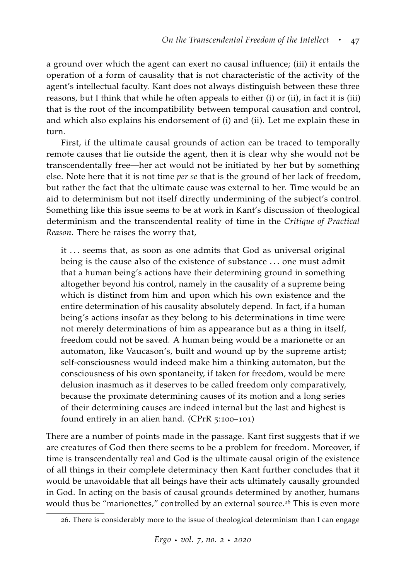a ground over which the agent can exert no causal influence; (iii) it entails the operation of a form of causality that is not characteristic of the activity of the agent's intellectual faculty. Kant does not always distinguish between these three reasons, but I think that while he often appeals to either (i) or (ii), in fact it is (iii) that is the root of the incompatibility between temporal causation and control, and which also explains his endorsement of (i) and (ii). Let me explain these in turn.

First, if the ultimate causal grounds of action can be traced to temporally remote causes that lie outside the agent, then it is clear why she would not be transcendentally free—her act would not be initiated by her but by something else. Note here that it is not time *per se* that is the ground of her lack of freedom, but rather the fact that the ultimate cause was external to her. Time would be an aid to determinism but not itself directly undermining of the subject's control. Something like this issue seems to be at work in Kant's discussion of theological determinism and the transcendental reality of time in the *Critique of Practical Reason*. There he raises the worry that,

it ... seems that, as soon as one admits that God as universal original being is the cause also of the existence of substance . . . one must admit that a human being's actions have their determining ground in something altogether beyond his control, namely in the causality of a supreme being which is distinct from him and upon which his own existence and the entire determination of his causality absolutely depend. In fact, if a human being's actions insofar as they belong to his determinations in time were not merely determinations of him as appearance but as a thing in itself, freedom could not be saved. A human being would be a marionette or an automaton, like Vaucason's, built and wound up by the supreme artist; self-consciousness would indeed make him a thinking automaton, but the consciousness of his own spontaneity, if taken for freedom, would be mere delusion inasmuch as it deserves to be called freedom only comparatively, because the proximate determining causes of its motion and a long series of their determining causes are indeed internal but the last and highest is found entirely in an alien hand. (CPrR 5:100–101)

There are a number of points made in the passage. Kant first suggests that if we are creatures of God then there seems to be a problem for freedom. Moreover, if time is transcendentally real and God is the ultimate causal origin of the existence of all things in their complete determinacy then Kant further concludes that it would be unavoidable that all beings have their acts ultimately causally grounded in God. In acting on the basis of causal grounds determined by another, humans would thus be "marionettes," controlled by an external source.<sup>26</sup> This is even more

<sup>26</sup>. There is considerably more to the issue of theological determinism than I can engage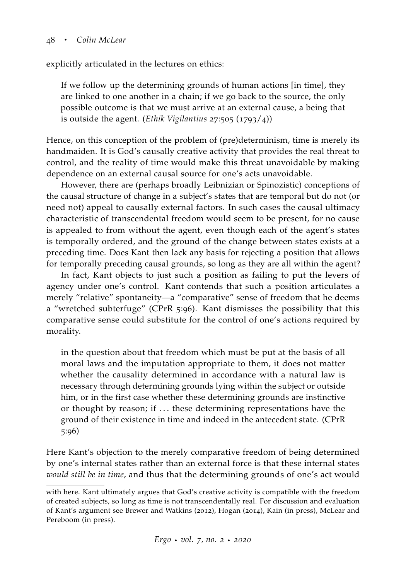explicitly articulated in the lectures on ethics:

If we follow up the determining grounds of human actions [in time], they are linked to one another in a chain; if we go back to the source, the only possible outcome is that we must arrive at an external cause, a being that is outside the agent. (*Ethik Vigilantius* 27:505 (1793/4))

Hence, on this conception of the problem of (pre)determinism, time is merely its handmaiden. It is God's causally creative activity that provides the real threat to control, and the reality of time would make this threat unavoidable by making dependence on an external causal source for one's acts unavoidable.

However, there are (perhaps broadly Leibnizian or Spinozistic) conceptions of the causal structure of change in a subject's states that are temporal but do not (or need not) appeal to causally external factors. In such cases the causal ultimacy characteristic of transcendental freedom would seem to be present, for no cause is appealed to from without the agent, even though each of the agent's states is temporally ordered, and the ground of the change between states exists at a preceding time. Does Kant then lack any basis for rejecting a position that allows for temporally preceding causal grounds, so long as they are all within the agent?

In fact, Kant objects to just such a position as failing to put the levers of agency under one's control. Kant contends that such a position articulates a merely "relative" spontaneity—a "comparative" sense of freedom that he deems a "wretched subterfuge" (CPrR 5:96). Kant dismisses the possibility that this comparative sense could substitute for the control of one's actions required by morality.

in the question about that freedom which must be put at the basis of all moral laws and the imputation appropriate to them, it does not matter whether the causality determined in accordance with a natural law is necessary through determining grounds lying within the subject or outside him, or in the first case whether these determining grounds are instinctive or thought by reason; if . . . these determining representations have the ground of their existence in time and indeed in the antecedent state. (CPrR 5:96)

Here Kant's objection to the merely comparative freedom of being determined by one's internal states rather than an external force is that these internal states *would still be in time*, and thus that the determining grounds of one's act would

with here. Kant ultimately argues that God's creative activity is compatible with the freedom of created subjects, so long as time is not transcendentally real. For discussion and evaluation of Kant's argument see [Brewer and Watkins](#page-61-7) ([2012](#page-61-7)), [Hogan](#page-63-3) ([2014](#page-63-3)), [Kain](#page-63-4) [\(in press\)](#page-63-4), [McLear and](#page-65-5) [Pereboom](#page-65-5) [\(in press\)](#page-65-5).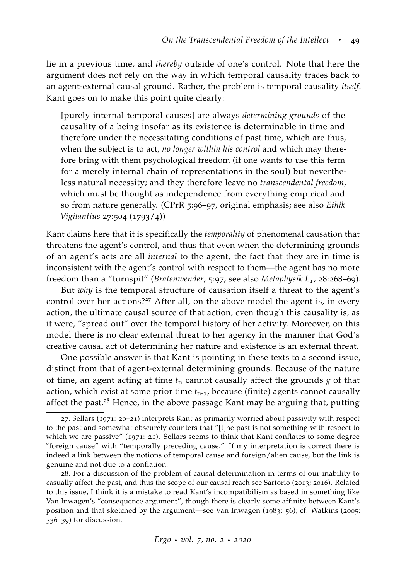lie in a previous time, and *thereby* outside of one's control. Note that here the argument does not rely on the way in which temporal causality traces back to an agent-external causal ground. Rather, the problem is temporal causality *itself*. Kant goes on to make this point quite clearly:

[purely internal temporal causes] are always *determining grounds* of the causality of a being insofar as its existence is determinable in time and therefore under the necessitating conditions of past time, which are thus, when the subject is to act, *no longer within his control* and which may therefore bring with them psychological freedom (if one wants to use this term for a merely internal chain of representations in the soul) but nevertheless natural necessity; and they therefore leave no *transcendental freedom*, which must be thought as independence from everything empirical and so from nature generally. (CPrR 5:96–97, original emphasis; see also *Ethik Vigilantius* 27:504 (1793/4))

Kant claims here that it is specifically the *temporality* of phenomenal causation that threatens the agent's control, and thus that even when the determining grounds of an agent's acts are all *internal* to the agent, the fact that they are in time is inconsistent with the agent's control with respect to them—the agent has no more freedom than a "turnspit" (*Bratenwender*, 5:97; see also *Metaphysik L1*, 28:268–69).

But *why* is the temporal structure of causation itself a threat to the agent's control over her actions?<sup>27</sup> After all, on the above model the agent is, in every action, the ultimate causal source of that action, even though this causality is, as it were, "spread out" over the temporal history of her activity. Moreover, on this model there is no clear external threat to her agency in the manner that God's creative causal act of determining her nature and existence is an external threat.

One possible answer is that Kant is pointing in these texts to a second issue, distinct from that of agent-external determining grounds. Because of the nature of time, an agent acting at time *t*<sup>n</sup> cannot causally affect the grounds *g* of that action, which exist at some prior time  $t_{n-1}$ , because (finite) agents cannot causally affect the past.<sup>28</sup> Hence, in the above passage Kant may be arguing that, putting

<sup>27</sup>. Sellars ([1971](#page-67-6): 20–21) interprets Kant as primarily worried about passivity with respect to the past and somewhat obscurely counters that "[t]he past is not something with respect to which we are passive" ([1971](#page-67-6): 21). Sellars seems to think that Kant conflates to some degree "foreign cause" with "temporally preceding cause." If my interpretation is correct there is indeed a link between the notions of temporal cause and foreign/alien cause, but the link is genuine and not due to a conflation.

<sup>28</sup>. For a discussion of the problem of causal determination in terms of our inability to casually affect the past, and thus the scope of our causal reach see [Sartorio](#page-67-7) ([2013](#page-67-7); [2016](#page-67-8)). Related to this issue, I think it is a mistake to read Kant's incompatibilism as based in something like Van Inwagen's "consequence argument", though there is clearly some affinity between Kant's position and that sketched by the argument—see [Van Inwagen](#page-68-5) ([1983](#page-68-5): 56); cf. [Watkins](#page-68-2) ([2005](#page-68-2): 336–39) for discussion.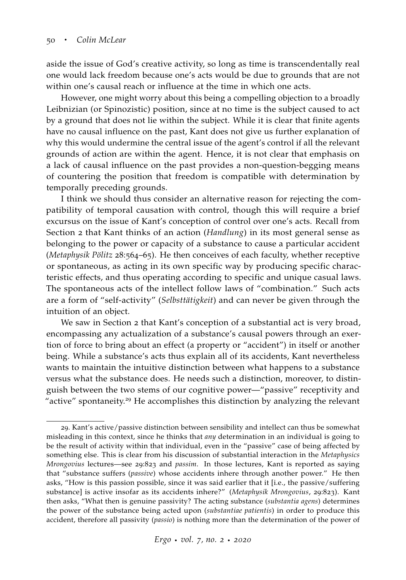aside the issue of God's creative activity, so long as time is transcendentally real one would lack freedom because one's acts would be due to grounds that are not within one's causal reach or influence at the time in which one acts.

However, one might worry about this being a compelling objection to a broadly Leibnizian (or Spinozistic) position, since at no time is the subject caused to act by a ground that does not lie within the subject. While it is clear that finite agents have no causal influence on the past, Kant does not give us further explanation of why this would undermine the central issue of the agent's control if all the relevant grounds of action are within the agent. Hence, it is not clear that emphasis on a lack of causal influence on the past provides a non-question-begging means of countering the position that freedom is compatible with determination by temporally preceding grounds.

I think we should thus consider an alternative reason for rejecting the compatibility of temporal causation with control, though this will require a brief excursus on the issue of Kant's conception of control over one's acts. Recall from Section 2 that Kant thinks of an action (*Handlung*) in its most general sense as belonging to the power or capacity of a substance to cause a particular accident (*Metaphysik Pölitz* 28:564–65). He then conceives of each faculty, whether receptive or spontaneous, as acting in its own specific way by producing specific characteristic effects, and thus operating according to specific and unique casual laws. The spontaneous acts of the intellect follow laws of "combination." Such acts are a form of "self-activity" (*Selbsttätigkeit*) and can never be given through the intuition of an object.

We saw in Section 2 that Kant's conception of a substantial act is very broad, encompassing any actualization of a substance's causal powers through an exertion of force to bring about an effect (a property or "accident") in itself or another being. While a substance's acts thus explain all of its accidents, Kant nevertheless wants to maintain the intuitive distinction between what happens to a substance versus what the substance does. He needs such a distinction, moreover, to distinguish between the two stems of our cognitive power—"passive" receptivity and "active" spontaneity.<sup>29</sup> He accomplishes this distinction by analyzing the relevant

<sup>29</sup>. Kant's active/passive distinction between sensibility and intellect can thus be somewhat misleading in this context, since he thinks that *any* determination in an individual is going to be the result of activity within that individual, even in the "passive" case of being affected by something else. This is clear from his discussion of substantial interaction in the *Metaphysics Mrongovius* lectures—see 29:823 and *passim*. In those lectures, Kant is reported as saying that "substance suffers (*passive*) whose accidents inhere through another power." He then asks, "How is this passion possible, since it was said earlier that it [i.e., the passive/suffering substance] is active insofar as its accidents inhere?" (*Metaphysik Mrongovius*, 29:823). Kant then asks, "What then is genuine passivity? The acting substance (*substantia agens*) determines the power of the substance being acted upon (*substantiae patientis*) in order to produce this accident, therefore all passivity (*passio*) is nothing more than the determination of the power of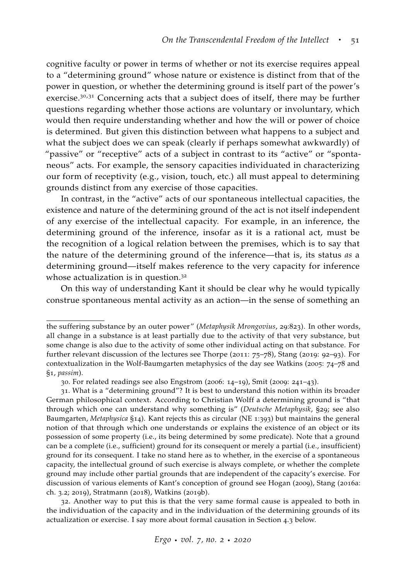cognitive faculty or power in terms of whether or not its exercise requires appeal to a "determining ground" whose nature or existence is distinct from that of the power in question, or whether the determining ground is itself part of the power's exercise.<sup>30,31</sup> Concerning acts that a subject does of itself, there may be further questions regarding whether those actions are voluntary or involuntary, which would then require understanding whether and how the will or power of choice is determined. But given this distinction between what happens to a subject and what the subject does we can speak (clearly if perhaps somewhat awkwardly) of "passive" or "receptive" acts of a subject in contrast to its "active" or "spontaneous" acts. For example, the sensory capacities individuated in characterizing our form of receptivity (e.g., vision, touch, etc.) all must appeal to determining grounds distinct from any exercise of those capacities.

In contrast, in the "active" acts of our spontaneous intellectual capacities, the existence and nature of the determining ground of the act is not itself independent of any exercise of the intellectual capacity. For example, in an inference, the determining ground of the inference, insofar as it is a rational act, must be the recognition of a logical relation between the premises, which is to say that the nature of the determining ground of the inference—that is, its status *as* a determining ground—itself makes reference to the very capacity for inference whose actualization is in question.<sup>32</sup>

On this way of understanding Kant it should be clear why he would typically construe spontaneous mental activity as an action—in the sense of something an

32. Another way to put this is that the very same formal cause is appealed to both in the individuation of the capacity and in the individuation of the determining grounds of its actualization or exercise. I say more about formal causation in Section 4.3 below.

the suffering substance by an outer power" (*Metaphysik Mrongovius*, 29:823). In other words, all change in a substance is at least partially due to the activity of that very substance, but some change is also due to the activity of some other individual acting on that substance. For further relevant discussion of the lectures see [Thorpe](#page-68-6) ([2011](#page-68-6): 75–78), [Stang](#page-67-2) ([2019](#page-67-2): 92–93). For contextualization in the Wolf-Baumgarten metaphysics of the day see [Watkins](#page-68-2) ([2005](#page-68-2): 74–78 and §1, *passim*).

<sup>30</sup>. For related readings see also [Engstrom](#page-62-6) ([2006](#page-62-6): 14–19), [Smit](#page-67-1) ([2009](#page-67-1): 241–43).

<sup>31</sup>. What is a "determining ground"? It is best to understand this notion within its broader German philosophical context. According to Christian Wolff a determining ground is "that through which one can understand why something is" (*Deutsche Metaphysik*, §29; see also Baumgarten, *Metaphysica* §14). Kant rejects this as circular (NE 1:393) but maintains the general notion of that through which one understands or explains the existence of an object or its possession of some property (i.e., its being determined by some predicate). Note that a ground can be a complete (i.e., sufficient) ground for its consequent or merely a partial (i.e., insufficient) ground for its consequent. I take no stand here as to whether, in the exercise of a spontaneous capacity, the intellectual ground of such exercise is always complete, or whether the complete ground may include other partial grounds that are independent of the capacity's exercise. For discussion of various elements of Kant's conception of ground see [Hogan](#page-63-5) ([2009](#page-63-5)), [Stang](#page-67-3) ([2016](#page-67-3)a: ch. 3.2; [2019](#page-67-2)), [Stratmann](#page-68-7) ([2018](#page-68-7)), [Watkins](#page-69-5) ([2019](#page-69-5)b).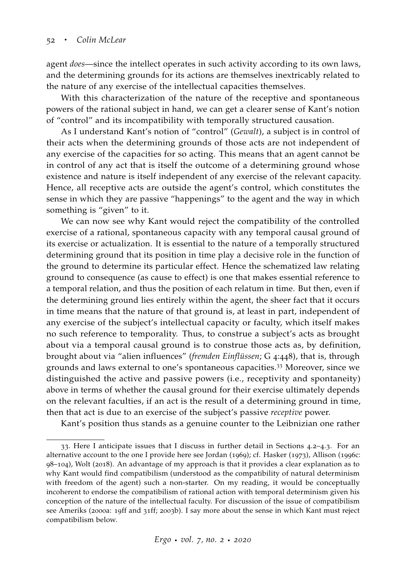agent *does*—since the intellect operates in such activity according to its own laws, and the determining grounds for its actions are themselves inextricably related to the nature of any exercise of the intellectual capacities themselves.

With this characterization of the nature of the receptive and spontaneous powers of the rational subject in hand, we can get a clearer sense of Kant's notion of "control" and its incompatibility with temporally structured causation.

As I understand Kant's notion of "control" (*Gewalt*), a subject is in control of their acts when the determining grounds of those acts are not independent of any exercise of the capacities for so acting. This means that an agent cannot be in control of any act that is itself the outcome of a determining ground whose existence and nature is itself independent of any exercise of the relevant capacity. Hence, all receptive acts are outside the agent's control, which constitutes the sense in which they are passive "happenings" to the agent and the way in which something is "given" to it.

We can now see why Kant would reject the compatibility of the controlled exercise of a rational, spontaneous capacity with any temporal causal ground of its exercise or actualization. It is essential to the nature of a temporally structured determining ground that its position in time play a decisive role in the function of the ground to determine its particular effect. Hence the schematized law relating ground to consequence (as cause to effect) is one that makes essential reference to a temporal relation, and thus the position of each relatum in time. But then, even if the determining ground lies entirely within the agent, the sheer fact that it occurs in time means that the nature of that ground is, at least in part, independent of any exercise of the subject's intellectual capacity or faculty, which itself makes no such reference to temporality. Thus, to construe a subject's acts as brought about via a temporal causal ground is to construe those acts as, by definition, brought about via "alien influences" (*fremden Einflüssen*; G 4:448), that is, through grounds and laws external to one's spontaneous capacities.<sup>33</sup> Moreover, since we distinguished the active and passive powers (i.e., receptivity and spontaneity) above in terms of whether the causal ground for their exercise ultimately depends on the relevant faculties, if an act is the result of a determining ground in time, then that act is due to an exercise of the subject's passive *receptive* power.

Kant's position thus stands as a genuine counter to the Leibnizian one rather

<sup>33</sup>. Here I anticipate issues that I discuss in further detail in Sections 4.2–4.3. For an alternative account to the one I provide here see [Jordan](#page-63-6) ([1969](#page-63-6)); cf. [Hasker](#page-63-7) ([1973](#page-63-7)), [Allison](#page-61-8) ([1996](#page-61-8)c: 98–104), [Wolt](#page-69-6) ([2018](#page-69-6)). An advantage of my approach is that it provides a clear explanation as to why Kant would find compatibilism (understood as the compatibility of natural determinism with freedom of the agent) such a non-starter. On my reading, it would be conceptually incoherent to endorse the compatibilism of rational action with temporal determinism given his conception of the nature of the intellectual faculty. For discussion of the issue of compatibilism see [Ameriks](#page-61-9) ([2000](#page-61-9)a: 19ff and 31ff; [2003](#page-61-10)b). I say more about the sense in which Kant must reject compatibilism below.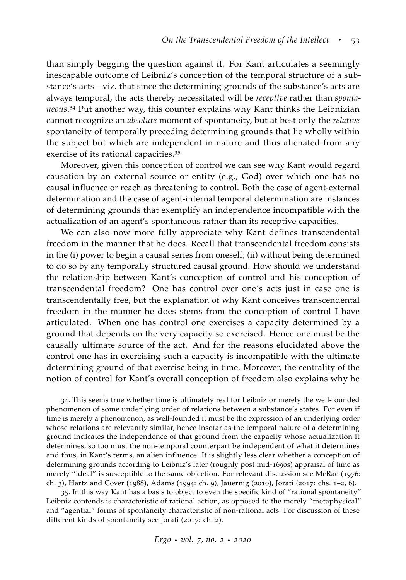than simply begging the question against it. For Kant articulates a seemingly inescapable outcome of Leibniz's conception of the temporal structure of a substance's acts—viz. that since the determining grounds of the substance's acts are always temporal, the acts thereby necessitated will be *receptive* rather than *spontaneous*. <sup>34</sup> Put another way, this counter explains why Kant thinks the Leibnizian cannot recognize an *absolute* moment of spontaneity, but at best only the *relative* spontaneity of temporally preceding determining grounds that lie wholly within the subject but which are independent in nature and thus alienated from any exercise of its rational capacities.<sup>35</sup>

Moreover, given this conception of control we can see why Kant would regard causation by an external source or entity (e.g., God) over which one has no causal influence or reach as threatening to control. Both the case of agent-external determination and the case of agent-internal temporal determination are instances of determining grounds that exemplify an independence incompatible with the actualization of an agent's spontaneous rather than its receptive capacities.

We can also now more fully appreciate why Kant defines transcendental freedom in the manner that he does. Recall that transcendental freedom consists in the (i) power to begin a causal series from oneself; (ii) without being determined to do so by any temporally structured causal ground. How should we understand the relationship between Kant's conception of control and his conception of transcendental freedom? One has control over one's acts just in case one is transcendentally free, but the explanation of why Kant conceives transcendental freedom in the manner he does stems from the conception of control I have articulated. When one has control one exercises a capacity determined by a ground that depends on the very capacity so exercised. Hence one must be the causally ultimate source of the act. And for the reasons elucidated above the control one has in exercising such a capacity is incompatible with the ultimate determining ground of that exercise being in time. Moreover, the centrality of the notion of control for Kant's overall conception of freedom also explains why he

<sup>34</sup>. This seems true whether time is ultimately real for Leibniz or merely the well-founded phenomenon of some underlying order of relations between a substance's states. For even if time is merely a phenomenon, as well-founded it must be the expression of an underlying order whose relations are relevantly similar, hence insofar as the temporal nature of a determining ground indicates the independence of that ground from the capacity whose actualization it determines, so too must the non-temporal counterpart be independent of what it determines and thus, in Kant's terms, an alien influence. It is slightly less clear whether a conception of determining grounds according to Leibniz's later (roughly post mid-1690s) appraisal of time as merely "ideal" is susceptible to the same objection. For relevant discussion see [McRae](#page-65-6) ([1976](#page-65-6): ch. 3), [Hartz and Cover](#page-63-8) ([1988](#page-63-8)), [Adams](#page-60-4) ([1994](#page-60-4): ch. 9), [Jauernig](#page-63-9) ([2010](#page-63-9)), [Jorati](#page-63-10) ([2017](#page-63-10): chs. 1–2, 6).

<sup>35</sup>. In this way Kant has a basis to object to even the specific kind of "rational spontaneity" Leibniz contends is characteristic of rational action, as opposed to the merely "metaphysical" and "agential" forms of spontaneity characteristic of non-rational acts. For discussion of these different kinds of spontaneity see [Jorati](#page-63-10) ([2017](#page-63-10): ch. 2).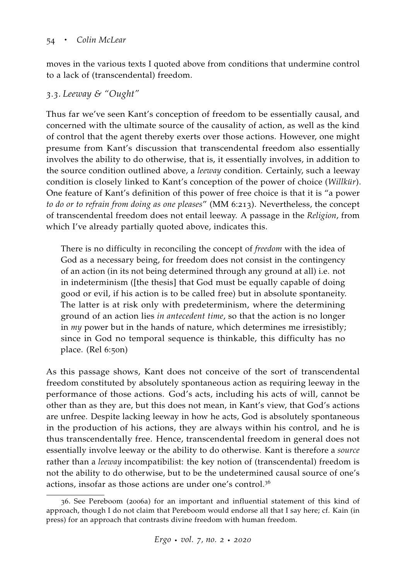moves in the various texts I quoted above from conditions that undermine control to a lack of (transcendental) freedom.

# *3.3. Leeway & "Ought"*

Thus far we've seen Kant's conception of freedom to be essentially causal, and concerned with the ultimate source of the causality of action, as well as the kind of control that the agent thereby exerts over those actions. However, one might presume from Kant's discussion that transcendental freedom also essentially involves the ability to do otherwise, that is, it essentially involves, in addition to the source condition outlined above, a *leeway* condition. Certainly, such a leeway condition is closely linked to Kant's conception of the power of choice (*Willkür*). One feature of Kant's definition of this power of free choice is that it is "a power *to do or to refrain from doing as one pleases*" (MM 6:213). Nevertheless, the concept of transcendental freedom does not entail leeway. A passage in the *Religion*, from which I've already partially quoted above, indicates this.

There is no difficulty in reconciling the concept of *freedom* with the idea of God as a necessary being, for freedom does not consist in the contingency of an action (in its not being determined through any ground at all) i.e. not in indeterminism ([the thesis] that God must be equally capable of doing good or evil, if his action is to be called free) but in absolute spontaneity. The latter is at risk only with predeterminism, where the determining ground of an action lies *in antecedent time*, so that the action is no longer in *my* power but in the hands of nature, which determines me irresistibly; since in God no temporal sequence is thinkable, this difficulty has no place. (Rel 6:50n)

As this passage shows, Kant does not conceive of the sort of transcendental freedom constituted by absolutely spontaneous action as requiring leeway in the performance of those actions. God's acts, including his acts of will, cannot be other than as they are, but this does not mean, in Kant's view, that God's actions are unfree. Despite lacking leeway in how he acts, God is absolutely spontaneous in the production of his actions, they are always within his control, and he is thus transcendentally free. Hence, transcendental freedom in general does not essentially involve leeway or the ability to do otherwise. Kant is therefore a *source* rather than a *leeway* incompatibilist: the key notion of (transcendental) freedom is not the ability to do otherwise, but to be the undetermined causal source of one's actions, insofar as those actions are under one's control.<sup>36</sup>

<sup>36</sup>. See [Pereboom](#page-66-4) ([2006](#page-66-4)a) for an important and influential statement of this kind of approach, though I do not claim that Pereboom would endorse all that I say here; cf. [Kain](#page-63-4) [\(in](#page-63-4) [press\)](#page-63-4) for an approach that contrasts divine freedom with human freedom.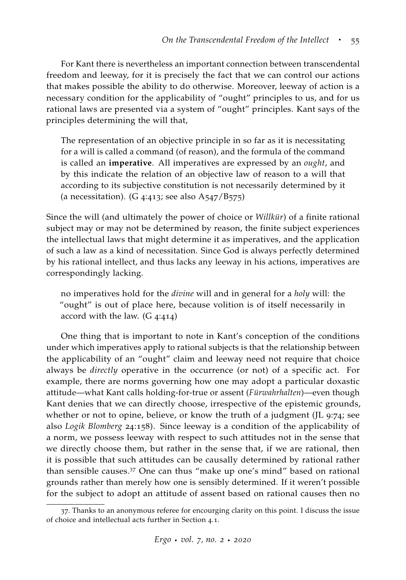For Kant there is nevertheless an important connection between transcendental freedom and leeway, for it is precisely the fact that we can control our actions that makes possible the ability to do otherwise. Moreover, leeway of action is a necessary condition for the applicability of "ought" principles to us, and for us rational laws are presented via a system of "ought" principles. Kant says of the principles determining the will that,

The representation of an objective principle in so far as it is necessitating for a will is called a command (of reason), and the formula of the command is called an **imperative**. All imperatives are expressed by an *ought*, and by this indicate the relation of an objective law of reason to a will that according to its subjective constitution is not necessarily determined by it (a necessitation). (G 4:413; see also  $A_{547}/B_{575}$ )

Since the will (and ultimately the power of choice or *Willkür*) of a finite rational subject may or may not be determined by reason, the finite subject experiences the intellectual laws that might determine it as imperatives, and the application of such a law as a kind of necessitation. Since God is always perfectly determined by his rational intellect, and thus lacks any leeway in his actions, imperatives are correspondingly lacking.

no imperatives hold for the *divine* will and in general for a *holy* will: the "ought" is out of place here, because volition is of itself necessarily in accord with the law. (G 4:414)

One thing that is important to note in Kant's conception of the conditions under which imperatives apply to rational subjects is that the relationship between the applicability of an "ought" claim and leeway need not require that choice always be *directly* operative in the occurrence (or not) of a specific act. For example, there are norms governing how one may adopt a particular doxastic attitude—what Kant calls holding-for-true or assent (*Fürwahrhalten*)—even though Kant denies that we can directly choose, irrespective of the epistemic grounds, whether or not to opine, believe, or know the truth of a judgment (JL 9:74; see also *Logik Blomberg* 24:158). Since leeway is a condition of the applicability of a norm, we possess leeway with respect to such attitudes not in the sense that we directly choose them, but rather in the sense that, if we are rational, then it is possible that such attitudes can be causally determined by rational rather than sensible causes.<sup>37</sup> One can thus "make up one's mind" based on rational grounds rather than merely how one is sensibly determined. If it weren't possible for the subject to adopt an attitude of assent based on rational causes then no

<sup>37</sup>. Thanks to an anonymous referee for encourging clarity on this point. I discuss the issue of choice and intellectual acts further in Section 4.1.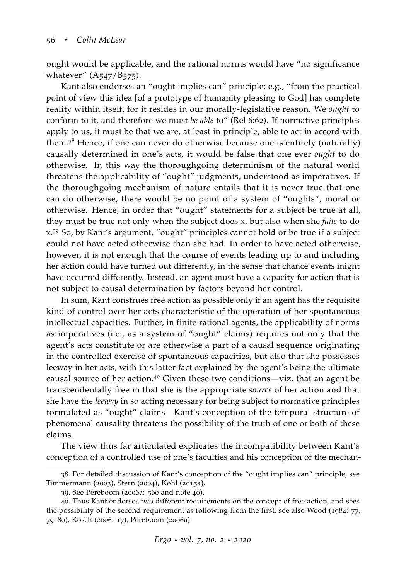ought would be applicable, and the rational norms would have "no significance whatever" (A547/B575).

Kant also endorses an "ought implies can" principle; e.g., "from the practical point of view this idea [of a prototype of humanity pleasing to God] has complete reality within itself, for it resides in our morally-legislative reason. We *ought* to conform to it, and therefore we must *be able* to" (Rel 6:62). If normative principles apply to us, it must be that we are, at least in principle, able to act in accord with them.<sup>38</sup> Hence, if one can never do otherwise because one is entirely (naturally) causally determined in one's acts, it would be false that one ever *ought* to do otherwise. In this way the thoroughgoing determinism of the natural world threatens the applicability of "ought" judgments, understood as imperatives. If the thoroughgoing mechanism of nature entails that it is never true that one can do otherwise, there would be no point of a system of "oughts", moral or otherwise. Hence, in order that "ought" statements for a subject be true at all, they must be true not only when the subject does x, but also when she *fails* to do x.<sup>39</sup> So, by Kant's argument, "ought" principles cannot hold or be true if a subject could not have acted otherwise than she had. In order to have acted otherwise, however, it is not enough that the course of events leading up to and including her action could have turned out differently, in the sense that chance events might have occurred differently. Instead, an agent must have a capacity for action that is not subject to causal determination by factors beyond her control.

In sum, Kant construes free action as possible only if an agent has the requisite kind of control over her acts characteristic of the operation of her spontaneous intellectual capacities. Further, in finite rational agents, the applicability of norms as imperatives (i.e., as a system of "ought" claims) requires not only that the agent's acts constitute or are otherwise a part of a causal sequence originating in the controlled exercise of spontaneous capacities, but also that she possesses leeway in her acts, with this latter fact explained by the agent's being the ultimate causal source of her action.<sup>40</sup> Given these two conditions—viz. that an agent be transcendentally free in that she is the appropriate *source* of her action and that she have the *leeway* in so acting necessary for being subject to normative principles formulated as "ought" claims—Kant's conception of the temporal structure of phenomenal causality threatens the possibility of the truth of one or both of these claims.

The view thus far articulated explicates the incompatibility between Kant's conception of a controlled use of one's faculties and his conception of the mechan-

<sup>38</sup>. For detailed discussion of Kant's conception of the "ought implies can" principle, see [Timmermann](#page-68-8) ([2003](#page-68-8)), [Stern](#page-67-9) ([2004](#page-67-9)), [Kohl](#page-64-7) ([2015](#page-64-7)a).

<sup>39</sup>. See [Pereboom](#page-66-4) ([2006](#page-66-4)a: 560 and note 40).

<sup>40</sup>. Thus Kant endorses two different requirements on the concept of free action, and sees the possibility of the second requirement as following from the first; see also [Wood](#page-69-4) ([1984](#page-69-4): 77, 79–80), [Kosch](#page-64-5) ([2006](#page-64-5): 17), [Pereboom](#page-66-4) ([2006](#page-66-4)a).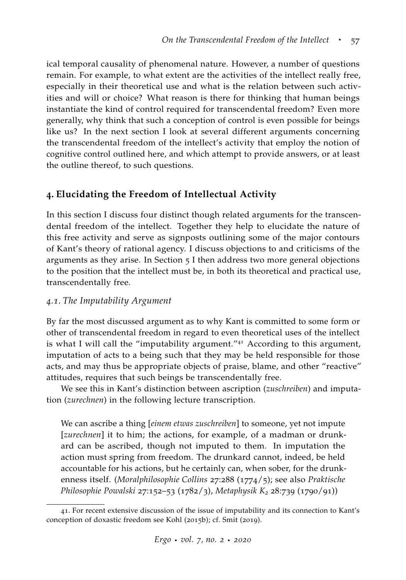ical temporal causality of phenomenal nature. However, a number of questions remain. For example, to what extent are the activities of the intellect really free, especially in their theoretical use and what is the relation between such activities and will or choice? What reason is there for thinking that human beings instantiate the kind of control required for transcendental freedom? Even more generally, why think that such a conception of control is even possible for beings like us? In the next section I look at several different arguments concerning the transcendental freedom of the intellect's activity that employ the notion of cognitive control outlined here, and which attempt to provide answers, or at least the outline thereof, to such questions.

# **4. Elucidating the Freedom of Intellectual Activity**

In this section I discuss four distinct though related arguments for the transcendental freedom of the intellect. Together they help to elucidate the nature of this free activity and serve as signposts outlining some of the major contours of Kant's theory of rational agency. I discuss objections to and criticisms of the arguments as they arise. In Section 5 I then address two more general objections to the position that the intellect must be, in both its theoretical and practical use, transcendentally free.

## *4.1. The Imputability Argument*

By far the most discussed argument as to why Kant is committed to some form or other of transcendental freedom in regard to even theoretical uses of the intellect is what I will call the "imputability argument."<sup>41</sup> According to this argument, imputation of acts to a being such that they may be held responsible for those acts, and may thus be appropriate objects of praise, blame, and other "reactive" attitudes, requires that such beings be transcendentally free.

We see this in Kant's distinction between ascription (*zuschreiben*) and imputation (*zurechnen*) in the following lecture transcription.

We can ascribe a thing [*einem etwas zuschreiben*] to someone, yet not impute [*zurechnen*] it to him; the actions, for example, of a madman or drunkard can be ascribed, though not imputed to them. In imputation the action must spring from freedom. The drunkard cannot, indeed, be held accountable for his actions, but he certainly can, when sober, for the drunkenness itself. (*Moralphilosophie Collins* 27:288 (1774/5); see also *Praktische Philosophie Powalski* 27:152–53 (1782/3), *Metaphysik K<sup>2</sup>* 28:739 (1790/91))

<sup>41</sup>. For recent extensive discussion of the issue of imputability and its connection to Kant's conception of doxastic freedom see [Kohl](#page-64-0) ([2015](#page-64-0)b); cf. [Smit](#page-67-10) ([2019](#page-67-10)).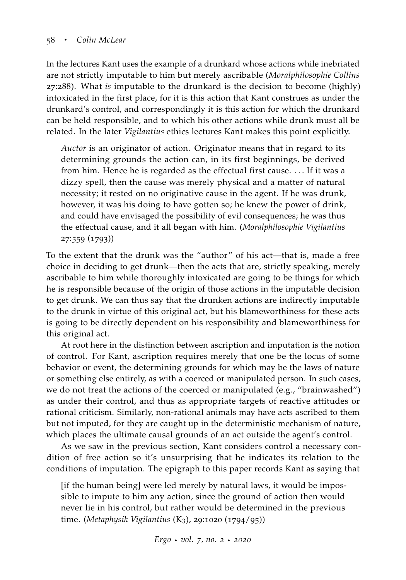In the lectures Kant uses the example of a drunkard whose actions while inebriated are not strictly imputable to him but merely ascribable (*Moralphilosophie Collins* 27:288). What *is* imputable to the drunkard is the decision to become (highly) intoxicated in the first place, for it is this action that Kant construes as under the drunkard's control, and correspondingly it is this action for which the drunkard can be held responsible, and to which his other actions while drunk must all be related. In the later *Vigilantius* ethics lectures Kant makes this point explicitly.

*Auctor* is an originator of action. Originator means that in regard to its determining grounds the action can, in its first beginnings, be derived from him. Hence he is regarded as the effectual first cause. ... If it was a dizzy spell, then the cause was merely physical and a matter of natural necessity; it rested on no originative cause in the agent. If he was drunk, however, it was his doing to have gotten so; he knew the power of drink, and could have envisaged the possibility of evil consequences; he was thus the effectual cause, and it all began with him. (*Moralphilosophie Vigilantius* 27:559 (1793))

To the extent that the drunk was the "author" of his act—that is, made a free choice in deciding to get drunk—then the acts that are, strictly speaking, merely ascribable to him while thoroughly intoxicated are going to be things for which he is responsible because of the origin of those actions in the imputable decision to get drunk. We can thus say that the drunken actions are indirectly imputable to the drunk in virtue of this original act, but his blameworthiness for these acts is going to be directly dependent on his responsibility and blameworthiness for this original act.

At root here in the distinction between ascription and imputation is the notion of control. For Kant, ascription requires merely that one be the locus of some behavior or event, the determining grounds for which may be the laws of nature or something else entirely, as with a coerced or manipulated person. In such cases, we do not treat the actions of the coerced or manipulated (e.g., "brainwashed") as under their control, and thus as appropriate targets of reactive attitudes or rational criticism. Similarly, non-rational animals may have acts ascribed to them but not imputed, for they are caught up in the deterministic mechanism of nature, which places the ultimate causal grounds of an act outside the agent's control.

As we saw in the previous section, Kant considers control a necessary condition of free action so it's unsurprising that he indicates its relation to the conditions of imputation. The epigraph to this paper records Kant as saying that

[if the human being] were led merely by natural laws, it would be impossible to impute to him any action, since the ground of action then would never lie in his control, but rather would be determined in the previous time. (*Metaphysik Vigilantius* (K3), 29:1020 (1794/95))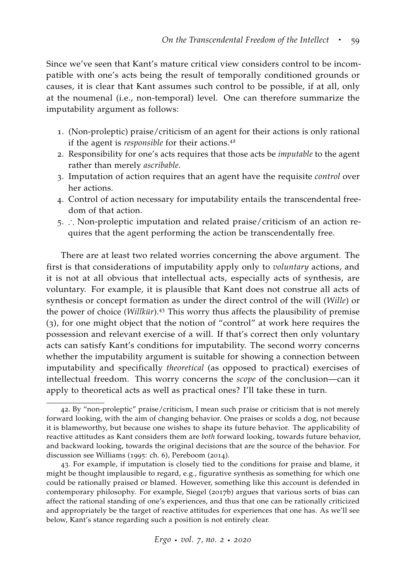Since we've seen that Kant's mature critical view considers control to be incompatible with one's acts being the result of temporally conditioned grounds or causes, it is clear that Kant assumes such control to be possible, if at all, only at the noumenal (i.e., non-temporal) level. One can therefore summarize the imputability argument as follows:

- 1. (Non-proleptic) praise/criticism of an agent for their actions is only rational if the agent is *responsible* for their actions.<sup>42</sup>
- 2. Responsibility for one's acts requires that those acts be *imputable* to the agent rather than merely *ascribable.*
- 3. Imputation of action requires that an agent have the requisite *control* over her actions.
- 4. Control of action necessary for imputability entails the transcendental freedom of that action.
- 5. ∴ Non-proleptic imputation and related praise/criticism of an action requires that the agent performing the action be transcendentally free.

There are at least two related worries concerning the above argument. The first is that considerations of imputability apply only to *voluntary* actions, and it is not at all obvious that intellectual acts, especially acts of synthesis, are voluntary. For example, it is plausible that Kant does not construe all acts of synthesis or concept formation as under the direct control of the will (*Wille*) or the power of choice (*Willkür*).<sup>43</sup> This worry thus affects the plausibility of premise (3), for one might object that the notion of "control" at work here requires the possession and relevant exercise of a will. If that's correct then only voluntary acts can satisfy Kant's conditions for imputability. The second worry concerns whether the imputability argument is suitable for showing a connection between imputability and specifically *theoretical* (as opposed to practical) exercises of intellectual freedom. This worry concerns the *scope* of the conclusion—can it apply to theoretical acts as well as practical ones? I'll take these in turn.

<sup>42</sup>. By "non-proleptic" praise/criticism, I mean such praise or criticism that is not merely forward looking, with the aim of changing behavior. One praises or scolds a dog, not because it is blameworthy, but because one wishes to shape its future behavior. The applicability of reactive attitudes as Kant considers them are *both* forward looking, towards future behavior, and backward looking, towards the original decisions that are the source of the behavior. For discussion see [Williams](#page-69-7) ([1995](#page-69-7): ch. 6), [Pereboom](#page-66-7) ([2014](#page-66-7)).

<sup>43</sup>. For example, if imputation is closely tied to the conditions for praise and blame, it might be thought implausible to regard, e.g., figurative synthesis as something for which one could be rationally praised or blamed. However, something like this account is defended in contemporary philosophy. For example, Siegel ([2017](#page-67-11)b) argues that various sorts of bias can affect the rational standing of one's experiences, and thus that one can be rationally criticized and appropriately be the target of reactive attitudes for experiences that one has. As we'll see below, Kant's stance regarding such a position is not entirely clear.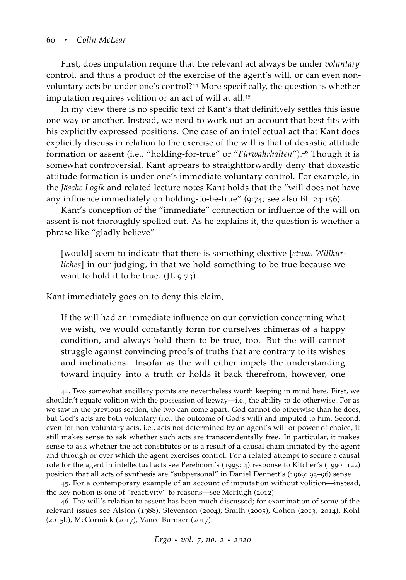First, does imputation require that the relevant act always be under *voluntary* control, and thus a product of the exercise of the agent's will, or can even nonvoluntary acts be under one's control?<sup>44</sup> More specifically, the question is whether imputation requires volition or an act of will at all.<sup>45</sup>

In my view there is no specific text of Kant's that definitively settles this issue one way or another. Instead, we need to work out an account that best fits with his explicitly expressed positions. One case of an intellectual act that Kant does explicitly discuss in relation to the exercise of the will is that of doxastic attitude formation or assent (i.e., "holding-for-true" or "*Fürwahrhalten*").<sup>46</sup> Though it is somewhat controversial, Kant appears to straightforwardly deny that doxastic attitude formation is under one's immediate voluntary control. For example, in the *Jäsche Logik* and related lecture notes Kant holds that the "will does not have any influence immediately on holding-to-be-true" (9:74; see also BL 24:156).

Kant's conception of the "immediate" connection or influence of the will on assent is not thoroughly spelled out. As he explains it, the question is whether a phrase like "gladly believe"

[would] seem to indicate that there is something elective [*etwas Willkürliches*] in our judging, in that we hold something to be true because we want to hold it to be true. (JL 9:73)

Kant immediately goes on to deny this claim,

If the will had an immediate influence on our conviction concerning what we wish, we would constantly form for ourselves chimeras of a happy condition, and always hold them to be true, too. But the will cannot struggle against convincing proofs of truths that are contrary to its wishes and inclinations. Insofar as the will either impels the understanding toward inquiry into a truth or holds it back therefrom, however, one

45. For a contemporary example of an account of imputation without volition—instead, the key notion is one of "reactivity" to reasons—see [McHugh](#page-65-7) ([2012](#page-65-7)).

46. The will's relation to assent has been much discussed; for examination of some of the relevant issues see [Alston](#page-61-11) ([1988](#page-61-11)), [Stevenson](#page-68-9) ([2004](#page-68-9)), [Smith](#page-67-12) ([2005](#page-67-12)), [Cohen](#page-62-8) ([2013](#page-62-8); [2014](#page-62-9)), [Kohl](#page-64-0) ([2015](#page-64-0)b), [McCormick](#page-65-8) ([2017](#page-65-8)), [Vance Buroker](#page-68-10) ([2017](#page-68-10)).

<sup>44</sup>. Two somewhat ancillary points are nevertheless worth keeping in mind here. First, we shouldn't equate volition with the possession of leeway—i.e., the ability to do otherwise. For as we saw in the previous section, the two can come apart. God cannot do otherwise than he does, but God's acts are both voluntary (i.e., the outcome of God's will) and imputed to him. Second, even for non-voluntary acts, i.e., acts not determined by an agent's will or power of choice, it still makes sense to ask whether such acts are transcendentally free. In particular, it makes sense to ask whether the act constitutes or is a result of a causal chain initiated by the agent and through or over which the agent exercises control. For a related attempt to secure a causal role for the agent in intellectual acts see Pereboom's ([1995](#page-66-8): 4) response to Kitcher's ([1990](#page-63-2): 122) position that all acts of synthesis are "subpersonal" in Daniel Dennett's ([1969](#page-62-7): 93–96) sense.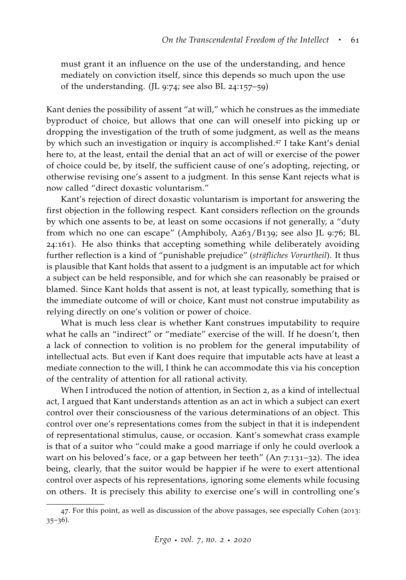must grant it an influence on the use of the understanding, and hence mediately on conviction itself, since this depends so much upon the use of the understanding. (JL 9:74; see also BL 24:157–59)

Kant denies the possibility of assent "at will," which he construes as the immediate byproduct of choice, but allows that one can will oneself into picking up or dropping the investigation of the truth of some judgment, as well as the means by which such an investigation or inquiry is accomplished.<sup>47</sup> I take Kant's denial here to, at the least, entail the denial that an act of will or exercise of the power of choice could be, by itself, the sufficient cause of one's adopting, rejecting, or otherwise revising one's assent to a judgment. In this sense Kant rejects what is now called "direct doxastic voluntarism."

Kant's rejection of direct doxastic voluntarism is important for answering the first objection in the following respect. Kant considers reflection on the grounds by which one assents to be, at least on some occasions if not generally, a "duty from which no one can escape" (Amphiboly, A263/B139; see also JL 9:76; BL 24:161). He also thinks that accepting something while deliberately avoiding further reflection is a kind of "punishable prejudice" (*sträfliches Vorurtheil*). It thus is plausible that Kant holds that assent to a judgment is an imputable act for which a subject can be held responsible, and for which she can reasonably be praised or blamed. Since Kant holds that assent is not, at least typically, something that is the immediate outcome of will or choice, Kant must not construe imputability as relying directly on one's volition or power of choice.

What is much less clear is whether Kant construes imputability to require what he calls an "indirect" or "mediate" exercise of the will. If he doesn't, then a lack of connection to volition is no problem for the general imputability of intellectual acts. But even if Kant does require that imputable acts have at least a mediate connection to the will, I think he can accommodate this via his conception of the centrality of attention for all rational activity.

When I introduced the notion of attention, in Section 2, as a kind of intellectual act, I argued that Kant understands attention as an act in which a subject can exert control over their consciousness of the various determinations of an object. This control over one's representations comes from the subject in that it is independent of representational stimulus, cause, or occasion. Kant's somewhat crass example is that of a suitor who "could make a good marriage if only he could overlook a wart on his beloved's face, or a gap between her teeth" (An 7:131–32). The idea being, clearly, that the suitor would be happier if he were to exert attentional control over aspects of his representations, ignoring some elements while focusing on others. It is precisely this ability to exercise one's will in controlling one's

<sup>47</sup>. For this point, as well as discussion of the above passages, see especially [Cohen](#page-62-8) ([2013](#page-62-8): 35–36).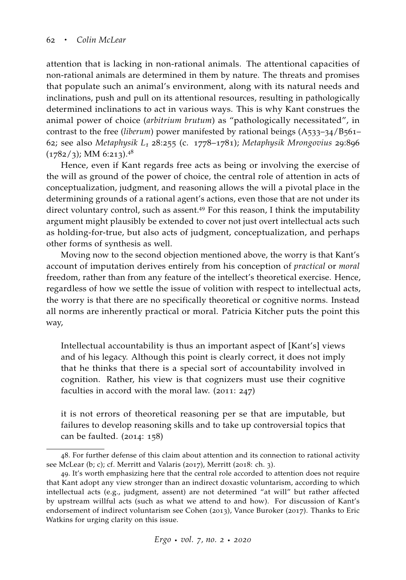attention that is lacking in non-rational animals. The attentional capacities of non-rational animals are determined in them by nature. The threats and promises that populate such an animal's environment, along with its natural needs and inclinations, push and pull on its attentional resources, resulting in pathologically determined inclinations to act in various ways. This is why Kant construes the animal power of choice (*arbitrium brutum*) as "pathologically necessitated", in contrast to the free (*liberum*) power manifested by rational beings (A533–34/B561– 62; see also *Metaphysik L<sup>1</sup>* 28:255 (c. 1778–1781); *Metaphysik Mrongovius* 29:896  $(1782/3)$ ; MM 6:213).<sup>48</sup>

Hence, even if Kant regards free acts as being or involving the exercise of the will as ground of the power of choice, the central role of attention in acts of conceptualization, judgment, and reasoning allows the will a pivotal place in the determining grounds of a rational agent's actions, even those that are not under its direct voluntary control, such as assent.<sup>49</sup> For this reason, I think the imputability argument might plausibly be extended to cover not just overt intellectual acts such as holding-for-true, but also acts of judgment, conceptualization, and perhaps other forms of synthesis as well.

Moving now to the second objection mentioned above, the worry is that Kant's account of imputation derives entirely from his conception of *practical* or *moral* freedom, rather than from any feature of the intellect's theoretical exercise. Hence, regardless of how we settle the issue of volition with respect to intellectual acts, the worry is that there are no specifically theoretical or cognitive norms. Instead all norms are inherently practical or moral. Patricia Kitcher puts the point this way,

Intellectual accountability is thus an important aspect of [Kant's] views and of his legacy. Although this point is clearly correct, it does not imply that he thinks that there is a special sort of accountability involved in cognition. Rather, his view is that cognizers must use their cognitive faculties in accord with the moral law. ([2011](#page-63-1): 247)

it is not errors of theoretical reasoning per se that are imputable, but failures to develop reasoning skills and to take up controversial topics that can be faulted. ([2014](#page-64-8): 158)

<sup>48</sup>. For further defense of this claim about attention and its connection to rational activity see [McLear](#page-65-9) [\(b;](#page-65-10) [c\)](#page-65-9); cf. [Merritt and Valaris](#page-65-2) ([2017](#page-65-2)), [Merritt](#page-65-1) ([2018](#page-65-1): ch. 3).

<sup>49</sup>. It's worth emphasizing here that the central role accorded to attention does not require that Kant adopt any view stronger than an indirect doxastic voluntarism, according to which intellectual acts (e.g., judgment, assent) are not determined "at will" but rather affected by upstream willful acts (such as what we attend to and how). For discussion of Kant's endorsement of indirect voluntarism see [Cohen](#page-62-8) ([2013](#page-62-8)), [Vance Buroker](#page-68-10) ([2017](#page-68-10)). Thanks to Eric Watkins for urging clarity on this issue.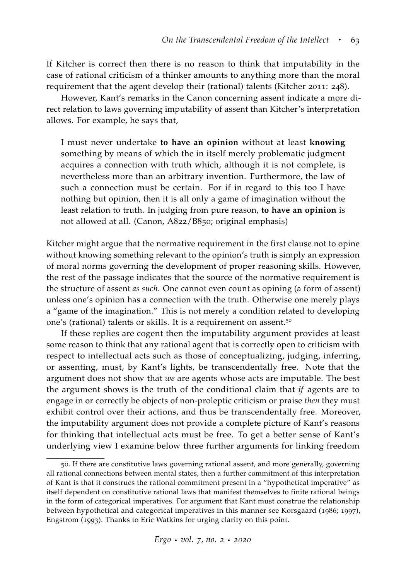If Kitcher is correct then there is no reason to think that imputability in the case of rational criticism of a thinker amounts to anything more than the moral requirement that the agent develop their (rational) talents [\(Kitcher](#page-63-1) [2011](#page-63-1): 248).

However, Kant's remarks in the Canon concerning assent indicate a more direct relation to laws governing imputability of assent than Kitcher's interpretation allows. For example, he says that,

I must never undertake **to have an opinion** without at least **knowing** something by means of which the in itself merely problematic judgment acquires a connection with truth which, although it is not complete, is nevertheless more than an arbitrary invention. Furthermore, the law of such a connection must be certain. For if in regard to this too I have nothing but opinion, then it is all only a game of imagination without the least relation to truth. In judging from pure reason, **to have an opinion** is not allowed at all. (Canon, A822/B850; original emphasis)

Kitcher might argue that the normative requirement in the first clause not to opine without knowing something relevant to the opinion's truth is simply an expression of moral norms governing the development of proper reasoning skills. However, the rest of the passage indicates that the source of the normative requirement is the structure of assent *as such*. One cannot even count as opining (a form of assent) unless one's opinion has a connection with the truth. Otherwise one merely plays a "game of the imagination." This is not merely a condition related to developing one's (rational) talents or skills. It is a requirement on assent.<sup>50</sup>

If these replies are cogent then the imputability argument provides at least some reason to think that any rational agent that is correctly open to criticism with respect to intellectual acts such as those of conceptualizing, judging, inferring, or assenting, must, by Kant's lights, be transcendentally free. Note that the argument does not show that *we* are agents whose acts are imputable. The best the argument shows is the truth of the conditional claim that *if* agents are to engage in or correctly be objects of non-proleptic criticism or praise *then* they must exhibit control over their actions, and thus be transcendentally free. Moreover, the imputability argument does not provide a complete picture of Kant's reasons for thinking that intellectual acts must be free. To get a better sense of Kant's underlying view I examine below three further arguments for linking freedom

<sup>50</sup>. If there are constitutive laws governing rational assent, and more generally, governing all rational connections between mental states, then a further commitment of this interpretation of Kant is that it construes the rational commitment present in a "hypothetical imperative" as itself dependent on constitutive rational laws that manifest themselves to finite rational beings in the form of categorical imperatives. For argument that Kant must construe the relationship between hypothetical and categorical imperatives in this manner see [Korsgaard](#page-64-9) ([1986](#page-64-9); [1997](#page-64-10)), [Engstrom](#page-62-10) ([1993](#page-62-10)). Thanks to Eric Watkins for urging clarity on this point.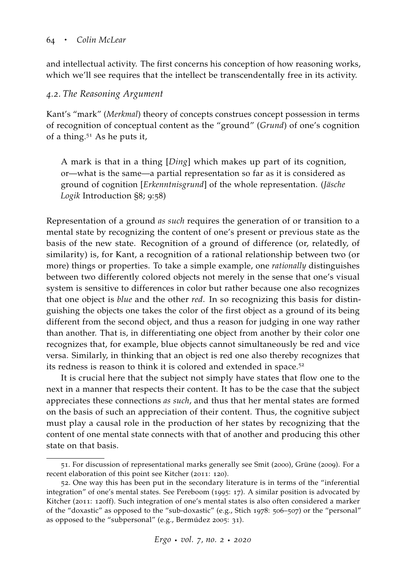and intellectual activity. The first concerns his conception of how reasoning works, which we'll see requires that the intellect be transcendentally free in its activity.

## *4.2. The Reasoning Argument*

Kant's "mark" (*Merkmal*) theory of concepts construes concept possession in terms of recognition of conceptual content as the "ground" (*Grund*) of one's cognition of a thing.<sup>51</sup> As he puts it,

A mark is that in a thing [*Ding*] which makes up part of its cognition, or—what is the same—a partial representation so far as it is considered as ground of cognition [*Erkenntnisgrund*] of the whole representation. (*Jäsche Logik* Introduction §8; 9:58)

Representation of a ground *as such* requires the generation of or transition to a mental state by recognizing the content of one's present or previous state as the basis of the new state. Recognition of a ground of difference (or, relatedly, of similarity) is, for Kant, a recognition of a rational relationship between two (or more) things or properties. To take a simple example, one *rationally* distinguishes between two differently colored objects not merely in the sense that one's visual system is sensitive to differences in color but rather because one also recognizes that one object is *blue* and the other *red*. In so recognizing this basis for distinguishing the objects one takes the color of the first object as a ground of its being different from the second object, and thus a reason for judging in one way rather than another. That is, in differentiating one object from another by their color one recognizes that, for example, blue objects cannot simultaneously be red and vice versa. Similarly, in thinking that an object is red one also thereby recognizes that its redness is reason to think it is colored and extended in space.<sup>52</sup>

It is crucial here that the subject not simply have states that flow one to the next in a manner that respects their content. It has to be the case that the subject appreciates these connections *as such*, and thus that her mental states are formed on the basis of such an appreciation of their content. Thus, the cognitive subject must play a causal role in the production of her states by recognizing that the content of one mental state connects with that of another and producing this other state on that basis.

<sup>51</sup>. For discussion of representational marks generally see [Smit](#page-67-13) ([2000](#page-67-13)), [Grüne](#page-62-11) ([2009](#page-62-11)). For a recent elaboration of this point see [Kitcher](#page-63-1) ([2011](#page-63-1): 120).

<sup>52</sup>. One way this has been put in the secondary literature is in terms of the "inferential integration" of one's mental states. See [Pereboom](#page-66-8) ([1995](#page-66-8): 17). A similar position is advocated by Kitcher ([2011](#page-63-1): 120ff). Such integration of one's mental states is also often considered a marker of the "doxastic" as opposed to the "sub-doxastic" (e.g., [Stich](#page-68-11) [1978](#page-68-11): 506–507) or the "personal" as opposed to the "subpersonal" (e.g., [Bermúdez](#page-61-12) [2005](#page-61-12): 31).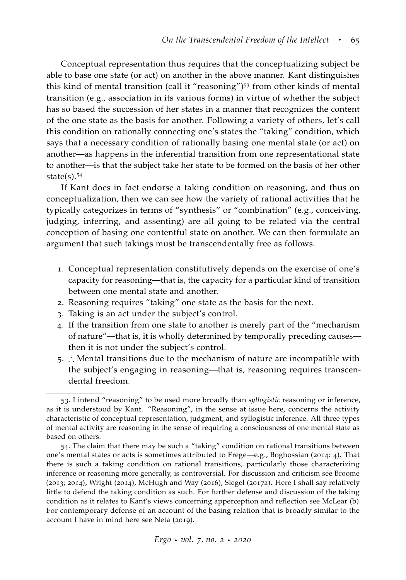Conceptual representation thus requires that the conceptualizing subject be able to base one state (or act) on another in the above manner. Kant distinguishes this kind of mental transition (call it "reasoning") $53$  from other kinds of mental transition (e.g., association in its various forms) in virtue of whether the subject has so based the succession of her states in a manner that recognizes the content of the one state as the basis for another. Following a variety of others, let's call this condition on rationally connecting one's states the "taking" condition, which says that a necessary condition of rationally basing one mental state (or act) on another—as happens in the inferential transition from one representational state to another—is that the subject take her state to be formed on the basis of her other state $(s)$ .<sup>54</sup>

If Kant does in fact endorse a taking condition on reasoning, and thus on conceptualization, then we can see how the variety of rational activities that he typically categorizes in terms of "synthesis" or "combination" (e.g., conceiving, judging, inferring, and assenting) are all going to be related via the central conception of basing one contentful state on another. We can then formulate an argument that such takings must be transcendentally free as follows.

- 1. Conceptual representation constitutively depends on the exercise of one's capacity for reasoning—that is, the capacity for a particular kind of transition between one mental state and another.
- 2. Reasoning requires "taking" one state as the basis for the next.
- 3. Taking is an act under the subject's control.
- 4. If the transition from one state to another is merely part of the "mechanism of nature"—that is, it is wholly determined by temporally preceding causes then it is not under the subject's control.
- 5. ∴ Mental transitions due to the mechanism of nature are incompatible with the subject's engaging in reasoning—that is, reasoning requires transcendental freedom.

<sup>53</sup>. I intend "reasoning" to be used more broadly than *syllogistic* reasoning or inference, as it is understood by Kant. "Reasoning", in the sense at issue here, concerns the activity characteristic of conceptual representation, judgment, and syllogistic inference. All three types of mental activity are reasoning in the sense of requiring a consciousness of one mental state as based on others.

<sup>54</sup>. The claim that there may be such a "taking" condition on rational transitions between one's mental states or acts is sometimes attributed to Frege—e.g., [Boghossian](#page-61-13) ([2014](#page-61-13): 4). That there is such a taking condition on rational transitions, particularly those characterizing inference or reasoning more generally, is controversial. For discussion and criticism see [Broome](#page-61-14) ([2013](#page-61-14); [2014](#page-61-15)), [Wright](#page-69-8) ([2014](#page-69-8)), [McHugh and Way](#page-65-11) ([2016](#page-65-11)), [Siegel](#page-67-14) ([2017](#page-67-14)a). Here I shall say relatively little to defend the taking condition as such. For further defense and discussion of the taking condition as it relates to Kant's views concerning apperception and reflection see [McLear](#page-65-10) [\(b\)](#page-65-10). For contemporary defense of an account of the basing relation that is broadly similar to the account I have in mind here see [Neta](#page-66-9) ([2019](#page-66-9)).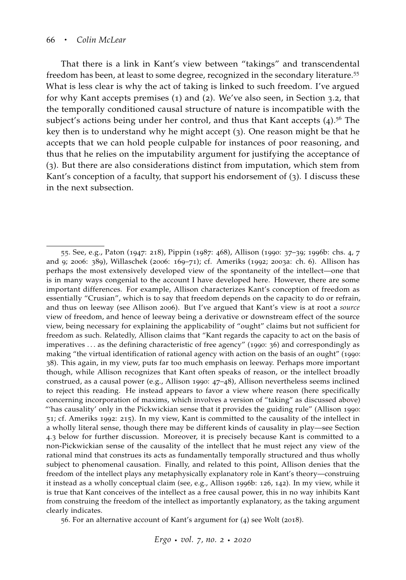That there is a link in Kant's view between "takings" and transcendental freedom has been, at least to some degree, recognized in the secondary literature.<sup>55</sup> What is less clear is why the act of taking is linked to such freedom. I've argued for why Kant accepts premises (1) and (2). We've also seen, in Section 3.2, that the temporally conditioned causal structure of nature is incompatible with the subject's actions being under her control, and thus that Kant accepts  $(4)$ .<sup>56</sup> The key then is to understand why he might accept (3). One reason might be that he accepts that we can hold people culpable for instances of poor reasoning, and thus that he relies on the imputability argument for justifying the acceptance of (3). But there are also considerations distinct from imputation, which stem from Kant's conception of a faculty, that support his endorsement of (3). I discuss these in the next subsection.

56. For an alternative account of Kant's argument for (4) see [Wolt](#page-69-6) ([2018](#page-69-6)).

<sup>55</sup>. See, e.g., [Paton](#page-66-2) ([1947](#page-66-2): 218), [Pippin](#page-66-10) ([1987](#page-66-10): 468), [Allison](#page-60-1) ([1990](#page-60-1): 37–39; [1996](#page-60-0)b: chs. 4, 7 and 9; [2006](#page-61-16): 389), [Willaschek](#page-69-9) ([2006](#page-69-9): 169–71); cf. [Ameriks](#page-61-6) ([1992](#page-61-6); [2003](#page-61-17)a: ch. 6). Allison has perhaps the most extensively developed view of the spontaneity of the intellect—one that is in many ways congenial to the account I have developed here. However, there are some important differences. For example, Allison characterizes Kant's conception of freedom as essentially "Crusian", which is to say that freedom depends on the capacity to do or refrain, and thus on leeway (see [Allison](#page-61-16) [2006](#page-61-16)). But I've argued that Kant's view is at root a *source* view of freedom, and hence of leeway being a derivative or downstream effect of the source view, being necessary for explaining the applicability of "ought" claims but not sufficient for freedom as such. Relatedly, Allison claims that "Kant regards the capacity to act on the basis of imperatives . . . as the defining characteristic of free agency" ([1990](#page-60-1): 36) and correspondingly as making "the virtual identification of rational agency with action on the basis of an ought" ([1990](#page-60-1): 38). This again, in my view, puts far too much emphasis on leeway. Perhaps more important though, while Allison recognizes that Kant often speaks of reason, or the intellect broadly construed, as a causal power (e.g., [Allison](#page-60-1) [1990](#page-60-1): 47–48), Allison nevertheless seems inclined to reject this reading. He instead appears to favor a view where reason (here specifically concerning incorporation of maxims, which involves a version of "taking" as discussed above) "'has causality' only in the Pickwickian sense that it provides the guiding rule" [\(Allison](#page-60-1) [1990](#page-60-1): 51; cf. [Ameriks](#page-61-6) [1992](#page-61-6): 215). In my view, Kant is committed to the causality of the intellect in a wholly literal sense, though there may be different kinds of causality in play—see Section 4.3 below for further discussion. Moreover, it is precisely because Kant is committed to a non-Pickwickian sense of the causality of the intellect that he must reject any view of the rational mind that construes its acts as fundamentally temporally structured and thus wholly subject to phenomenal causation. Finally, and related to this point, Allison denies that the freedom of the intellect plays any metaphysically explanatory role in Kant's theory—construing it instead as a wholly conceptual claim (see, e.g., [Allison](#page-60-0) [1996](#page-60-0)b: 126, 142). In my view, while it is true that Kant conceives of the intellect as a free causal power, this in no way inhibits Kant from construing the freedom of the intellect as importantly explanatory, as the taking argument clearly indicates.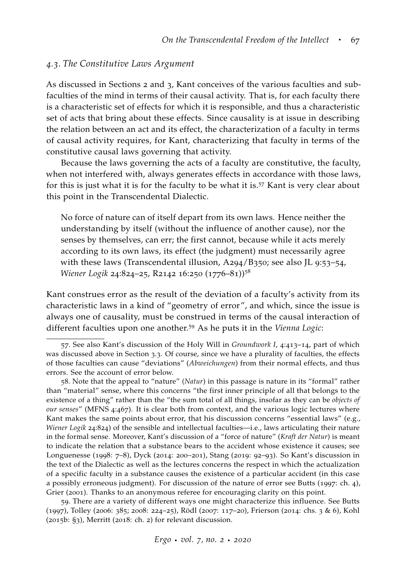#### *4.3. The Constitutive Laws Argument*

As discussed in Sections 2 and 3, Kant conceives of the various faculties and subfaculties of the mind in terms of their causal activity. That is, for each faculty there is a characteristic set of effects for which it is responsible, and thus a characteristic set of acts that bring about these effects. Since causality is at issue in describing the relation between an act and its effect, the characterization of a faculty in terms of causal activity requires, for Kant, characterizing that faculty in terms of the constitutive causal laws governing that activity.

Because the laws governing the acts of a faculty are constitutive, the faculty, when not interfered with, always generates effects in accordance with those laws, for this is just what it is for the faculty to be what it is.<sup>57</sup> Kant is very clear about this point in the Transcendental Dialectic.

No force of nature can of itself depart from its own laws. Hence neither the understanding by itself (without the influence of another cause), nor the senses by themselves, can err; the first cannot, because while it acts merely according to its own laws, its effect (the judgment) must necessarily agree with these laws (Transcendental illusion, A294/B350; see also JL 9:53-54, *Wiener Logik* 24:824–25, R2142 16:250 (1776–81))<sup>58</sup>

Kant construes error as the result of the deviation of a faculty's activity from its characteristic laws in a kind of "geometry of error", and which, since the issue is always one of causality, must be construed in terms of the causal interaction of different faculties upon one another.<sup>59</sup> As he puts it in the *Vienna Logic*:

59. There are a variety of different ways one might characterize this influence. See [Butts](#page-61-18) ([1997](#page-61-18)), [Tolley](#page-68-12) ([2006](#page-68-12): 385; [2008](#page-68-13): 224–25), [Rödl](#page-66-11) ([2007](#page-66-11): 117–20), [Frierson](#page-62-0) ([2014](#page-62-0): chs. 3 & 6), [Kohl](#page-64-0) ([2015](#page-64-0)b: §3), [Merritt](#page-65-1) ([2018](#page-65-1): ch. 2) for relevant discussion.

<sup>57</sup>. See also Kant's discussion of the Holy Will in *Groundwork I*, 4:413–14, part of which was discussed above in Section 3.3. Of course, since we have a plurality of faculties, the effects of those faculties can cause "deviations" (*Abweichungen*) from their normal effects, and thus errors. See the account of error below.

<sup>58</sup>. Note that the appeal to "nature" (*Natur*) in this passage is nature in its "formal" rather than "material" sense, where this concerns "the first inner principle of all that belongs to the existence of a thing" rather than the "the sum total of all things, insofar as they can be *objects of our senses*" (MFNS 4:467). It is clear both from context, and the various logic lectures where Kant makes the same points about error, that his discussion concerns "essential laws" (e.g., *Wiener Logik* 24:824) of the sensible and intellectual faculties—i.e., laws articulating their nature in the formal sense. Moreover, Kant's discussion of a "force of nature" (*Kraft der Natur*) is meant to indicate the relation that a substance bears to the accident whose existence it causes; see [Longuenesse](#page-64-2) ([1998](#page-64-2): 7–8), [Dyck](#page-62-12) ([2014](#page-62-12): 200–201), [Stang](#page-67-2) ([2019](#page-67-2): 92–93). So Kant's discussion in the text of the Dialectic as well as the lectures concerns the respect in which the actualization of a specific faculty in a substance causes the existence of a particular accident (in this case a possibly erroneous judgment). For discussion of the nature of error see [Butts](#page-61-18) ([1997](#page-61-18): ch. 4), [Grier](#page-62-13) ([2001](#page-62-13)). Thanks to an anonymous referee for encouraging clarity on this point.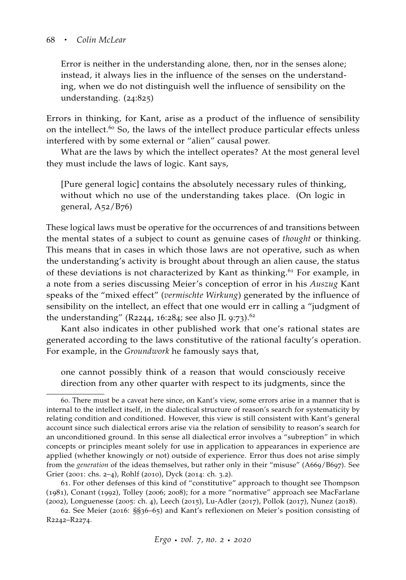Error is neither in the understanding alone, then, nor in the senses alone; instead, it always lies in the influence of the senses on the understanding, when we do not distinguish well the influence of sensibility on the understanding. (24:825)

Errors in thinking, for Kant, arise as a product of the influence of sensibility on the intellect.<sup>60</sup> So, the laws of the intellect produce particular effects unless interfered with by some external or "alien" causal power.

What are the laws by which the intellect operates? At the most general level they must include the laws of logic. Kant says,

[Pure general logic] contains the absolutely necessary rules of thinking, without which no use of the understanding takes place. (On logic in general,  $A<sub>52</sub>/B<sub>76</sub>$ 

These logical laws must be operative for the occurrences of and transitions between the mental states of a subject to count as genuine cases of *thought* or thinking. This means that in cases in which those laws are not operative, such as when the understanding's activity is brought about through an alien cause, the status of these deviations is not characterized by Kant as thinking.<sup>61</sup> For example, in a note from a series discussing Meier's conception of error in his *Auszug* Kant speaks of the "mixed effect" (*vermischte Wirkung*) generated by the influence of sensibility on the intellect, an effect that one would err in calling a "judgment of the understanding" (R2244, 16:284; see also JL 9:73).<sup>62</sup>

Kant also indicates in other published work that one's rational states are generated according to the laws constitutive of the rational faculty's operation. For example, in the *Groundwork* he famously says that,

one cannot possibly think of a reason that would consciously receive direction from any other quarter with respect to its judgments, since the

<sup>60</sup>. There must be a caveat here since, on Kant's view, some errors arise in a manner that is internal to the intellect itself, in the dialectical structure of reason's search for systematicity by relating condition and conditioned. However, this view is still consistent with Kant's general account since such dialectical errors arise via the relation of sensibility to reason's search for an unconditioned ground. In this sense all dialectical error involves a "subreption" in which concepts or principles meant solely for use in application to appearances in experience are applied (whether knowingly or not) outside of experience. Error thus does not arise simply from the *generation* of the ideas themselves, but rather only in their "misuse" (A669/B697). See [Grier](#page-62-13) ([2001](#page-62-13): chs. 2–4), [Rohlf](#page-66-12) ([2010](#page-66-12)), [Dyck](#page-62-12) ([2014](#page-62-12): ch. 3.2).

<sup>61</sup>. For other defenses of this kind of "constitutive" approach to thought see [Thompson](#page-68-14) ([1981](#page-68-14)), [Conant](#page-62-14) ([1992](#page-62-14)), [Tolley](#page-68-12) ([2006](#page-68-12); [2008](#page-68-13)); for a more "normative" approach see [MacFarlane](#page-64-11) ([2002](#page-64-11)), [Longuenesse](#page-64-12) ([2005](#page-64-12): ch. 4), [Leech](#page-64-13) ([2015](#page-64-13)), [Lu-Adler](#page-64-14) ([2017](#page-64-14)), [Pollok](#page-66-13) ([2017](#page-66-13)), [Nunez](#page-66-14) ([2018](#page-66-14)).

<sup>62</sup>. See [Meier](#page-65-12) ([2016](#page-65-12): §§36–65) and Kant's reflexionen on Meier's position consisting of R2242–R2274.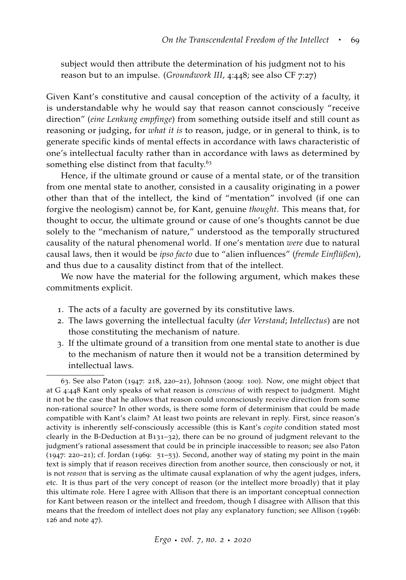subject would then attribute the determination of his judgment not to his reason but to an impulse. (*Groundwork III*, 4:448; see also CF 7:27)

Given Kant's constitutive and causal conception of the activity of a faculty, it is understandable why he would say that reason cannot consciously "receive direction" (*eine Lenkung empfinge*) from something outside itself and still count as reasoning or judging, for *what it is* to reason, judge, or in general to think, is to generate specific kinds of mental effects in accordance with laws characteristic of one's intellectual faculty rather than in accordance with laws as determined by something else distinct from that faculty.<sup>63</sup>

Hence, if the ultimate ground or cause of a mental state, or of the transition from one mental state to another, consisted in a causality originating in a power other than that of the intellect, the kind of "mentation" involved (if one can forgive the neologism) cannot be, for Kant, genuine *thought*. This means that, for thought to occur, the ultimate ground or cause of one's thoughts cannot be due solely to the "mechanism of nature," understood as the temporally structured causality of the natural phenomenal world. If one's mentation *were* due to natural causal laws, then it would be *ipso facto* due to "alien influences" (*fremde Einflüßen*), and thus due to a causality distinct from that of the intellect.

We now have the material for the following argument, which makes these commitments explicit.

- 1. The acts of a faculty are governed by its constitutive laws.
- 2. The laws governing the intellectual faculty (*der Verstand*; *Intellectus*) are not those constituting the mechanism of nature.
- 3. If the ultimate ground of a transition from one mental state to another is due to the mechanism of nature then it would not be a transition determined by intellectual laws.

<sup>63</sup>. See also [Paton](#page-66-2) ([1947](#page-66-2): 218, 220–21), [Johnson](#page-63-11) ([2009](#page-63-11): 100). Now, one might object that at G 4:448 Kant only speaks of what reason is *conscious* of with respect to judgment. Might it not be the case that he allows that reason could *un*consciously receive direction from some non-rational source? In other words, is there some form of determinism that could be made compatible with Kant's claim? At least two points are relevant in reply. First, since reason's activity is inherently self-consciously accessible (this is Kant's *cogito* condition stated most clearly in the B-Deduction at B131–32), there can be no ground of judgment relevant to the judgment's rational assessment that could be in principle inaccessible to reason; see also [Paton](#page-66-2) ([1947](#page-66-2): 220–21); cf. [Jordan](#page-63-6) ([1969](#page-63-6): 51–53). Second, another way of stating my point in the main text is simply that if reason receives direction from another source, then consciously or not, it is not *reason* that is serving as the ultimate causal explanation of why the agent judges, infers, etc. It is thus part of the very concept of reason (or the intellect more broadly) that it play this ultimate role. Here I agree with Allison that there is an important conceptual connection for Kant between reason or the intellect and freedom, though I disagree with Allison that this means that the freedom of intellect does not play any explanatory function; see [Allison](#page-60-0) ([1996](#page-60-0)b: 126 and note 47).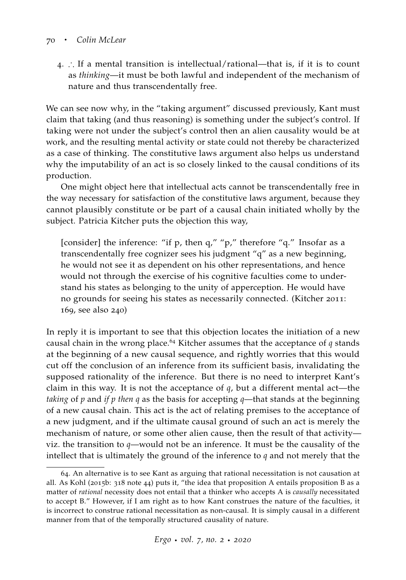#### <sup>70</sup> · *Colin McLear*

4. ∴ If a mental transition is intellectual/rational—that is, if it is to count as *thinking*—it must be both lawful and independent of the mechanism of nature and thus transcendentally free.

We can see now why, in the "taking argument" discussed previously, Kant must claim that taking (and thus reasoning) is something under the subject's control. If taking were not under the subject's control then an alien causality would be at work, and the resulting mental activity or state could not thereby be characterized as a case of thinking. The constitutive laws argument also helps us understand why the imputability of an act is so closely linked to the causal conditions of its production.

One might object here that intellectual acts cannot be transcendentally free in the way necessary for satisfaction of the constitutive laws argument, because they cannot plausibly constitute or be part of a causal chain initiated wholly by the subject. Patricia Kitcher puts the objection this way,

[consider] the inference: "if p, then q," "p," therefore "q." Insofar as a transcendentally free cognizer sees his judgment "q" as a new beginning, he would not see it as dependent on his other representations, and hence would not through the exercise of his cognitive faculties come to understand his states as belonging to the unity of apperception. He would have no grounds for seeing his states as necessarily connected. [\(Kitcher](#page-63-1) [2011](#page-63-1): 169, see also 240)

In reply it is important to see that this objection locates the initiation of a new causal chain in the wrong place.<sup>64</sup> Kitcher assumes that the acceptance of  $q$  stands at the beginning of a new causal sequence, and rightly worries that this would cut off the conclusion of an inference from its sufficient basis, invalidating the supposed rationality of the inference. But there is no need to interpret Kant's claim in this way. It is not the acceptance of *q*, but a different mental act—the *taking* of *p* and *if p then q* as the basis for accepting *q*—that stands at the beginning of a new causal chain. This act is the act of relating premises to the acceptance of a new judgment, and if the ultimate causal ground of such an act is merely the mechanism of nature, or some other alien cause, then the result of that activity viz. the transition to *q*—would not be an inference. It must be the causality of the intellect that is ultimately the ground of the inference to *q* and not merely that the

<sup>64</sup>. An alternative is to see Kant as arguing that rational necessitation is not causation at all. As Kohl ([2015](#page-64-0)b: 318 note 44) puts it, "the idea that proposition A entails proposition B as a matter of *rational* necessity does not entail that a thinker who accepts A is *causally* necessitated to accept B." However, if I am right as to how Kant construes the nature of the faculties, it is incorrect to construe rational necessitation as non-causal. It is simply causal in a different manner from that of the temporally structured causality of nature.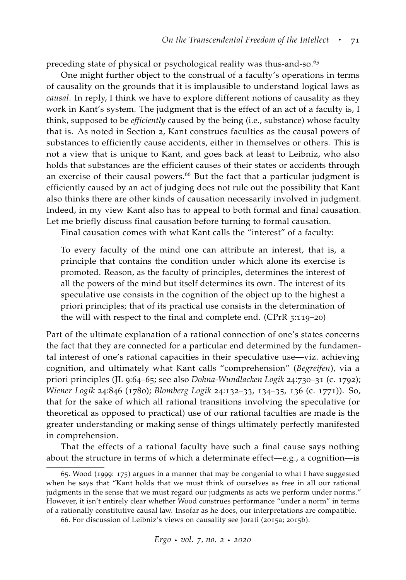preceding state of physical or psychological reality was thus-and-so.<sup>65</sup>

One might further object to the construal of a faculty's operations in terms of causality on the grounds that it is implausible to understand logical laws as *causal*. In reply, I think we have to explore different notions of causality as they work in Kant's system. The judgment that is the effect of an act of a faculty is, I think, supposed to be *efficiently* caused by the being (i.e., substance) whose faculty that is. As noted in Section 2, Kant construes faculties as the causal powers of substances to efficiently cause accidents, either in themselves or others. This is not a view that is unique to Kant, and goes back at least to Leibniz, who also holds that substances are the efficient causes of their states or accidents through an exercise of their causal powers.<sup>66</sup> But the fact that a particular judgment is efficiently caused by an act of judging does not rule out the possibility that Kant also thinks there are other kinds of causation necessarily involved in judgment. Indeed, in my view Kant also has to appeal to both formal and final causation. Let me briefly discuss final causation before turning to formal causation.

Final causation comes with what Kant calls the "interest" of a faculty:

To every faculty of the mind one can attribute an interest, that is, a principle that contains the condition under which alone its exercise is promoted. Reason, as the faculty of principles, determines the interest of all the powers of the mind but itself determines its own. The interest of its speculative use consists in the cognition of the object up to the highest a priori principles; that of its practical use consists in the determination of the will with respect to the final and complete end. (CPrR 5:119–20)

Part of the ultimate explanation of a rational connection of one's states concerns the fact that they are connected for a particular end determined by the fundamental interest of one's rational capacities in their speculative use—viz. achieving cognition, and ultimately what Kant calls "comprehension" (*Begreifen*), via a priori principles (JL 9:64–65; see also *Dohna-Wundlacken Logik* 24:730–31 (c. 1792); *Wiener Logik* 24:846 (1780); *Blomberg Logik* 24:132–33, 134–35, 136 (c. 1771)). So, that for the sake of which all rational transitions involving the speculative (or theoretical as opposed to practical) use of our rational faculties are made is the greater understanding or making sense of things ultimately perfectly manifested in comprehension.

That the effects of a rational faculty have such a final cause says nothing about the structure in terms of which a determinate effect—e.g., a cognition—is

<sup>65</sup>. Wood ([1999](#page-69-2): 175) argues in a manner that may be congenial to what I have suggested when he says that "Kant holds that we must think of ourselves as free in all our rational judgments in the sense that we must regard our judgments as acts we perform under norms." However, it isn't entirely clear whether Wood construes performance "under a norm" in terms of a rationally constitutive causal law. Insofar as he does, our interpretations are compatible.

<sup>66</sup>. For discussion of Leibniz's views on causality see [Jorati](#page-63-12) ([2015](#page-63-12)a; [2015](#page-63-13)b).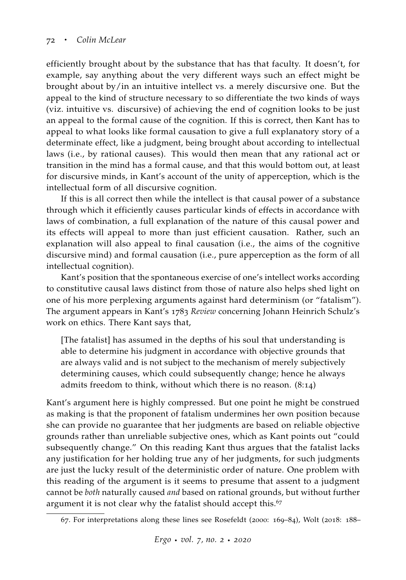efficiently brought about by the substance that has that faculty. It doesn't, for example, say anything about the very different ways such an effect might be brought about by/in an intuitive intellect vs. a merely discursive one. But the appeal to the kind of structure necessary to so differentiate the two kinds of ways (viz. intuitive vs. discursive) of achieving the end of cognition looks to be just an appeal to the formal cause of the cognition. If this is correct, then Kant has to appeal to what looks like formal causation to give a full explanatory story of a determinate effect, like a judgment, being brought about according to intellectual laws (i.e., by rational causes). This would then mean that any rational act or transition in the mind has a formal cause, and that this would bottom out, at least for discursive minds, in Kant's account of the unity of apperception, which is the intellectual form of all discursive cognition.

If this is all correct then while the intellect is that causal power of a substance through which it efficiently causes particular kinds of effects in accordance with laws of combination, a full explanation of the nature of this causal power and its effects will appeal to more than just efficient causation. Rather, such an explanation will also appeal to final causation (i.e., the aims of the cognitive discursive mind) and formal causation (i.e., pure apperception as the form of all intellectual cognition).

Kant's position that the spontaneous exercise of one's intellect works according to constitutive causal laws distinct from those of nature also helps shed light on one of his more perplexing arguments against hard determinism (or "fatalism"). The argument appears in Kant's 1783 *Review* concerning Johann Heinrich Schulz's work on ethics. There Kant says that,

[The fatalist] has assumed in the depths of his soul that understanding is able to determine his judgment in accordance with objective grounds that are always valid and is not subject to the mechanism of merely subjectively determining causes, which could subsequently change; hence he always admits freedom to think, without which there is no reason. (8:14)

Kant's argument here is highly compressed. But one point he might be construed as making is that the proponent of fatalism undermines her own position because she can provide no guarantee that her judgments are based on reliable objective grounds rather than unreliable subjective ones, which as Kant points out "could subsequently change." On this reading Kant thus argues that the fatalist lacks any justification for her holding true any of her judgments, for such judgments are just the lucky result of the deterministic order of nature. One problem with this reading of the argument is it seems to presume that assent to a judgment cannot be *both* naturally caused *and* based on rational grounds, but without further argument it is not clear why the fatalist should accept this.<sup>67</sup>

<sup>67</sup>. For interpretations along these lines see [Rosefeldt](#page-66-15) ([2000](#page-66-15): 169–84), [Wolt](#page-69-6) ([2018](#page-69-6): 188–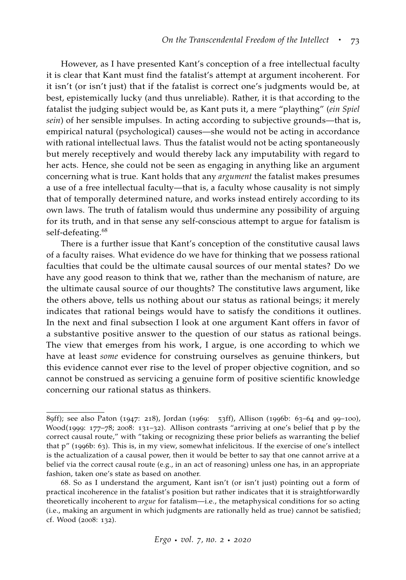However, as I have presented Kant's conception of a free intellectual faculty it is clear that Kant must find the fatalist's attempt at argument incoherent. For it isn't (or isn't just) that if the fatalist is correct one's judgments would be, at best, epistemically lucky (and thus unreliable). Rather, it is that according to the fatalist the judging subject would be, as Kant puts it, a mere "plaything" (*ein Spiel sein*) of her sensible impulses. In acting according to subjective grounds—that is, empirical natural (psychological) causes—she would not be acting in accordance with rational intellectual laws. Thus the fatalist would not be acting spontaneously but merely receptively and would thereby lack any imputability with regard to her acts. Hence, she could not be seen as engaging in anything like an argument concerning what is true. Kant holds that any *argument* the fatalist makes presumes a use of a free intellectual faculty—that is, a faculty whose causality is not simply that of temporally determined nature, and works instead entirely according to its own laws. The truth of fatalism would thus undermine any possibility of arguing for its truth, and in that sense any self-conscious attempt to argue for fatalism is self-defeating.<sup>68</sup>

There is a further issue that Kant's conception of the constitutive causal laws of a faculty raises. What evidence do we have for thinking that we possess rational faculties that could be the ultimate causal sources of our mental states? Do we have any good reason to think that we, rather than the mechanism of nature, are the ultimate causal source of our thoughts? The constitutive laws argument, like the others above, tells us nothing about our status as rational beings; it merely indicates that rational beings would have to satisfy the conditions it outlines. In the next and final subsection I look at one argument Kant offers in favor of a substantive positive answer to the question of our status as rational beings. The view that emerges from his work, I argue, is one according to which we have at least *some* evidence for construing ourselves as genuine thinkers, but this evidence cannot ever rise to the level of proper objective cognition, and so cannot be construed as servicing a genuine form of positive scientific knowledge concerning our rational status as thinkers.

<sup>89</sup>ff); see also [Paton](#page-66-2) ([1947](#page-66-2): 218), [Jordan](#page-63-6) ([1969](#page-63-6): 53ff), [Allison](#page-60-0) ([1996](#page-60-0)b: 63–64 and 99–100), [Wood\(](#page-69-2)[1999](#page-69-2): 177–78; [2008](#page-69-10): 131–32). Allison contrasts "arriving at one's belief that p by the correct causal route," with "taking or recognizing these prior beliefs as warranting the belief that p" ([1996](#page-60-0)b: 63). This is, in my view, somewhat infelicitous. If the exercise of one's intellect is the actualization of a causal power, then it would be better to say that one cannot arrive at a belief via the correct causal route (e.g., in an act of reasoning) unless one has, in an appropriate fashion, taken one's state as based on another.

<sup>68</sup>. So as I understand the argument, Kant isn't (or isn't just) pointing out a form of practical incoherence in the fatalist's position but rather indicates that it is straightforwardly theoretically incoherent to *argue* for fatalism—i.e., the metaphysical conditions for so acting (i.e., making an argument in which judgments are rationally held as true) cannot be satisfied; cf. [Wood](#page-69-10) ([2008](#page-69-10): 132).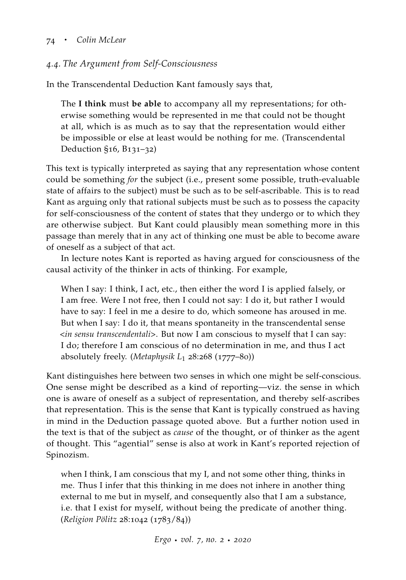# *4.4. The Argument from Self-Consciousness*

In the Transcendental Deduction Kant famously says that,

The **I think** must **be able** to accompany all my representations; for otherwise something would be represented in me that could not be thought at all, which is as much as to say that the representation would either be impossible or else at least would be nothing for me. (Transcendental Deduction §16, B131–32)

This text is typically interpreted as saying that any representation whose content could be something *for* the subject (i.e., present some possible, truth-evaluable state of affairs to the subject) must be such as to be self-ascribable. This is to read Kant as arguing only that rational subjects must be such as to possess the capacity for self-consciousness of the content of states that they undergo or to which they are otherwise subject. But Kant could plausibly mean something more in this passage than merely that in any act of thinking one must be able to become aware of oneself as a subject of that act.

In lecture notes Kant is reported as having argued for consciousness of the causal activity of the thinker in acts of thinking. For example,

When I say: I think, I act, etc., then either the word I is applied falsely, or I am free. Were I not free, then I could not say: I do it, but rather I would have to say: I feel in me a desire to do, which someone has aroused in me. But when I say: I do it, that means spontaneity in the transcendental sense <*in sensu transcendentali*>. But now I am conscious to myself that I can say: I do; therefore I am conscious of no determination in me, and thus I act absolutely freely. (*Metaphysik L*<sup>1</sup> 28:268 (1777–80))

Kant distinguishes here between two senses in which one might be self-conscious. One sense might be described as a kind of reporting—viz. the sense in which one is aware of oneself as a subject of representation, and thereby self-ascribes that representation. This is the sense that Kant is typically construed as having in mind in the Deduction passage quoted above. But a further notion used in the text is that of the subject as *cause* of the thought, or of thinker as the agent of thought. This "agential" sense is also at work in Kant's reported rejection of Spinozism.

when I think, I am conscious that my I, and not some other thing, thinks in me. Thus I infer that this thinking in me does not inhere in another thing external to me but in myself, and consequently also that I am a substance, i.e. that I exist for myself, without being the predicate of another thing. (*Religion Pölitz* 28:1042 (1783/84))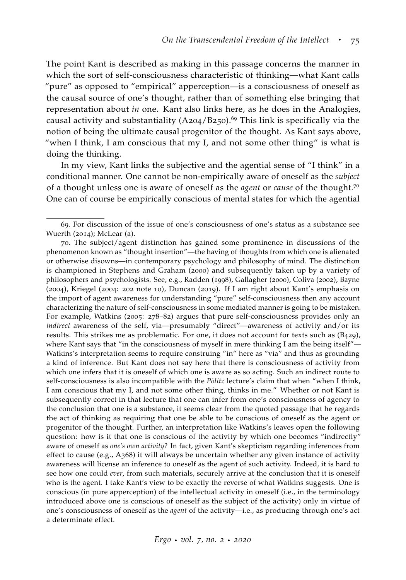The point Kant is described as making in this passage concerns the manner in which the sort of self-consciousness characteristic of thinking—what Kant calls "pure" as opposed to "empirical" apperception—is a consciousness of oneself as the causal source of one's thought, rather than of something else bringing that representation about *in* one. Kant also links here, as he does in the Analogies, causal activity and substantiality  $(A204/B250)$ .<sup>69</sup> This link is specifically via the notion of being the ultimate causal progenitor of the thought. As Kant says above, "when I think, I am conscious that my I, and not some other thing" is what is doing the thinking.

In my view, Kant links the subjective and the agential sense of "I think" in a conditional manner. One cannot be non-empirically aware of oneself as the *subject* of a thought unless one is aware of oneself as the *agent* or *cause* of the thought.<sup>70</sup> One can of course be empirically conscious of mental states for which the agential

<sup>69</sup>. For discussion of the issue of one's consciousness of one's status as a substance see [Wuerth](#page-69-0) ([2014](#page-69-0)); [McLear](#page-65-13) [\(a\)](#page-65-13).

<sup>70</sup>. The subject/agent distinction has gained some prominence in discussions of the phenomenon known as "thought insertion"—the having of thoughts from which one is alienated or otherwise disowns—in contemporary psychology and philosophy of mind. The distinction is championed in [Stephens and Graham](#page-67-15) ([2000](#page-67-15)) and subsequently taken up by a variety of philosophers and psychologists. See, e.g., [Radden](#page-66-16) ([1998](#page-66-16)), [Gallagher](#page-62-15) ([2000](#page-62-15)), [Coliva](#page-62-16) ([2002](#page-62-16)), [Bayne](#page-61-19) ([2004](#page-61-19)), [Kriegel](#page-64-15) ([2004](#page-64-15): 202 note 10), [Duncan](#page-62-17) ([2019](#page-62-17)). If I am right about Kant's emphasis on the import of agent awareness for understanding "pure" self-consciousness then any account characterizing the nature of self-consciousness in some mediated manner is going to be mistaken. For example, Watkins ([2005](#page-68-2): 278–82) argues that pure self-consciousness provides only an *indirect* awareness of the self, via—presumably "direct"—awareness of activity and/or its results. This strikes me as problematic. For one, it does not account for texts such as (B429), where Kant says that "in the consciousness of myself in mere thinking I am the being itself"-Watkins's interpretation seems to require construing "in" here as "via" and thus as grounding a kind of inference. But Kant does not say here that there is consciousness of activity from which one infers that it is oneself of which one is aware as so acting. Such an indirect route to self-consciousness is also incompatible with the *Pölitz* lecture's claim that when "when I think, I am conscious that my I, and not some other thing, thinks in me." Whether or not Kant is subsequently correct in that lecture that one can infer from one's consciousness of agency to the conclusion that one is a substance, it seems clear from the quoted passage that he regards the act of thinking as requiring that one be able to be conscious of oneself as the agent or progenitor of the thought. Further, an interpretation like Watkins's leaves open the following question: how is it that one is conscious of the activity by which one becomes "indirectly" aware of oneself as *one's own activity*? In fact, given Kant's skepticism regarding inferences from effect to cause (e.g., A368) it will always be uncertain whether any given instance of activity awareness will license an inference to oneself as the agent of such activity. Indeed, it is hard to see how one could *ever*, from such materials, securely arrive at the conclusion that it is oneself who is the agent. I take Kant's view to be exactly the reverse of what Watkins suggests. One is conscious (in pure apperception) of the intellectual activity in oneself (i.e., in the terminology introduced above one is conscious of oneself as the subject of the activity) only in virtue of one's consciousness of oneself as the *agent* of the activity—i.e., as producing through one's act a determinate effect.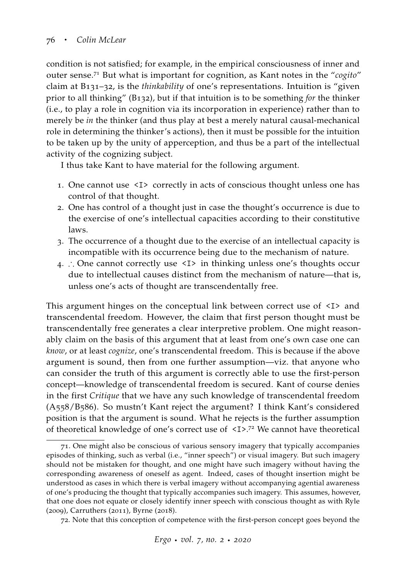condition is not satisfied; for example, in the empirical consciousness of inner and outer sense.<sup>71</sup> But what is important for cognition, as Kant notes in the "*cogito*" claim at B131–32, is the *thinkability* of one's representations. Intuition is "given prior to all thinking" (B132), but if that intuition is to be something *for* the thinker (i.e., to play a role in cognition via its incorporation in experience) rather than to merely be *in* the thinker (and thus play at best a merely natural causal-mechanical role in determining the thinker's actions), then it must be possible for the intuition to be taken up by the unity of apperception, and thus be a part of the intellectual activity of the cognizing subject.

I thus take Kant to have material for the following argument.

- 1. One cannot use <I> correctly in acts of conscious thought unless one has control of that thought.
- 2. One has control of a thought just in case the thought's occurrence is due to the exercise of one's intellectual capacities according to their constitutive laws.
- 3. The occurrence of a thought due to the exercise of an intellectual capacity is incompatible with its occurrence being due to the mechanism of nature.
- 4. ∴ One cannot correctly use <I> in thinking unless one's thoughts occur due to intellectual causes distinct from the mechanism of nature—that is, unless one's acts of thought are transcendentally free.

This argument hinges on the conceptual link between correct use of  $\langle I \rangle$  and transcendental freedom. However, the claim that first person thought must be transcendentally free generates a clear interpretive problem. One might reasonably claim on the basis of this argument that at least from one's own case one can *know*, or at least *cognize*, one's transcendental freedom. This is because if the above argument is sound, then from one further assumption—viz. that anyone who can consider the truth of this argument is correctly able to use the first-person concept—knowledge of transcendental freedom is secured. Kant of course denies in the first *Critique* that we have any such knowledge of transcendental freedom (A558/B586). So mustn't Kant reject the argument? I think Kant's considered position is that the argument is sound. What he rejects is the further assumption of theoretical knowledge of one's correct use of <I>.72 We cannot have theoretical

<sup>71</sup>. One might also be conscious of various sensory imagery that typically accompanies episodes of thinking, such as verbal (i.e., "inner speech") or visual imagery. But such imagery should not be mistaken for thought, and one might have such imagery without having the corresponding awareness of oneself as agent. Indeed, cases of thought insertion might be understood as cases in which there is verbal imagery without accompanying agential awareness of one's producing the thought that typically accompanies such imagery. This assumes, however, that one does not equate or closely identify inner speech with conscious thought as with [Ryle](#page-66-17) ([2009](#page-66-17)), [Carruthers](#page-62-18) ([2011](#page-62-18)), [Byrne](#page-62-19) ([2018](#page-62-19)).

<sup>72</sup>. Note that this conception of competence with the first-person concept goes beyond the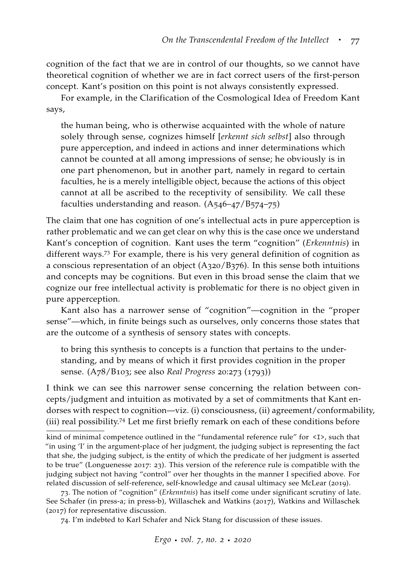cognition of the fact that we are in control of our thoughts, so we cannot have theoretical cognition of whether we are in fact correct users of the first-person concept. Kant's position on this point is not always consistently expressed.

For example, in the Clarification of the Cosmological Idea of Freedom Kant says,

the human being, who is otherwise acquainted with the whole of nature solely through sense, cognizes himself [*erkennt sich selbst*] also through pure apperception, and indeed in actions and inner determinations which cannot be counted at all among impressions of sense; he obviously is in one part phenomenon, but in another part, namely in regard to certain faculties, he is a merely intelligible object, because the actions of this object cannot at all be ascribed to the receptivity of sensibility. We call these faculties understanding and reason. (A546–47/B574–75)

The claim that one has cognition of one's intellectual acts in pure apperception is rather problematic and we can get clear on why this is the case once we understand Kant's conception of cognition. Kant uses the term "cognition" (*Erkenntnis*) in different ways.<sup>73</sup> For example, there is his very general definition of cognition as a conscious representation of an object (A320/B376). In this sense both intuitions and concepts may be cognitions. But even in this broad sense the claim that we cognize our free intellectual activity is problematic for there is no object given in pure apperception.

Kant also has a narrower sense of "cognition"—cognition in the "proper sense"—which, in finite beings such as ourselves, only concerns those states that are the outcome of a synthesis of sensory states with concepts.

to bring this synthesis to concepts is a function that pertains to the understanding, and by means of which it first provides cognition in the proper sense. (A78/B103; see also *Real Progress* 20:273 (1793))

I think we can see this narrower sense concerning the relation between concepts/judgment and intuition as motivated by a set of commitments that Kant endorses with respect to cognition—viz. (i) consciousness, (ii) agreement/conformability, (iii) real possibility.<sup>74</sup> Let me first briefly remark on each of these conditions before

kind of minimal competence outlined in the "fundamental reference rule" for <I>, such that "in using 'I' in the argument-place of her judgment, the judging subject is representing the fact that she, the judging subject, is the entity of which the predicate of her judgment is asserted to be true" [\(Longuenesse](#page-64-16) [2017](#page-64-16): 23). This version of the reference rule is compatible with the judging subject not having "control" over her thoughts in the manner I specified above. For related discussion of self-reference, self-knowledge and causal ultimacy see [McLear](#page-65-14) ([2019](#page-65-14)).

<sup>73</sup>. The notion of "cognition" (*Erkenntnis*) has itself come under significant scrutiny of late. See [Schafer](#page-67-16) [\(in press-a;](#page-67-16) [in press-b\)](#page-67-17), [Willaschek and Watkins](#page-69-11) ([2017](#page-69-11)), [Watkins and Willaschek](#page-69-12) ([2017](#page-69-12)) for representative discussion.

<sup>74</sup>. I'm indebted to Karl Schafer and Nick Stang for discussion of these issues.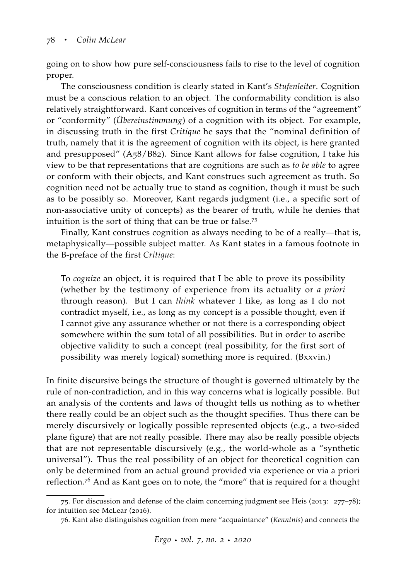going on to show how pure self-consciousness fails to rise to the level of cognition proper.

The consciousness condition is clearly stated in Kant's *Stufenleiter*. Cognition must be a conscious relation to an object. The conformability condition is also relatively straightforward. Kant conceives of cognition in terms of the "agreement" or "conformity" (*Übereinstimmung*) of a cognition with its object. For example, in discussing truth in the first *Critique* he says that the "nominal definition of truth, namely that it is the agreement of cognition with its object, is here granted and presupposed" (A58/B82). Since Kant allows for false cognition, I take his view to be that representations that are cognitions are such as *to be able* to agree or conform with their objects, and Kant construes such agreement as truth. So cognition need not be actually true to stand as cognition, though it must be such as to be possibly so. Moreover, Kant regards judgment (i.e., a specific sort of non-associative unity of concepts) as the bearer of truth, while he denies that intuition is the sort of thing that can be true or false.<sup>75</sup>

Finally, Kant construes cognition as always needing to be of a really—that is, metaphysically—possible subject matter. As Kant states in a famous footnote in the B-preface of the first *Critique*:

To *cognize* an object, it is required that I be able to prove its possibility (whether by the testimony of experience from its actuality or *a priori* through reason). But I can *think* whatever I like, as long as I do not contradict myself, i.e., as long as my concept is a possible thought, even if I cannot give any assurance whether or not there is a corresponding object somewhere within the sum total of all possibilities. But in order to ascribe objective validity to such a concept (real possibility, for the first sort of possibility was merely logical) something more is required. (Bxxvin.)

In finite discursive beings the structure of thought is governed ultimately by the rule of non-contradiction, and in this way concerns what is logically possible. But an analysis of the contents and laws of thought tells us nothing as to whether there really could be an object such as the thought specifies. Thus there can be merely discursively or logically possible represented objects (e.g., a two-sided plane figure) that are not really possible. There may also be really possible objects that are not representable discursively (e.g., the world-whole as a "synthetic universal"). Thus the real possibility of an object for theoretical cognition can only be determined from an actual ground provided via experience or via a priori reflection.<sup>76</sup> And as Kant goes on to note, the "more" that is required for a thought

<sup>75</sup>. For discussion and defense of the claim concerning judgment see [Heis](#page-63-14) ([2013](#page-63-14): 277–78); for intuition see [McLear](#page-65-15) ([2016](#page-65-15)).

<sup>76</sup>. Kant also distinguishes cognition from mere "acquaintance" (*Kenntnis*) and connects the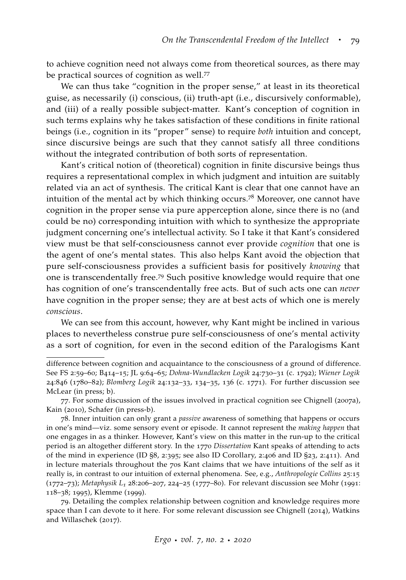to achieve cognition need not always come from theoretical sources, as there may be practical sources of cognition as well.<sup>77</sup>

We can thus take "cognition in the proper sense," at least in its theoretical guise, as necessarily (i) conscious, (ii) truth-apt (i.e., discursively conformable), and (iii) of a really possible subject-matter. Kant's conception of cognition in such terms explains why he takes satisfaction of these conditions in finite rational beings (i.e., cognition in its "proper" sense) to require *both* intuition and concept, since discursive beings are such that they cannot satisfy all three conditions without the integrated contribution of both sorts of representation.

Kant's critical notion of (theoretical) cognition in finite discursive beings thus requires a representational complex in which judgment and intuition are suitably related via an act of synthesis. The critical Kant is clear that one cannot have an intuition of the mental act by which thinking occurs.<sup>78</sup> Moreover, one cannot have cognition in the proper sense via pure apperception alone, since there is no (and could be no) corresponding intuition with which to synthesize the appropriate judgment concerning one's intellectual activity. So I take it that Kant's considered view must be that self-consciousness cannot ever provide *cognition* that one is the agent of one's mental states. This also helps Kant avoid the objection that pure self-consciousness provides a sufficient basis for positively *knowing* that one is transcendentally free.<sup>79</sup> Such positive knowledge would require that one has cognition of one's transcendentally free acts. But of such acts one can *never* have cognition in the proper sense; they are at best acts of which one is merely *conscious*.

We can see from this account, however, why Kant might be inclined in various places to nevertheless construe pure self-consciousness of one's mental activity as a sort of cognition, for even in the second edition of the Paralogisms Kant

79. Detailing the complex relationship between cognition and knowledge requires more space than I can devote to it here. For some relevant discussion see [Chignell](#page-62-20) ([2014](#page-62-20)), [Watkins](#page-69-12) [and Willaschek](#page-69-12) ([2017](#page-69-12)).

difference between cognition and acquaintance to the consciousness of a ground of difference. See FS 2:59–60; B414–15; JL 9:64–65; *Dohna-Wundlacken Logik* 24:730–31 (c. 1792); *Wiener Logik* 24:846 (1780–82); *Blomberg Logik* 24:132–33, 134–35, 136 (c. 1771). For further discussion see [McLear](#page-65-16) [\(in press;](#page-65-16) [b\)](#page-65-10).

<sup>77</sup>. For some discussion of the issues involved in practical cognition see [Chignell](#page-62-1) ([2007](#page-62-1)a), [Kain](#page-63-15) ([2010](#page-63-15)), [Schafer](#page-67-17) [\(in press-b\)](#page-67-17).

<sup>78</sup>. Inner intuition can only grant a *passive* awareness of something that happens or occurs in one's mind—viz. some sensory event or episode. It cannot represent the *making happen* that one engages in as a thinker. However, Kant's view on this matter in the run-up to the critical period is an altogether different story. In the 1770 *Dissertation* Kant speaks of attending to acts of the mind in experience (ID §8, 2:395; see also ID Corollary, 2:406 and ID §23, 2:411). And in lecture materials throughout the 70s Kant claims that we have intuitions of the self as it really is, in contrast to our intuition of external phenomena. See, e.g., *Anthropologie Collins* 25:15 (1772–73); *Metaphysik L<sup>1</sup>* 28:206–207, 224–25 (1777–80). For relevant discussion see [Mohr](#page-65-17) ([1991](#page-65-17): 118–38; [1995](#page-65-18)), [Klemme](#page-64-17) ([1999](#page-64-17)).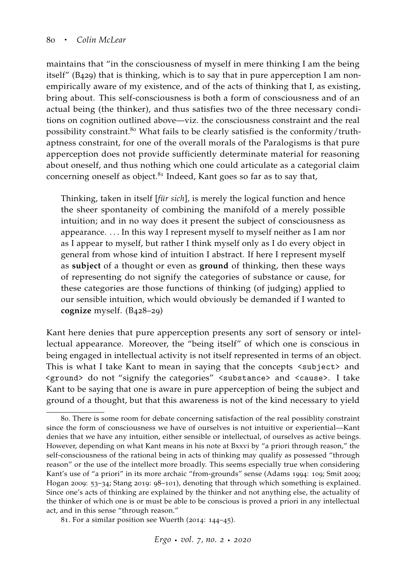maintains that "in the consciousness of myself in mere thinking I am the being itself" (B429) that is thinking, which is to say that in pure apperception I am nonempirically aware of my existence, and of the acts of thinking that I, as existing, bring about. This self-consciousness is both a form of consciousness and of an actual being (the thinker), and thus satisfies two of the three necessary conditions on cognition outlined above—viz. the consciousness constraint and the real possibility constraint.<sup>80</sup> What fails to be clearly satisfied is the conformity/truthaptness constraint, for one of the overall morals of the Paralogisms is that pure apperception does not provide sufficiently determinate material for reasoning about oneself, and thus nothing which one could articulate as a categorial claim concerning oneself as object.<sup>81</sup> Indeed, Kant goes so far as to say that,

Thinking, taken in itself [*für sich*], is merely the logical function and hence the sheer spontaneity of combining the manifold of a merely possible intuition; and in no way does it present the subject of consciousness as appearance. . . . In this way I represent myself to myself neither as I am nor as I appear to myself, but rather I think myself only as I do every object in general from whose kind of intuition I abstract. If here I represent myself as **subject** of a thought or even as **ground** of thinking, then these ways of representing do not signify the categories of substance or cause, for these categories are those functions of thinking (of judging) applied to our sensible intuition, which would obviously be demanded if I wanted to **cognize** myself. (B428–29)

Kant here denies that pure apperception presents any sort of sensory or intellectual appearance. Moreover, the "being itself" of which one is conscious in being engaged in intellectual activity is not itself represented in terms of an object. This is what I take Kant to mean in saying that the concepts <subject> and <ground> do not "signify the categories" <substance> and <cause>. I take Kant to be saying that one is aware in pure apperception of being the subject and ground of a thought, but that this awareness is not of the kind necessary to yield

<sup>80</sup>. There is some room for debate concerning satisfaction of the real possiblity constraint since the form of consciousness we have of ourselves is not intuitive or experiential—Kant denies that we have any intuition, either sensible or intellectual, of ourselves as active beings. However, depending on what Kant means in his note at Bxxvi by "a priori through reason," the self-consciousness of the rational being in acts of thinking may qualify as possessed "through reason" or the use of the intellect more broadly. This seems especially true when considering Kant's use of "a priori" in its more archaic "from-grounds" sense [\(Adams](#page-60-4) [1994](#page-60-4): 109; [Smit](#page-67-1) [2009](#page-67-1); [Hogan](#page-63-5) [2009](#page-63-5): 53–34; [Stang](#page-67-2) [2019](#page-67-2): 98–101), denoting that through which something is explained. Since one's acts of thinking are explained by the thinker and not anything else, the actuality of the thinker of which one is or must be able to be conscious is proved a priori in any intellectual act, and in this sense "through reason."

<sup>81</sup>. For a similar position see [Wuerth](#page-69-0) ([2014](#page-69-0): 144–45).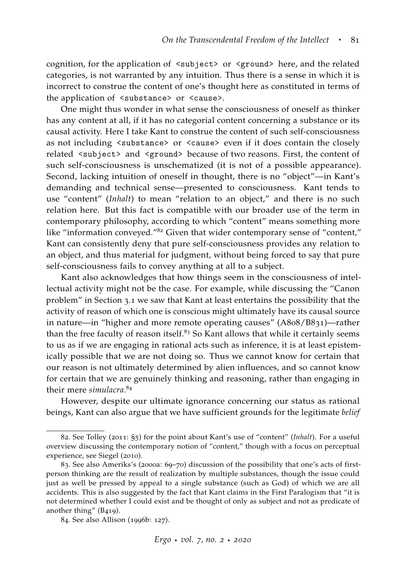cognition, for the application of <subject> or <ground> here, and the related categories, is not warranted by any intuition. Thus there is a sense in which it is incorrect to construe the content of one's thought here as constituted in terms of the application of <substance> or <cause>.

One might thus wonder in what sense the consciousness of oneself as thinker has any content at all, if it has no categorial content concerning a substance or its causal activity. Here I take Kant to construe the content of such self-consciousness as not including <substance> or <cause> even if it does contain the closely related <subject> and <ground> because of two reasons. First, the content of such self-consciousness is unschematized (it is not of a possible appearance). Second, lacking intuition of oneself in thought, there is no "object"—in Kant's demanding and technical sense—presented to consciousness. Kant tends to use "content" (*Inhalt*) to mean "relation to an object," and there is no such relation here. But this fact is compatible with our broader use of the term in contemporary philosophy, according to which "content" means something more like "information conveyed."<sup>82</sup> Given that wider contemporary sense of "content," Kant can consistently deny that pure self-consciousness provides any relation to an object, and thus material for judgment, without being forced to say that pure self-consciousness fails to convey anything at all to a subject.

Kant also acknowledges that how things seem in the consciousness of intellectual activity might not be the case. For example, while discussing the "Canon problem" in Section 3.1 we saw that Kant at least entertains the possibility that the activity of reason of which one is conscious might ultimately have its causal source in nature—in "higher and more remote operating causes" (A808/B831)—rather than the free faculty of reason itself. $83$  So Kant allows that while it certainly seems to us as if we are engaging in rational acts such as inference, it is at least epistemically possible that we are not doing so. Thus we cannot know for certain that our reason is not ultimately determined by alien influences, and so cannot know for certain that we are genuinely thinking and reasoning, rather than engaging in their mere *simulacra*. 84

However, despite our ultimate ignorance concerning our status as rational beings, Kant can also argue that we have sufficient grounds for the legitimate *belief*

<sup>82</sup>. See [Tolley](#page-68-15) ([2011](#page-68-15): §5) for the point about Kant's use of "content" (*Inhalt*). For a useful overview discussing the contemporary notion of "content," though with a focus on perceptual experience, see [Siegel](#page-67-18) ([2010](#page-67-18)).

<sup>83</sup>. See also Ameriks's ([2000](#page-61-9)a: 69–70) discussion of the possibility that one's acts of firstperson thinking are the result of realization by multiple substances, though the issue could just as well be pressed by appeal to a single substance (such as God) of which we are all accidents. This is also suggested by the fact that Kant claims in the First Paralogism that "it is not determined whether I could exist and be thought of only as subject and not as predicate of another thing" (B419).

<sup>84</sup>. See also [Allison](#page-60-0) ([1996](#page-60-0)b: 127).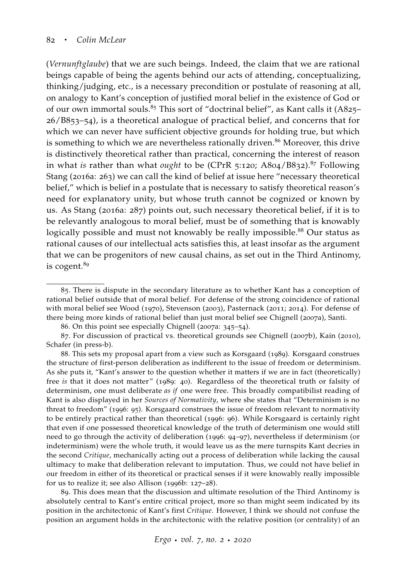(*Vernunftglaube*) that we are such beings. Indeed, the claim that we are rational beings capable of being the agents behind our acts of attending, conceptualizing, thinking/judging, etc., is a necessary precondition or postulate of reasoning at all, on analogy to Kant's conception of justified moral belief in the existence of God or of our own immortal souls.<sup>85</sup> This sort of "doctrinal belief", as Kant calls it  $(A825)$ -26/B853–54), is a theoretical analogue of practical belief, and concerns that for which we can never have sufficient objective grounds for holding true, but which is something to which we are nevertheless rationally driven.<sup>86</sup> Moreover, this drive is distinctively theoretical rather than practical, concerning the interest of reason in what *is* rather than what *ought* to be (CPrR 5:120; A804/B832).<sup>87</sup> Following Stang ([2016](#page-67-3)a: 263) we can call the kind of belief at issue here "necessary theoretical belief," which is belief in a postulate that is necessary to satisfy theoretical reason's need for explanatory unity, but whose truth cannot be cognized or known by us. As Stang ([2016](#page-67-3)a: 287) points out, such necessary theoretical belief, if it is to be relevantly analogous to moral belief, must be of something that is knowably logically possible and must not knowably be really impossible.<sup>88</sup> Our status as rational causes of our intellectual acts satisfies this, at least insofar as the argument that we can be progenitors of new causal chains, as set out in the Third Antinomy, is cogent.<sup>89</sup>

89. This does mean that the discussion and ultimate resolution of the Third Antinomy is absolutely central to Kant's entire critical project, more so than might seem indicated by its position in the architectonic of Kant's first *Critique*. However, I think we should not confuse the position an argument holds in the architectonic with the relative position (or centrality) of an

<sup>85</sup>. There is dispute in the secondary literature as to whether Kant has a conception of rational belief outside that of moral belief. For defense of the strong coincidence of rational with moral belief see [Wood](#page-69-13) ([1970](#page-69-13)), [Stevenson](#page-68-1) ([2003](#page-68-1)), [Pasternack](#page-66-0) ([2011](#page-66-0); [2014](#page-66-18)). For defense of there being more kinds of rational belief than just moral belief see [Chignell](#page-62-1) ([2007](#page-62-1)a), [Santi.](#page-66-19)

<sup>86</sup>. On this point see especially [Chignell](#page-62-1) ([2007](#page-62-1)a: 345–54).

<sup>87</sup>. For discussion of practical vs. theoretical grounds see [Chignell](#page-62-2) ([2007](#page-62-2)b), [Kain](#page-63-15) ([2010](#page-63-15)), [Schafer](#page-67-17) [\(in press-b\)](#page-67-17).

<sup>88</sup>. This sets my proposal apart from a view such as Korsgaard ([1989](#page-64-18)). Korsgaard construes the structure of first-person deliberation as indifferent to the issue of freedom or determinism. As she puts it, "Kant's answer to the question whether it matters if we are in fact (theoretically) free *is* that it does not matter" ([1989](#page-64-18): 40). Regardless of the theoretical truth or falsity of determinism, one must deliberate *as if* one were free. This broadly compatibilist reading of Kant is also displayed in her *Sources of Normativity*, where she states that "Determinism is no threat to freedom" ([1996](#page-64-19): 95). Korsgaard construes the issue of freedom relevant to normativity to be entirely practical rather than theoretical ([1996](#page-64-19): 96). While Korsgaard is certainly right that even if one possessed theoretical knowledge of the truth of determinism one would still need to go through the activity of deliberation ([1996](#page-64-19): 94–97), nevertheless if determinism (or indeterminism) were the whole truth, it would leave us as the mere turnspits Kant decries in the second *Critique*, mechanically acting out a process of deliberation while lacking the causal ultimacy to make that deliberation relevant to imputation. Thus, we could not have belief in our freedom in either of its theoretical or practical senses if it were knowably really impossible for us to realize it; see also [Allison](#page-60-0) ([1996](#page-60-0)b: 127–28).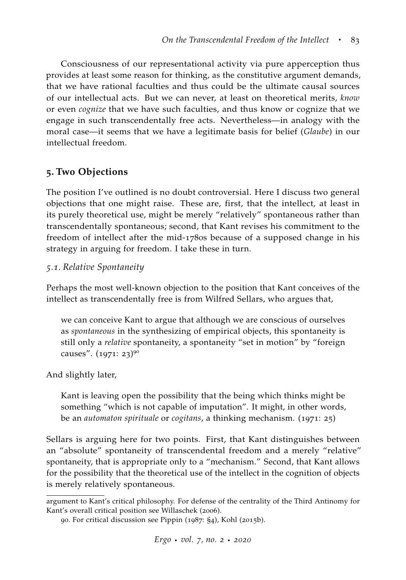Consciousness of our representational activity via pure apperception thus provides at least some reason for thinking, as the constitutive argument demands, that we have rational faculties and thus could be the ultimate causal sources of our intellectual acts. But we can never, at least on theoretical merits, *know* or even *cognize* that we have such faculties, and thus know or cognize that we engage in such transcendentally free acts. Nevertheless—in analogy with the moral case—it seems that we have a legitimate basis for belief (*Glaube*) in our intellectual freedom.

## **5. Two Objections**

The position I've outlined is no doubt controversial. Here I discuss two general objections that one might raise. These are, first, that the intellect, at least in its purely theoretical use, might be merely "relatively" spontaneous rather than transcendentally spontaneous; second, that Kant revises his commitment to the freedom of intellect after the mid-1780s because of a supposed change in his strategy in arguing for freedom. I take these in turn.

#### *5.1. Relative Spontaneity*

Perhaps the most well-known objection to the position that Kant conceives of the intellect as transcendentally free is from Wilfred Sellars, who argues that,

we can conceive Kant to argue that although we are conscious of ourselves as *spontaneous* in the synthesizing of empirical objects, this spontaneity is still only a *relative* spontaneity, a spontaneity "set in motion" by "foreign causes". ([1971](#page-67-6): 23)<sup>90</sup>

And slightly later,

Kant is leaving open the possibility that the being which thinks might be something "which is not capable of imputation". It might, in other words, be an *automaton spirituale* or *cogitans*, a thinking mechanism. ([1971](#page-67-6): 25)

Sellars is arguing here for two points. First, that Kant distinguishes between an "absolute" spontaneity of transcendental freedom and a merely "relative" spontaneity, that is appropriate only to a "mechanism." Second, that Kant allows for the possibility that the theoretical use of the intellect in the cognition of objects is merely relatively spontaneous.

argument to Kant's critical philosophy. For defense of the centrality of the Third Antinomy for Kant's overall critical position see [Willaschek](#page-69-9) ([2006](#page-69-9)).

<sup>90</sup>. For critical discussion see [Pippin](#page-66-10) ([1987](#page-66-10): §4), [Kohl](#page-64-0) ([2015](#page-64-0)b).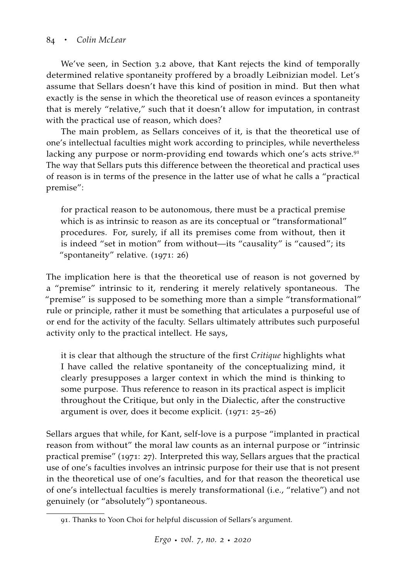We've seen, in Section 3.2 above, that Kant rejects the kind of temporally determined relative spontaneity proffered by a broadly Leibnizian model. Let's assume that Sellars doesn't have this kind of position in mind. But then what exactly is the sense in which the theoretical use of reason evinces a spontaneity that is merely "relative," such that it doesn't allow for imputation, in contrast with the practical use of reason, which does?

The main problem, as Sellars conceives of it, is that the theoretical use of one's intellectual faculties might work according to principles, while nevertheless lacking any purpose or norm-providing end towards which one's acts strive.<sup>91</sup> The way that Sellars puts this difference between the theoretical and practical uses of reason is in terms of the presence in the latter use of what he calls a "practical premise":

for practical reason to be autonomous, there must be a practical premise which is as intrinsic to reason as are its conceptual or "transformational" procedures. For, surely, if all its premises come from without, then it is indeed "set in motion" from without—its "causality" is "caused"; its "spontaneity" relative. ([1971](#page-67-6): 26)

The implication here is that the theoretical use of reason is not governed by a "premise" intrinsic to it, rendering it merely relatively spontaneous. The "premise" is supposed to be something more than a simple "transformational" rule or principle, rather it must be something that articulates a purposeful use of or end for the activity of the faculty. Sellars ultimately attributes such purposeful activity only to the practical intellect. He says,

it is clear that although the structure of the first *Critique* highlights what I have called the relative spontaneity of the conceptualizing mind, it clearly presupposes a larger context in which the mind is thinking to some purpose. Thus reference to reason in its practical aspect is implicit throughout the Critique, but only in the Dialectic, after the constructive argument is over, does it become explicit. ([1971](#page-67-6): 25–26)

Sellars argues that while, for Kant, self-love is a purpose "implanted in practical reason from without" the moral law counts as an internal purpose or "intrinsic practical premise" ([1971](#page-67-6): 27). Interpreted this way, Sellars argues that the practical use of one's faculties involves an intrinsic purpose for their use that is not present in the theoretical use of one's faculties, and for that reason the theoretical use of one's intellectual faculties is merely transformational (i.e., "relative") and not genuinely (or "absolutely") spontaneous.

<sup>91</sup>. Thanks to Yoon Choi for helpful discussion of Sellars's argument.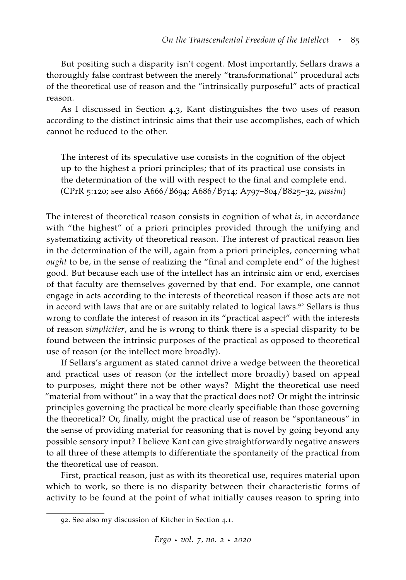But positing such a disparity isn't cogent. Most importantly, Sellars draws a thoroughly false contrast between the merely "transformational" procedural acts of the theoretical use of reason and the "intrinsically purposeful" acts of practical reason.

As I discussed in Section 4.3, Kant distinguishes the two uses of reason according to the distinct intrinsic aims that their use accomplishes, each of which cannot be reduced to the other.

The interest of its speculative use consists in the cognition of the object up to the highest a priori principles; that of its practical use consists in the determination of the will with respect to the final and complete end. (CPrR 5:120; see also A666/B694; A686/B714; A797–804/B825–32, *passim*)

The interest of theoretical reason consists in cognition of what *is*, in accordance with "the highest" of a priori principles provided through the unifying and systematizing activity of theoretical reason. The interest of practical reason lies in the determination of the will, again from a priori principles, concerning what *ought* to be, in the sense of realizing the "final and complete end" of the highest good. But because each use of the intellect has an intrinsic aim or end, exercises of that faculty are themselves governed by that end. For example, one cannot engage in acts according to the interests of theoretical reason if those acts are not in accord with laws that are or are suitably related to logical laws.<sup>92</sup> Sellars is thus wrong to conflate the interest of reason in its "practical aspect" with the interests of reason *simpliciter*, and he is wrong to think there is a special disparity to be found between the intrinsic purposes of the practical as opposed to theoretical use of reason (or the intellect more broadly).

If Sellars's argument as stated cannot drive a wedge between the theoretical and practical uses of reason (or the intellect more broadly) based on appeal to purposes, might there not be other ways? Might the theoretical use need "material from without" in a way that the practical does not? Or might the intrinsic principles governing the practical be more clearly specifiable than those governing the theoretical? Or, finally, might the practical use of reason be "spontaneous" in the sense of providing material for reasoning that is novel by going beyond any possible sensory input? I believe Kant can give straightforwardly negative answers to all three of these attempts to differentiate the spontaneity of the practical from the theoretical use of reason.

First, practical reason, just as with its theoretical use, requires material upon which to work, so there is no disparity between their characteristic forms of activity to be found at the point of what initially causes reason to spring into

<sup>92</sup>. See also my discussion of Kitcher in Section 4.1.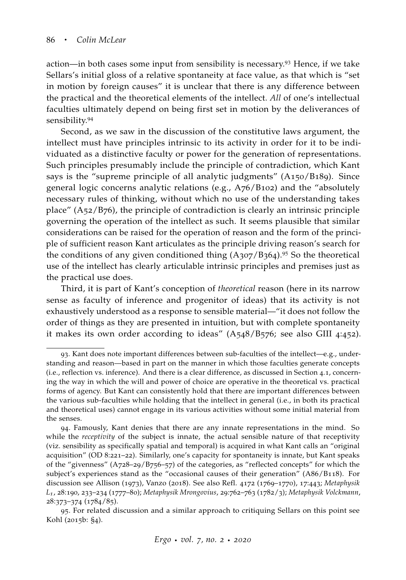action—in both cases some input from sensibility is necessary.<sup>93</sup> Hence, if we take Sellars's initial gloss of a relative spontaneity at face value, as that which is "set in motion by foreign causes" it is unclear that there is any difference between the practical and the theoretical elements of the intellect. *All* of one's intellectual faculties ultimately depend on being first set in motion by the deliverances of sensibility.<sup>94</sup>

Second, as we saw in the discussion of the constitutive laws argument, the intellect must have principles intrinsic to its activity in order for it to be individuated as a distinctive faculty or power for the generation of representations. Such principles presumably include the principle of contradiction, which Kant says is the "supreme principle of all analytic judgments" (A150/B189). Since general logic concerns analytic relations (e.g., A76/B102) and the "absolutely necessary rules of thinking, without which no use of the understanding takes place" (A52/B76), the principle of contradiction is clearly an intrinsic principle governing the operation of the intellect as such. It seems plausible that similar considerations can be raised for the operation of reason and the form of the principle of sufficient reason Kant articulates as the principle driving reason's search for the conditions of any given conditioned thing  $(A307/B364).$ <sup>95</sup> So the theoretical use of the intellect has clearly articulable intrinsic principles and premises just as the practical use does.

Third, it is part of Kant's conception of *theoretical* reason (here in its narrow sense as faculty of inference and progenitor of ideas) that its activity is not exhaustively understood as a response to sensible material—"it does not follow the order of things as they are presented in intuition, but with complete spontaneity it makes its own order according to ideas" (A548/B576; see also GIII 4:452).

<sup>93</sup>. Kant does note important differences between sub-faculties of the intellect—e.g., understanding and reason—based in part on the manner in which those faculties generate concepts (i.e., reflection vs. inference). And there is a clear difference, as discussed in Section 4.1, concerning the way in which the will and power of choice are operative in the theoretical vs. practical forms of agency. But Kant can consistently hold that there are important differences between the various sub-faculties while holding that the intellect in general (i.e., in both its practical and theoretical uses) cannot engage in its various activities without some initial material from the senses.

<sup>94</sup>. Famously, Kant denies that there are any innate representations in the mind. So while the *receptivity* of the subject is innate, the actual sensible nature of that receptivity (viz. sensibility as specifically spatial and temporal) is acquired in what Kant calls an "original acquisition" (OD 8:221–22). Similarly, one's capacity for spontaneity is innate, but Kant speaks of the "givenness" (A728–29/B756–57) of the categories, as "reflected concepts" for which the subject's experiences stand as the "occasional causes of their generation" (A86/B118). For discussion see [Allison](#page-60-5) ([1973](#page-60-5)), [Vanzo](#page-68-16) ([2018](#page-68-16)). See also Refl. 4172 (1769–1770), 17:443; *Metaphysik L1*, 28:190, 233–234 (1777–80); *Metaphysik Mrongovius*, 29:762–763 (1782/3); *Metaphysik Volckmann*, 28:373–374 (1784/85).

<sup>95</sup>. For related discussion and a similar approach to critiquing Sellars on this point see [Kohl](#page-64-0) ([2015](#page-64-0)b: §4).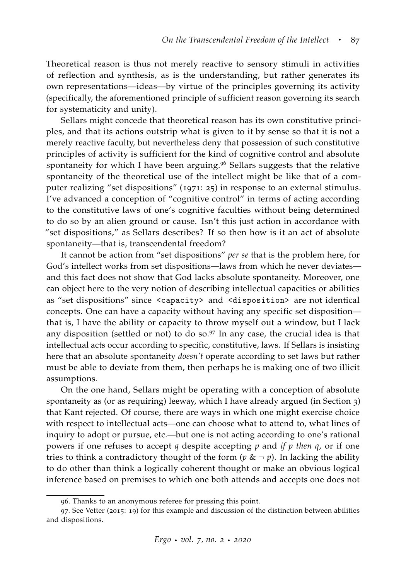Theoretical reason is thus not merely reactive to sensory stimuli in activities of reflection and synthesis, as is the understanding, but rather generates its own representations—ideas—by virtue of the principles governing its activity (specifically, the aforementioned principle of sufficient reason governing its search for systematicity and unity).

Sellars might concede that theoretical reason has its own constitutive principles, and that its actions outstrip what is given to it by sense so that it is not a merely reactive faculty, but nevertheless deny that possession of such constitutive principles of activity is sufficient for the kind of cognitive control and absolute spontaneity for which I have been arguing.<sup>96</sup> Sellars suggests that the relative spontaneity of the theoretical use of the intellect might be like that of a computer realizing "set dispositions" ([1971](#page-67-6): 25) in response to an external stimulus. I've advanced a conception of "cognitive control" in terms of acting according to the constitutive laws of one's cognitive faculties without being determined to do so by an alien ground or cause. Isn't this just action in accordance with "set dispositions," as Sellars describes? If so then how is it an act of absolute spontaneity—that is, transcendental freedom?

It cannot be action from "set dispositions" *per se* that is the problem here, for God's intellect works from set dispositions—laws from which he never deviates and this fact does not show that God lacks absolute spontaneity. Moreover, one can object here to the very notion of describing intellectual capacities or abilities as "set dispositions" since <capacity> and <disposition> are not identical concepts. One can have a capacity without having any specific set disposition that is, I have the ability or capacity to throw myself out a window, but I lack any disposition (settled or not) to do so. $97$  In any case, the crucial idea is that intellectual acts occur according to specific, constitutive, laws. If Sellars is insisting here that an absolute spontaneity *doesn't* operate according to set laws but rather must be able to deviate from them, then perhaps he is making one of two illicit assumptions.

On the one hand, Sellars might be operating with a conception of absolute spontaneity as (or as requiring) leeway, which I have already argued (in Section 3) that Kant rejected. Of course, there are ways in which one might exercise choice with respect to intellectual acts—one can choose what to attend to, what lines of inquiry to adopt or pursue, etc.—but one is not acting according to one's rational powers if one refuses to accept *q* despite accepting *p* and *if p then q*, or if one tries to think a contradictory thought of the form ( $p \& \neg p$ ). In lacking the ability to do other than think a logically coherent thought or make an obvious logical inference based on premises to which one both attends and accepts one does not

<sup>96</sup>. Thanks to an anonymous referee for pressing this point.

<sup>97</sup>. See [Vetter](#page-68-17) ([2015](#page-68-17): 19) for this example and discussion of the distinction between abilities and dispositions.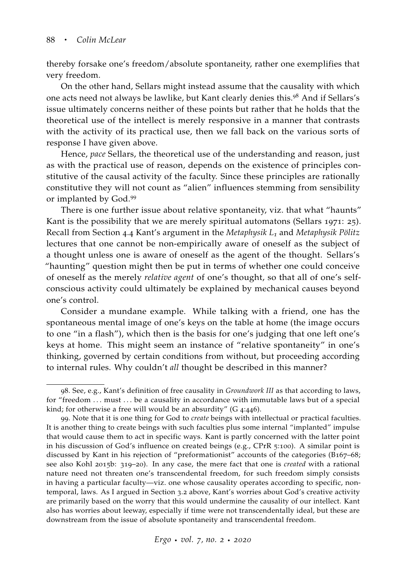thereby forsake one's freedom/absolute spontaneity, rather one exemplifies that very freedom.

On the other hand, Sellars might instead assume that the causality with which one acts need not always be lawlike, but Kant clearly denies this.<sup>98</sup> And if Sellars's issue ultimately concerns neither of these points but rather that he holds that the theoretical use of the intellect is merely responsive in a manner that contrasts with the activity of its practical use, then we fall back on the various sorts of response I have given above.

Hence, *pace* Sellars, the theoretical use of the understanding and reason, just as with the practical use of reason, depends on the existence of principles constitutive of the causal activity of the faculty. Since these principles are rationally constitutive they will not count as "alien" influences stemming from sensibility or implanted by God.<sup>99</sup>

There is one further issue about relative spontaneity, viz. that what "haunts" Kant is the possibility that we are merely spiritual automatons [\(Sellars](#page-67-6) [1971](#page-67-6): 25). Recall from Section 4.4 Kant's argument in the *Metaphysik L<sup>1</sup>* and *Metaphysik Pölitz* lectures that one cannot be non-empirically aware of oneself as the subject of a thought unless one is aware of oneself as the agent of the thought. Sellars's "haunting" question might then be put in terms of whether one could conceive of oneself as the merely *relative agent* of one's thought, so that all of one's selfconscious activity could ultimately be explained by mechanical causes beyond one's control.

Consider a mundane example. While talking with a friend, one has the spontaneous mental image of one's keys on the table at home (the image occurs to one "in a flash"), which then is the basis for one's judging that one left one's keys at home. This might seem an instance of "relative spontaneity" in one's thinking, governed by certain conditions from without, but proceeding according to internal rules. Why couldn't *all* thought be described in this manner?

<sup>98</sup>. See, e.g., Kant's definition of free causality in *Groundwork III* as that according to laws, for "freedom ... must ... be a causality in accordance with immutable laws but of a special kind; for otherwise a free will would be an absurdity" (G 4:446).

<sup>99</sup>. Note that it is one thing for God to *create* beings with intellectual or practical faculties. It is another thing to create beings with such faculties plus some internal "implanted" impulse that would cause them to act in specific ways. Kant is partly concerned with the latter point in his discussion of God's influence on created beings (e.g., CPrR 5:100). A similar point is discussed by Kant in his rejection of "preformationist" accounts of the categories (B167–68; see also [Kohl](#page-64-0) [2015](#page-64-0)b: 319–20). In any case, the mere fact that one is *created* with a rational nature need not threaten one's transcendental freedom, for such freedom simply consists in having a particular faculty—viz. one whose causality operates according to specific, nontemporal, laws. As I argued in Section 3.2 above, Kant's worries about God's creative activity are primarily based on the worry that this would undermine the causality of our intellect. Kant also has worries about leeway, especially if time were not transcendentally ideal, but these are downstream from the issue of absolute spontaneity and transcendental freedom.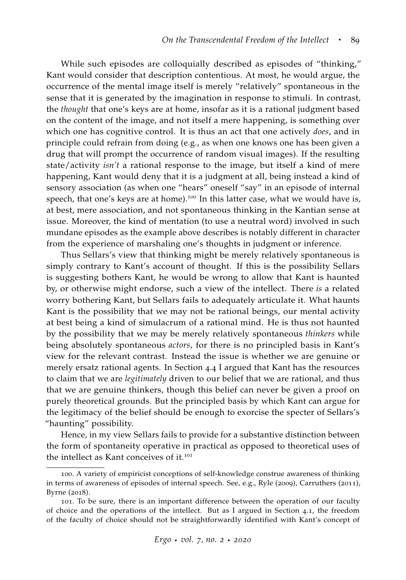While such episodes are colloquially described as episodes of "thinking," Kant would consider that description contentious. At most, he would argue, the occurrence of the mental image itself is merely "relatively" spontaneous in the sense that it is generated by the imagination in response to stimuli. In contrast, the *thought* that one's keys are at home, insofar as it is a rational judgment based on the content of the image, and not itself a mere happening, is something over which one has cognitive control. It is thus an act that one actively *does*, and in principle could refrain from doing (e.g., as when one knows one has been given a drug that will prompt the occurrence of random visual images). If the resulting state/activity *isn't* a rational response to the image, but itself a kind of mere happening, Kant would deny that it is a judgment at all, being instead a kind of sensory association (as when one "hears" oneself "say" in an episode of internal speech, that one's keys are at home).<sup>100</sup> In this latter case, what we would have is, at best, mere association, and not spontaneous thinking in the Kantian sense at issue. Moreover, the kind of mentation (to use a neutral word) involved in such mundane episodes as the example above describes is notably different in character from the experience of marshaling one's thoughts in judgment or inference.

Thus Sellars's view that thinking might be merely relatively spontaneous is simply contrary to Kant's account of thought. If this is the possibility Sellars is suggesting bothers Kant, he would be wrong to allow that Kant is haunted by, or otherwise might endorse, such a view of the intellect. There *is* a related worry bothering Kant, but Sellars fails to adequately articulate it. What haunts Kant is the possibility that we may not be rational beings, our mental activity at best being a kind of simulacrum of a rational mind. He is thus not haunted by the possibility that we may be merely relatively spontaneous *thinkers* while being absolutely spontaneous *actors*, for there is no principled basis in Kant's view for the relevant contrast. Instead the issue is whether we are genuine or merely ersatz rational agents. In Section 4.4 I argued that Kant has the resources to claim that we are *legitimately* driven to our belief that we are rational, and thus that we are genuine thinkers, though this belief can never be given a proof on purely theoretical grounds. But the principled basis by which Kant can argue for the legitimacy of the belief should be enough to exorcise the specter of Sellars's "haunting" possibility.

Hence, in my view Sellars fails to provide for a substantive distinction between the form of spontaneity operative in practical as opposed to theoretical uses of the intellect as Kant conceives of it.<sup>101</sup>

<sup>100</sup>. A variety of empiricist conceptions of self-knowledge construe awareness of thinking in terms of awareness of episodes of internal speech. See, e.g., [Ryle](#page-66-17) ([2009](#page-66-17)), [Carruthers](#page-62-18) ([2011](#page-62-18)), [Byrne](#page-62-19) ([2018](#page-62-19)).

<sup>101</sup>. To be sure, there is an important difference between the operation of our faculty of choice and the operations of the intellect. But as I argued in Section 4.1, the freedom of the faculty of choice should not be straightforwardly identified with Kant's concept of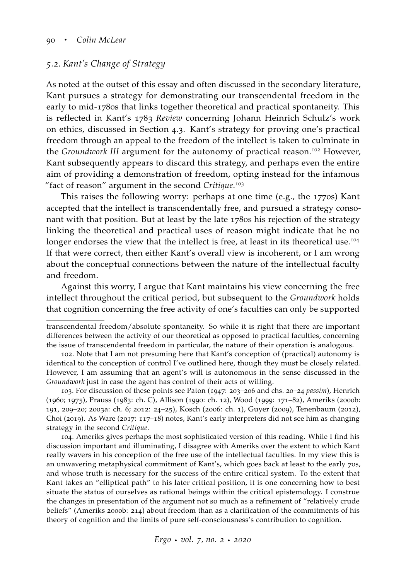#### *5.2. Kant's Change of Strategy*

As noted at the outset of this essay and often discussed in the secondary literature, Kant pursues a strategy for demonstrating our transcendental freedom in the early to mid-1780s that links together theoretical and practical spontaneity. This is reflected in Kant's 1783 *Review* concerning Johann Heinrich Schulz's work on ethics, discussed in Section 4.3. Kant's strategy for proving one's practical freedom through an appeal to the freedom of the intellect is taken to culminate in the *Groundwork III* argument for the autonomy of practical reason.<sup>102</sup> However, Kant subsequently appears to discard this strategy, and perhaps even the entire aim of providing a demonstration of freedom, opting instead for the infamous "fact of reason" argument in the second *Critique*. 103

This raises the following worry: perhaps at one time (e.g., the 1770s) Kant accepted that the intellect is transcendentally free, and pursued a strategy consonant with that position. But at least by the late 1780s his rejection of the strategy linking the theoretical and practical uses of reason might indicate that he no longer endorses the view that the intellect is free, at least in its theoretical use.<sup>104</sup> If that were correct, then either Kant's overall view is incoherent, or I am wrong about the conceptual connections between the nature of the intellectual faculty and freedom.

Against this worry, I argue that Kant maintains his view concerning the free intellect throughout the critical period, but subsequent to the *Groundwork* holds that cognition concerning the free activity of one's faculties can only be supported

104. Ameriks gives perhaps the most sophisticated version of this reading. While I find his discussion important and illuminating, I disagree with Ameriks over the extent to which Kant really wavers in his conception of the free use of the intellectual faculties. In my view this is an unwavering metaphysical commitment of Kant's, which goes back at least to the early 70s, and whose truth is necessary for the success of the entire critical system. To the extent that Kant takes an "elliptical path" to his later critical position, it is one concerning how to best situate the status of ourselves as rational beings within the critical epistemology. I construe the changes in presentation of the argument not so much as a refinement of "relatively crude beliefs" [\(Ameriks](#page-61-20) [2000](#page-61-20)b: 214) about freedom than as a clarification of the commitments of his theory of cognition and the limits of pure self-consciousness's contribution to cognition.

transcendental freedom/absolute spontaneity. So while it is right that there are important differences between the activity of our theoretical as opposed to practical faculties, concerning the issue of transcendental freedom in particular, the nature of their operation is analogous.

<sup>102</sup>. Note that I am not presuming here that Kant's conception of (practical) autonomy is identical to the conception of control I've outlined here, though they must be closely related. However, I am assuming that an agent's will is autonomous in the sense discussed in the *Groundwork* just in case the agent has control of their acts of willing.

<sup>103</sup>. For discussion of these points see [Paton](#page-66-2) ([1947](#page-66-2): 203–206 and chs. 20–24 *passim*), [Henrich](#page-63-16) ([1960](#page-63-16); [1975](#page-63-0)), [Prauss](#page-66-20) ([1983](#page-66-20): ch. C), [Allison](#page-60-1) ([1990](#page-60-1): ch. 12), [Wood](#page-69-2) ([1999](#page-69-2): 171–82), [Ameriks](#page-61-20) ([2000](#page-61-20)b: 191, 209–20; [2003](#page-61-17)a: ch. 6; [2012](#page-61-5): 24–25), [Kosch](#page-64-5) ([2006](#page-64-5): ch. 1), [Guyer](#page-62-21) ([2009](#page-62-21)), [Tenenbaum](#page-68-18) ([2012](#page-68-18)), [Choi](#page-62-22) ([2019](#page-62-22)). As [Ware](#page-68-19) ([2017](#page-68-19): 117–18) notes, Kant's early interpreters did not see him as changing strategy in the second *Critique*.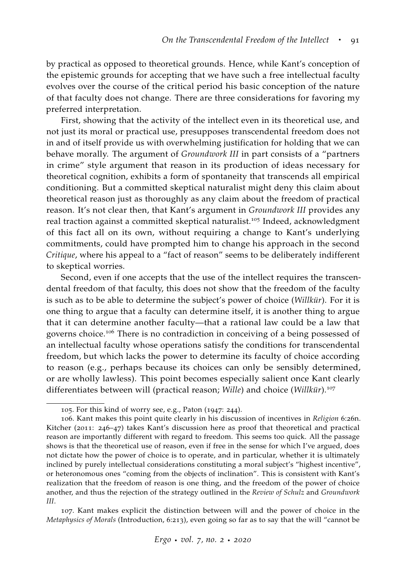by practical as opposed to theoretical grounds. Hence, while Kant's conception of the epistemic grounds for accepting that we have such a free intellectual faculty evolves over the course of the critical period his basic conception of the nature of that faculty does not change. There are three considerations for favoring my preferred interpretation.

First, showing that the activity of the intellect even in its theoretical use, and not just its moral or practical use, presupposes transcendental freedom does not in and of itself provide us with overwhelming justification for holding that we can behave morally. The argument of *Groundwork III* in part consists of a "partners in crime" style argument that reason in its production of ideas necessary for theoretical cognition, exhibits a form of spontaneity that transcends all empirical conditioning. But a committed skeptical naturalist might deny this claim about theoretical reason just as thoroughly as any claim about the freedom of practical reason. It's not clear then, that Kant's argument in *Groundwork III* provides any real traction against a committed skeptical naturalist.<sup>105</sup> Indeed, acknowledgment of this fact all on its own, without requiring a change to Kant's underlying commitments, could have prompted him to change his approach in the second *Critique*, where his appeal to a "fact of reason" seems to be deliberately indifferent to skeptical worries.

Second, even if one accepts that the use of the intellect requires the transcendental freedom of that faculty, this does not show that the freedom of the faculty is such as to be able to determine the subject's power of choice (*Willkür*). For it is one thing to argue that a faculty can determine itself, it is another thing to argue that it can determine another faculty—that a rational law could be a law that governs choice.<sup>106</sup> There is no contradiction in conceiving of a being possessed of an intellectual faculty whose operations satisfy the conditions for transcendental freedom, but which lacks the power to determine its faculty of choice according to reason (e.g., perhaps because its choices can only be sensibly determined, or are wholly lawless). This point becomes especially salient once Kant clearly differentiates between will (practical reason; *Wille*) and choice (*Willkür*).<sup>107</sup>

107. Kant makes explicit the distinction between will and the power of choice in the *Metaphysics of Morals* (Introduction, 6:213), even going so far as to say that the will "cannot be

<sup>105</sup>. For this kind of worry see, e.g., [Paton](#page-66-2) ([1947](#page-66-2): 244).

<sup>106</sup>. Kant makes this point quite clearly in his discussion of incentives in *Religion* 6:26n. [Kitcher](#page-63-1) ([2011](#page-63-1): 246–47) takes Kant's discussion here as proof that theoretical and practical reason are importantly different with regard to freedom. This seems too quick. All the passage shows is that the theoretical use of reason, even if free in the sense for which I've argued, does not dictate how the power of choice is to operate, and in particular, whether it is ultimately inclined by purely intellectual considerations constituting a moral subject's "highest incentive", or heteronomous ones "coming from the objects of inclination". This is consistent with Kant's realization that the freedom of reason is one thing, and the freedom of the power of choice another, and thus the rejection of the strategy outlined in the *Review of Schulz* and *Groundwork III*.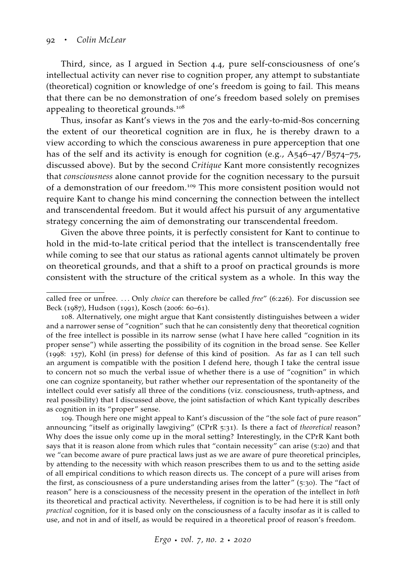Third, since, as I argued in Section 4.4, pure self-consciousness of one's intellectual activity can never rise to cognition proper, any attempt to substantiate (theoretical) cognition or knowledge of one's freedom is going to fail. This means that there can be no demonstration of one's freedom based solely on premises appealing to theoretical grounds.<sup>108</sup>

Thus, insofar as Kant's views in the 70s and the early-to-mid-80s concerning the extent of our theoretical cognition are in flux, he is thereby drawn to a view according to which the conscious awareness in pure apperception that one has of the self and its activity is enough for cognition (e.g., A546-47/B574-75, discussed above). But by the second *Critique* Kant more consistently recognizes that *consciousness* alone cannot provide for the cognition necessary to the pursuit of a demonstration of our freedom.<sup>109</sup> This more consistent position would not require Kant to change his mind concerning the connection between the intellect and transcendental freedom. But it would affect his pursuit of any argumentative strategy concerning the aim of demonstrating our transcendental freedom.

Given the above three points, it is perfectly consistent for Kant to continue to hold in the mid-to-late critical period that the intellect is transcendentally free while coming to see that our status as rational agents cannot ultimately be proven on theoretical grounds, and that a shift to a proof on practical grounds is more consistent with the structure of the critical system as a whole. In this way the

109. Though here one might appeal to Kant's discussion of the "the sole fact of pure reason" announcing "itself as originally lawgiving" (CPrR 5:31). Is there a fact of *theoretical* reason? Why does the issue only come up in the moral setting? Interestingly, in the CPrR Kant both says that it is reason alone from which rules that "contain necessity" can arise (5:20) and that we "can become aware of pure practical laws just as we are aware of pure theoretical principles, by attending to the necessity with which reason prescribes them to us and to the setting aside of all empirical conditions to which reason directs us. The concept of a pure will arises from the first, as consciousness of a pure understanding arises from the latter" (5:30). The "fact of reason" here is a consciousness of the necessity present in the operation of the intellect in *both* its theoretical and practical activity. Nevertheless, if cognition is to be had here it is still only *practical* cognition, for it is based only on the consciousness of a faculty insofar as it is called to use, and not in and of itself, as would be required in a theoretical proof of reason's freedom.

*Ergo* · *vol. <sup>7</sup>, no. <sup>2</sup>* · *2020*

called free or unfree. . . . Only *choice* can therefore be called *free*" (6:226). For discussion see [Beck](#page-61-2) ([1987](#page-61-2)), [Hudson](#page-63-17) ([1991](#page-63-17)), [Kosch](#page-64-5) ([2006](#page-64-5): 60–61).

<sup>108</sup>. Alternatively, one might argue that Kant consistently distinguishes between a wider and a narrower sense of "cognition" such that he can consistently deny that theoretical cognition of the free intellect is possible in its narrow sense (what I have here called "cognition in its proper sense") while asserting the possibility of its cognition in the broad sense. See [Keller](#page-63-18) ([1998](#page-63-18): 157), [Kohl](#page-64-20) [\(in press\)](#page-64-20) for defense of this kind of position. As far as I can tell such an argument is compatible with the position I defend here, though I take the central issue to concern not so much the verbal issue of whether there is a use of "cognition" in which one can cognize spontaneity, but rather whether our representation of the spontaneity of the intellect could ever satisfy all three of the conditions (viz. consciousness, truth-aptness, and real possibility) that I discussed above, the joint satisfaction of which Kant typically describes as cognition in its "proper" sense.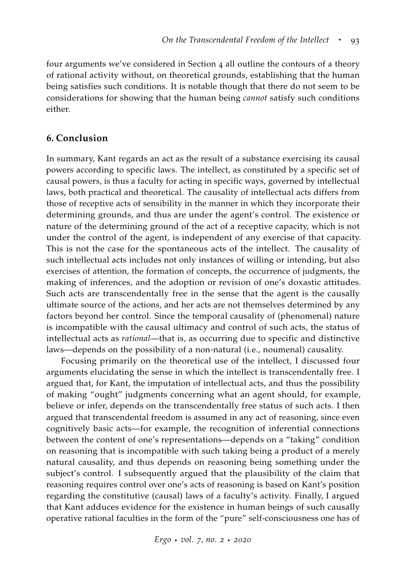four arguments we've considered in Section 4 all outline the contours of a theory of rational activity without, on theoretical grounds, establishing that the human being satisfies such conditions. It is notable though that there do not seem to be considerations for showing that the human being *cannot* satisfy such conditions either.

#### **6. Conclusion**

In summary, Kant regards an act as the result of a substance exercising its causal powers according to specific laws. The intellect, as constituted by a specific set of causal powers, is thus a faculty for acting in specific ways, governed by intellectual laws, both practical and theoretical. The causality of intellectual acts differs from those of receptive acts of sensibility in the manner in which they incorporate their determining grounds, and thus are under the agent's control. The existence or nature of the determining ground of the act of a receptive capacity, which is not under the control of the agent, is independent of any exercise of that capacity. This is not the case for the spontaneous acts of the intellect. The causality of such intellectual acts includes not only instances of willing or intending, but also exercises of attention, the formation of concepts, the occurrence of judgments, the making of inferences, and the adoption or revision of one's doxastic attitudes. Such acts are transcendentally free in the sense that the agent is the causally ultimate source of the actions, and her acts are not themselves determined by any factors beyond her control. Since the temporal causality of (phenomenal) nature is incompatible with the causal ultimacy and control of such acts, the status of intellectual acts as *rational*—that is, as occurring due to specific and distinctive laws—depends on the possibility of a non-natural (i.e., noumenal) causality.

Focusing primarily on the theoretical use of the intellect, I discussed four arguments elucidating the sense in which the intellect is transcendentally free. I argued that, for Kant, the imputation of intellectual acts, and thus the possibility of making "ought" judgments concerning what an agent should, for example, believe or infer, depends on the transcendentally free status of such acts. I then argued that transcendental freedom is assumed in any act of reasoning, since even cognitively basic acts—for example, the recognition of inferential connections between the content of one's representations—depends on a "taking" condition on reasoning that is incompatible with such taking being a product of a merely natural causality, and thus depends on reasoning being something under the subject's control. I subsequently argued that the plausibility of the claim that reasoning requires control over one's acts of reasoning is based on Kant's position regarding the constitutive (causal) laws of a faculty's activity. Finally, I argued that Kant adduces evidence for the existence in human beings of such causally operative rational faculties in the form of the "pure" self-consciousness one has of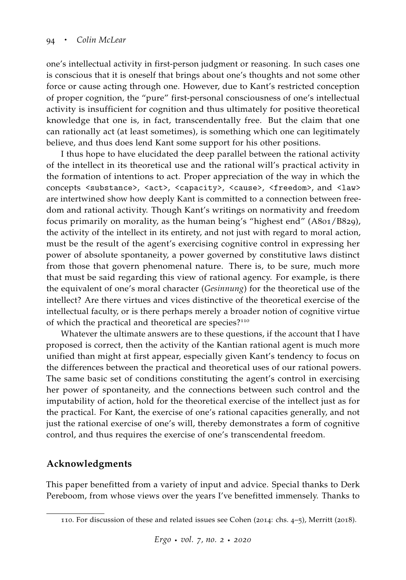one's intellectual activity in first-person judgment or reasoning. In such cases one is conscious that it is oneself that brings about one's thoughts and not some other force or cause acting through one. However, due to Kant's restricted conception of proper cognition, the "pure" first-personal consciousness of one's intellectual activity is insufficient for cognition and thus ultimately for positive theoretical knowledge that one is, in fact, transcendentally free. But the claim that one can rationally act (at least sometimes), is something which one can legitimately believe, and thus does lend Kant some support for his other positions.

I thus hope to have elucidated the deep parallel between the rational activity of the intellect in its theoretical use and the rational will's practical activity in the formation of intentions to act. Proper appreciation of the way in which the concepts <substance>, <act>, <capacity>, <cause>, <freedom>, and <law> are intertwined show how deeply Kant is committed to a connection between freedom and rational activity. Though Kant's writings on normativity and freedom focus primarily on morality, as the human being's "highest end" (A801/B829), the activity of the intellect in its entirety, and not just with regard to moral action, must be the result of the agent's exercising cognitive control in expressing her power of absolute spontaneity, a power governed by constitutive laws distinct from those that govern phenomenal nature. There is, to be sure, much more that must be said regarding this view of rational agency. For example, is there the equivalent of one's moral character (*Gesinnung*) for the theoretical use of the intellect? Are there virtues and vices distinctive of the theoretical exercise of the intellectual faculty, or is there perhaps merely a broader notion of cognitive virtue of which the practical and theoretical are species?<sup>110</sup>

Whatever the ultimate answers are to these questions, if the account that I have proposed is correct, then the activity of the Kantian rational agent is much more unified than might at first appear, especially given Kant's tendency to focus on the differences between the practical and theoretical uses of our rational powers. The same basic set of conditions constituting the agent's control in exercising her power of spontaneity, and the connections between such control and the imputability of action, hold for the theoretical exercise of the intellect just as for the practical. For Kant, the exercise of one's rational capacities generally, and not just the rational exercise of one's will, thereby demonstrates a form of cognitive control, and thus requires the exercise of one's transcendental freedom.

## **Acknowledgments**

This paper benefitted from a variety of input and advice. Special thanks to Derk Pereboom, from whose views over the years I've benefitted immensely. Thanks to

<sup>110</sup>. For discussion of these and related issues see [Cohen](#page-62-9) ([2014](#page-62-9): chs. 4–5), [Merritt](#page-65-1) ([2018](#page-65-1)).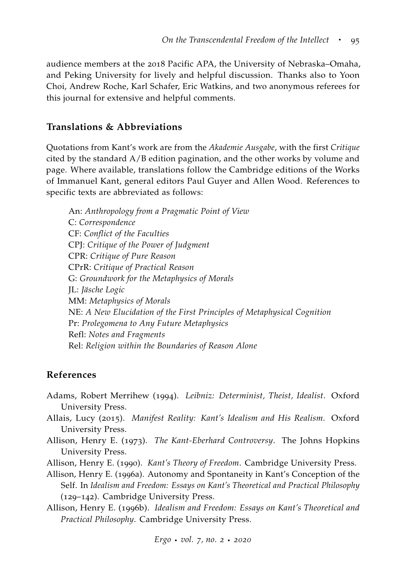audience members at the 2018 Pacific APA, the University of Nebraska–Omaha, and Peking University for lively and helpful discussion. Thanks also to Yoon Choi, Andrew Roche, Karl Schafer, Eric Watkins, and two anonymous referees for this journal for extensive and helpful comments.

## **Translations & Abbreviations**

Quotations from Kant's work are from the *Akademie Ausgabe*, with the first *Critique* cited by the standard A/B edition pagination, and the other works by volume and page. Where available, translations follow the Cambridge editions of the Works of Immanuel Kant, general editors Paul Guyer and Allen Wood. References to specific texts are abbreviated as follows:

An: *Anthropology from a Pragmatic Point of View* C: *Correspondence* CF: *Conflict of the Faculties* CPJ: *Critique of the Power of Judgment* CPR: *Critique of Pure Reason* CPrR: *Critique of Practical Reason* G: *Groundwork for the Metaphysics of Morals* JL: *Jäsche Logic* MM: *Metaphysics of Morals* NE: *A New Elucidation of the First Principles of Metaphysical Cognition* Pr: *Prolegomena to Any Future Metaphysics* Refl: *Notes and Fragments* Rel: *Religion within the Boundaries of Reason Alone*

## **References**

- <span id="page-60-4"></span>Adams, Robert Merrihew (1994). *Leibniz: Determinist, Theist, Idealist*. Oxford University Press.
- <span id="page-60-3"></span>Allais, Lucy (2015). *Manifest Reality: Kant's Idealism and His Realism.* Oxford University Press.
- <span id="page-60-5"></span>Allison, Henry E. (1973). *The Kant-Eberhard Controversy*. The Johns Hopkins University Press.
- <span id="page-60-1"></span>Allison, Henry E. (1990). *Kant's Theory of Freedom*. Cambridge University Press.
- <span id="page-60-2"></span>Allison, Henry E. (1996a). Autonomy and Spontaneity in Kant's Conception of the Self. In *Idealism and Freedom: Essays on Kant's Theoretical and Practical Philosophy* (129–142). Cambridge University Press.
- <span id="page-60-0"></span>Allison, Henry E. (1996b). *Idealism and Freedom: Essays on Kant's Theoretical and Practical Philosophy*. Cambridge University Press.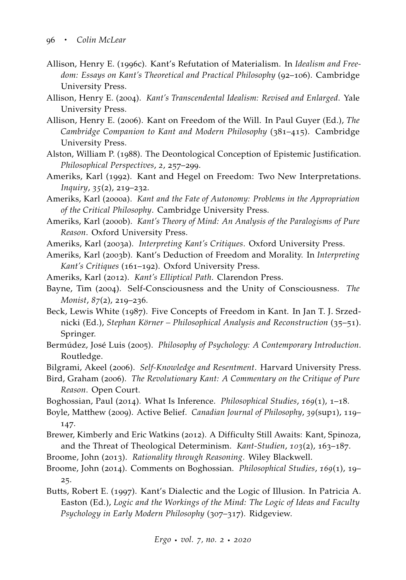- <span id="page-61-8"></span>Allison, Henry E. (1996c). Kant's Refutation of Materialism. In *Idealism and Freedom: Essays on Kant's Theoretical and Practical Philosophy* (92–106). Cambridge University Press.
- <span id="page-61-3"></span>Allison, Henry E. (2004). *Kant's Transcendental Idealism: Revised and Enlarged*. Yale University Press.
- <span id="page-61-16"></span>Allison, Henry E. (2006). Kant on Freedom of the Will. In Paul Guyer (Ed.), *The Cambridge Companion to Kant and Modern Philosophy* (381–415). Cambridge University Press.
- <span id="page-61-11"></span>Alston, William P. (1988). The Deontological Conception of Epistemic Justification. *Philosophical Perspectives*, *2*, 257–299.
- <span id="page-61-6"></span>Ameriks, Karl (1992). Kant and Hegel on Freedom: Two New Interpretations. *Inquiry*, *35*(2), 219–232.
- <span id="page-61-9"></span>Ameriks, Karl (2000a). *Kant and the Fate of Autonomy: Problems in the Appropriation of the Critical Philosophy*. Cambridge University Press.
- <span id="page-61-20"></span>Ameriks, Karl (2000b). *Kant's Theory of Mind: An Analysis of the Paralogisms of Pure Reason*. Oxford University Press.
- <span id="page-61-17"></span><span id="page-61-10"></span>Ameriks, Karl (2003a). *Interpreting Kant's Critiques*. Oxford University Press.
- Ameriks, Karl (2003b). Kant's Deduction of Freedom and Morality. In *Interpreting Kant's Critiques* (161–192). Oxford University Press.
- <span id="page-61-5"></span>Ameriks, Karl (2012). *Kant's Elliptical Path*. Clarendon Press.
- <span id="page-61-19"></span>Bayne, Tim (2004). Self-Consciousness and the Unity of Consciousness. *The Monist*, *87*(2), 219–236.
- <span id="page-61-2"></span>Beck, Lewis White (1987). Five Concepts of Freedom in Kant. In Jan T. J. Srzednicki (Ed.), *Stephan Körner – Philosophical Analysis and Reconstruction* (35–51). Springer.
- <span id="page-61-12"></span>Bermúdez, José Luis (2005). *Philosophy of Psychology: A Contemporary Introduction*. Routledge.
- <span id="page-61-0"></span>Bilgrami, Akeel (2006). *Self-Knowledge and Resentment*. Harvard University Press.
- <span id="page-61-4"></span>Bird, Graham (2006). *The Revolutionary Kant: A Commentary on the Critique of Pure Reason*. Open Court.
- <span id="page-61-13"></span>Boghossian, Paul (2014). What Is Inference. *Philosophical Studies*, *169*(1), 1–18.
- <span id="page-61-1"></span>Boyle, Matthew (2009). Active Belief. *Canadian Journal of Philosophy*, *39*(sup1), 119– 147.
- <span id="page-61-7"></span>Brewer, Kimberly and Eric Watkins (2012). A Difficulty Still Awaits: Kant, Spinoza, and the Threat of Theological Determinism. *Kant-Studien*, *103*(2), 163–187.
- <span id="page-61-14"></span>Broome, John (2013). *Rationality through Reasoning*. Wiley Blackwell.
- <span id="page-61-15"></span>Broome, John (2014). Comments on Boghossian. *Philosophical Studies*, *169*(1), 19– 25.
- <span id="page-61-18"></span>Butts, Robert E. (1997). Kant's Dialectic and the Logic of Illusion. In Patricia A. Easton (Ed.), *Logic and the Workings of the Mind: The Logic of Ideas and Faculty Psychology in Early Modern Philosophy* (307–317). Ridgeview.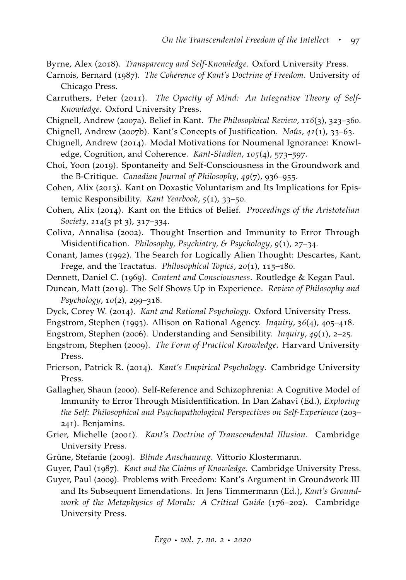- <span id="page-62-19"></span>Byrne, Alex (2018). *Transparency and Self-Knowledge*. Oxford University Press.
- <span id="page-62-4"></span>Carnois, Bernard (1987). *The Coherence of Kant's Doctrine of Freedom*. University of Chicago Press.
- <span id="page-62-18"></span>Carruthers, Peter (2011). *The Opacity of Mind: An Integrative Theory of Self-Knowledge*. Oxford University Press.
- <span id="page-62-1"></span>Chignell, Andrew (2007a). Belief in Kant. *The Philosophical Review*, *116*(3), 323–360.
- <span id="page-62-2"></span>Chignell, Andrew (2007b). Kant's Concepts of Justification. *Noûs*, *41*(1), 33–63.
- <span id="page-62-20"></span>Chignell, Andrew (2014). Modal Motivations for Noumenal Ignorance: Knowledge, Cognition, and Coherence. *Kant-Studien*, *105*(4), 573–597.
- <span id="page-62-22"></span>Choi, Yoon (2019). Spontaneity and Self-Consciousness in the Groundwork and the B-Critique. *Canadian Journal of Philosophy*, *49*(7), 936–955.
- <span id="page-62-8"></span>Cohen, Alix (2013). Kant on Doxastic Voluntarism and Its Implications for Epistemic Responsibility. *Kant Yearbook*, *5*(1), 33–50.
- <span id="page-62-9"></span>Cohen, Alix (2014). Kant on the Ethics of Belief. *Proceedings of the Aristotelian Society*, *114*(3 pt 3), 317–334.
- <span id="page-62-16"></span>Coliva, Annalisa (2002). Thought Insertion and Immunity to Error Through Misidentification. *Philosophy, Psychiatry, & Psychology*, *9*(1), 27–34.
- <span id="page-62-14"></span>Conant, James (1992). The Search for Logically Alien Thought: Descartes, Kant, Frege, and the Tractatus. *Philosophical Topics*, *20*(1), 115–180.
- <span id="page-62-7"></span>Dennett, Daniel C. (1969). *Content and Consciousness*. Routledge & Kegan Paul.
- <span id="page-62-17"></span>Duncan, Matt (2019). The Self Shows Up in Experience. *Review of Philosophy and Psychology*, *10*(2), 299–318.
- <span id="page-62-12"></span>Dyck, Corey W. (2014). *Kant and Rational Psychology*. Oxford University Press.
- <span id="page-62-10"></span>Engstrom, Stephen (1993). Allison on Rational Agency. *Inquiry*, *36*(4), 405–418.
- <span id="page-62-6"></span>Engstrom, Stephen (2006). Understanding and Sensibility. *Inquiry*, *49*(1), 2–25.
- <span id="page-62-3"></span>Engstrom, Stephen (2009). *The Form of Practical Knowledge*. Harvard University Press.
- <span id="page-62-0"></span>Frierson, Patrick R. (2014). *Kant's Empirical Psychology*. Cambridge University Press.
- <span id="page-62-15"></span>Gallagher, Shaun (2000). Self-Reference and Schizophrenia: A Cognitive Model of Immunity to Error Through Misidentification. In Dan Zahavi (Ed.), *Exploring the Self: Philosophical and Psychopathological Perspectives on Self-Experience* (203– 241). Benjamins.
- <span id="page-62-13"></span>Grier, Michelle (2001). *Kant's Doctrine of Transcendental Illusion*. Cambridge University Press.
- <span id="page-62-11"></span>Grüne, Stefanie (2009). *Blinde Anschauung*. Vittorio Klostermann.
- <span id="page-62-5"></span>Guyer, Paul (1987). *Kant and the Claims of Knowledge*. Cambridge University Press.
- <span id="page-62-21"></span>Guyer, Paul (2009). Problems with Freedom: Kant's Argument in Groundwork III and Its Subsequent Emendations. In Jens Timmermann (Ed.), *Kant's Groundwork of the Metaphysics of Morals: A Critical Guide* (176–202). Cambridge University Press.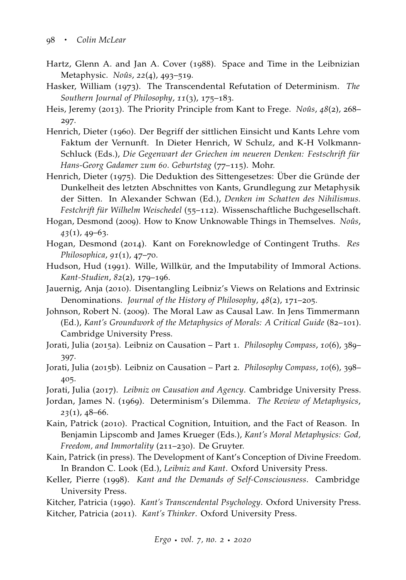- <span id="page-63-8"></span>Hartz, Glenn A. and Jan A. Cover (1988). Space and Time in the Leibnizian Metaphysic. *Noûs*, *22*(4), 493–519.
- <span id="page-63-7"></span>Hasker, William (1973). The Transcendental Refutation of Determinism. *The Southern Journal of Philosophy*, *11*(3), 175–183.
- <span id="page-63-14"></span>Heis, Jeremy (2013). The Priority Principle from Kant to Frege. *Noûs*, *48*(2), 268– 297.
- <span id="page-63-16"></span>Henrich, Dieter (1960). Der Begriff der sittlichen Einsicht und Kants Lehre vom Faktum der Vernunft. In Dieter Henrich, W Schulz, and K-H Volkmann-Schluck (Eds.), *Die Gegenwart der Griechen im neueren Denken: Festschrift für Hans-Georg Gadamer zum 60. Geburtstag* (77–115). Mohr.
- <span id="page-63-0"></span>Henrich, Dieter (1975). Die Deduktion des Sittengesetzes: Über die Gründe der Dunkelheit des letzten Abschnittes von Kants, Grundlegung zur Metaphysik der Sitten. In Alexander Schwan (Ed.), *Denken im Schatten des Nihilismus. Festchrift für Wilhelm Weischedel* (55–112). Wissenschaftliche Buchgesellschaft.
- <span id="page-63-5"></span>Hogan, Desmond (2009). How to Know Unknowable Things in Themselves. *Noûs*, *43*(1), 49–63.
- <span id="page-63-3"></span>Hogan, Desmond (2014). Kant on Foreknowledge of Contingent Truths. *Res Philosophica*, *91*(1), 47–70.
- <span id="page-63-17"></span>Hudson, Hud (1991). Wille, Willkür, and the Imputability of Immoral Actions. *Kant-Studien*, *82*(2), 179–196.
- <span id="page-63-9"></span>Jauernig, Anja (2010). Disentangling Leibniz's Views on Relations and Extrinsic Denominations. *Journal of the History of Philosophy*, *48*(2), 171–205.
- <span id="page-63-11"></span>Johnson, Robert N. (2009). The Moral Law as Causal Law. In Jens Timmermann (Ed.), *Kant's Groundwork of the Metaphysics of Morals: A Critical Guide* (82–101). Cambridge University Press.
- <span id="page-63-12"></span>Jorati, Julia (2015a). Leibniz on Causation – Part 1. *Philosophy Compass*, *10*(6), 389– 397.
- <span id="page-63-13"></span>Jorati, Julia (2015b). Leibniz on Causation – Part 2. *Philosophy Compass*, *10*(6), 398– 405.
- <span id="page-63-10"></span>Jorati, Julia (2017). *Leibniz on Causation and Agency*. Cambridge University Press.
- <span id="page-63-6"></span>Jordan, James N. (1969). Determinism's Dilemma. *The Review of Metaphysics*, *23*(1), 48–66.
- <span id="page-63-15"></span>Kain, Patrick (2010). Practical Cognition, Intuition, and the Fact of Reason. In Benjamin Lipscomb and James Krueger (Eds.), *Kant's Moral Metaphysics: God, Freedom, and Immortality* (211–230). De Gruyter.
- <span id="page-63-4"></span>Kain, Patrick (in press). The Development of Kant's Conception of Divine Freedom. In Brandon C. Look (Ed.), *Leibniz and Kant*. Oxford University Press.
- <span id="page-63-18"></span>Keller, Pierre (1998). *Kant and the Demands of Self-Consciousness*. Cambridge University Press.
- <span id="page-63-2"></span><span id="page-63-1"></span>Kitcher, Patricia (1990). *Kant's Transcendental Psychology*. Oxford University Press. Kitcher, Patricia (2011). *Kant's Thinker*. Oxford University Press.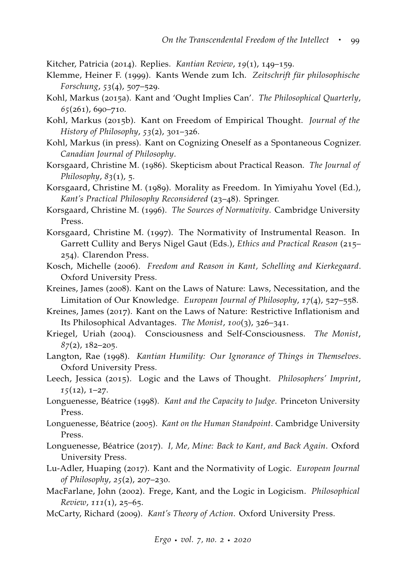<span id="page-64-8"></span>Kitcher, Patricia (2014). Replies. *Kantian Review*, *19*(1), 149–159.

- <span id="page-64-17"></span>Klemme, Heiner F. (1999). Kants Wende zum Ich. *Zeitschrift für philosophische Forschung*, *53*(4), 507–529.
- <span id="page-64-7"></span>Kohl, Markus (2015a). Kant and 'Ought Implies Can'. *The Philosophical Quarterly*, *65*(261), 690–710.
- <span id="page-64-0"></span>Kohl, Markus (2015b). Kant on Freedom of Empirical Thought. *Journal of the History of Philosophy*, *53*(2), 301–326.
- <span id="page-64-20"></span>Kohl, Markus (in press). Kant on Cognizing Oneself as a Spontaneous Cognizer. *Canadian Journal of Philosophy*.
- <span id="page-64-9"></span>Korsgaard, Christine M. (1986). Skepticism about Practical Reason. *The Journal of Philosophy*, *83*(1), 5.
- <span id="page-64-18"></span>Korsgaard, Christine M. (1989). Morality as Freedom. In Yimiyahu Yovel (Ed.), *Kant's Practical Philosophy Reconsidered* (23–48). Springer.
- <span id="page-64-19"></span>Korsgaard, Christine M. (1996). *The Sources of Normativity*. Cambridge University Press.
- <span id="page-64-10"></span>Korsgaard, Christine M. (1997). The Normativity of Instrumental Reason. In Garrett Cullity and Berys Nigel Gaut (Eds.), *Ethics and Practical Reason* (215– 254). Clarendon Press.
- <span id="page-64-5"></span>Kosch, Michelle (2006). *Freedom and Reason in Kant, Schelling and Kierkegaard*. Oxford University Press.
- <span id="page-64-3"></span>Kreines, James (2008). Kant on the Laws of Nature: Laws, Necessitation, and the Limitation of Our Knowledge. *European Journal of Philosophy*, *17*(4), 527–558.
- <span id="page-64-4"></span>Kreines, James (2017). Kant on the Laws of Nature: Restrictive Inflationism and Its Philosophical Advantages. *The Monist*, *100*(3), 326–341.
- <span id="page-64-15"></span>Kriegel, Uriah (2004). Consciousness and Self-Consciousness. *The Monist*, *87*(2), 182–205.
- <span id="page-64-6"></span>Langton, Rae (1998). *Kantian Humility: Our Ignorance of Things in Themselves*. Oxford University Press.
- <span id="page-64-13"></span>Leech, Jessica (2015). Logic and the Laws of Thought. *Philosophers' Imprint*, *15*(12), 1–27.
- <span id="page-64-2"></span>Longuenesse, Béatrice (1998). *Kant and the Capacity to Judge*. Princeton University Press.
- <span id="page-64-12"></span>Longuenesse, Béatrice (2005). *Kant on the Human Standpoint*. Cambridge University Press.
- <span id="page-64-16"></span>Longuenesse, Béatrice (2017). *I, Me, Mine: Back to Kant, and Back Again*. Oxford University Press.
- <span id="page-64-14"></span>Lu-Adler, Huaping (2017). Kant and the Normativity of Logic. *European Journal of Philosophy*, *25*(2), 207–230.
- <span id="page-64-11"></span>MacFarlane, John (2002). Frege, Kant, and the Logic in Logicism. *Philosophical Review*, *111*(1), 25–65.
- <span id="page-64-1"></span>McCarty, Richard (2009). *Kant's Theory of Action*. Oxford University Press.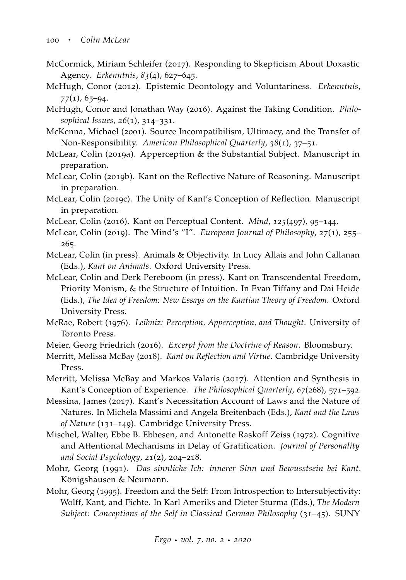- <span id="page-65-8"></span>McCormick, Miriam Schleifer (2017). Responding to Skepticism About Doxastic Agency. *Erkenntnis*, *83*(4), 627–645.
- <span id="page-65-7"></span>McHugh, Conor (2012). Epistemic Deontology and Voluntariness. *Erkenntnis*, *77*(1), 65–94.
- <span id="page-65-11"></span>McHugh, Conor and Jonathan Way (2016). Against the Taking Condition. *Philosophical Issues*, *26*(1), 314–331.
- <span id="page-65-4"></span>McKenna, Michael (2001). Source Incompatibilism, Ultimacy, and the Transfer of Non-Responsibility. *American Philosophical Quarterly*, *38*(1), 37–51.
- <span id="page-65-13"></span>McLear, Colin (2019a). Apperception & the Substantial Subject. Manuscript in preparation.
- <span id="page-65-10"></span>McLear, Colin (2019b). Kant on the Reflective Nature of Reasoning. Manuscript in preparation.
- <span id="page-65-9"></span>McLear, Colin (2019c). The Unity of Kant's Conception of Reflection. Manuscript in preparation.
- <span id="page-65-15"></span>McLear, Colin (2016). Kant on Perceptual Content. *Mind*, *125*(497), 95–144.
- <span id="page-65-14"></span>McLear, Colin (2019). The Mind's "I". *European Journal of Philosophy*, *27*(1), 255– 265.
- <span id="page-65-16"></span>McLear, Colin (in press). Animals & Objectivity. In Lucy Allais and John Callanan (Eds.), *Kant on Animals*. Oxford University Press.
- <span id="page-65-5"></span>McLear, Colin and Derk Pereboom (in press). Kant on Transcendental Freedom, Priority Monism, & the Structure of Intuition. In Evan Tiffany and Dai Heide (Eds.), *The Idea of Freedom: New Essays on the Kantian Theory of Freedom*. Oxford University Press.
- <span id="page-65-6"></span>McRae, Robert (1976). *Leibniz: Perception, Apperception, and Thought*. University of Toronto Press.
- <span id="page-65-12"></span>Meier, Georg Friedrich (2016). *Excerpt from the Doctrine of Reason*. Bloomsbury.
- <span id="page-65-1"></span>Merritt, Melissa McBay (2018). *Kant on Reflection and Virtue*. Cambridge University Press.
- <span id="page-65-2"></span>Merritt, Melissa McBay and Markos Valaris (2017). Attention and Synthesis in Kant's Conception of Experience. *The Philosophical Quarterly*, *67*(268), 571–592.
- <span id="page-65-0"></span>Messina, James (2017). Kant's Necessitation Account of Laws and the Nature of Natures. In Michela Massimi and Angela Breitenbach (Eds.), *Kant and the Laws of Nature* (131–149). Cambridge University Press.
- <span id="page-65-3"></span>Mischel, Walter, Ebbe B. Ebbesen, and Antonette Raskoff Zeiss (1972). Cognitive and Attentional Mechanisms in Delay of Gratification. *Journal of Personality and Social Psychology*, *21*(2), 204–218.
- <span id="page-65-17"></span>Mohr, Georg (1991). *Das sinnliche Ich: innerer Sinn und Bewusstsein bei Kant*. Königshausen & Neumann.
- <span id="page-65-18"></span>Mohr, Georg (1995). Freedom and the Self: From Introspection to Intersubjectivity: Wolff, Kant, and Fichte. In Karl Ameriks and Dieter Sturma (Eds.), *The Modern Subject: Conceptions of the Self in Classical German Philosophy* (31–45). SUNY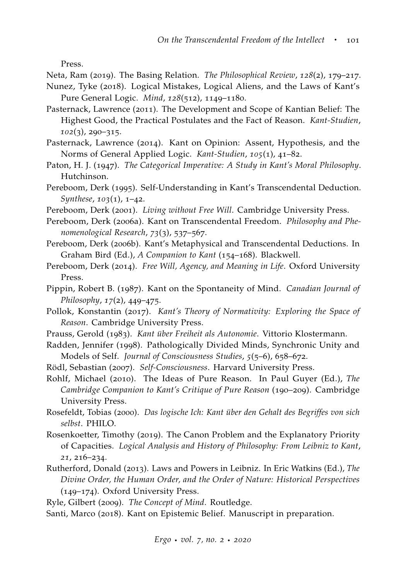Press.

<span id="page-66-9"></span>Neta, Ram (2019). The Basing Relation. *The Philosophical Review*, *128*(2), 179–217.

- <span id="page-66-14"></span>Nunez, Tyke (2018). Logical Mistakes, Logical Aliens, and the Laws of Kant's Pure General Logic. *Mind*, *128*(512), 1149–1180.
- <span id="page-66-0"></span>Pasternack, Lawrence (2011). The Development and Scope of Kantian Belief: The Highest Good, the Practical Postulates and the Fact of Reason. *Kant-Studien*, *102*(3), 290–315.
- <span id="page-66-18"></span>Pasternack, Lawrence (2014). Kant on Opinion: Assent, Hypothesis, and the Norms of General Applied Logic. *Kant-Studien*, *105*(1), 41–82.
- <span id="page-66-2"></span>Paton, H. J. (1947). *The Categorical Imperative: A Study in Kant's Moral Philosophy*. Hutchinson.
- <span id="page-66-8"></span>Pereboom, Derk (1995). Self-Understanding in Kant's Transcendental Deduction. *Synthese*, *103*(1), 1–42.

<span id="page-66-5"></span>Pereboom, Derk (2001). *Living without Free Will*. Cambridge University Press.

- <span id="page-66-4"></span>Pereboom, Derk (2006a). Kant on Transcendental Freedom. *Philosophy and Phenomenological Research*, *73*(3), 537–567.
- <span id="page-66-6"></span>Pereboom, Derk (2006b). Kant's Metaphysical and Transcendental Deductions. In Graham Bird (Ed.), *A Companion to Kant* (154–168). Blackwell.
- <span id="page-66-7"></span>Pereboom, Derk (2014). *Free Will, Agency, and Meaning in Life*. Oxford University Press.
- <span id="page-66-10"></span>Pippin, Robert B. (1987). Kant on the Spontaneity of Mind. *Canadian Journal of Philosophy*, *17*(2), 449–475.
- <span id="page-66-13"></span>Pollok, Konstantin (2017). *Kant's Theory of Normativity: Exploring the Space of Reason*. Cambridge University Press.
- <span id="page-66-20"></span>Prauss, Gerold (1983). *Kant über Freiheit als Autonomie*. Vittorio Klostermann.
- <span id="page-66-16"></span>Radden, Jennifer (1998). Pathologically Divided Minds, Synchronic Unity and Models of Self. *Journal of Consciousness Studies*, *5*(5–6), 658–672.
- <span id="page-66-11"></span>Rödl, Sebastian (2007). *Self-Consciousness*. Harvard University Press.
- <span id="page-66-12"></span>Rohlf, Michael (2010). The Ideas of Pure Reason. In Paul Guyer (Ed.), *The Cambridge Companion to Kant's Critique of Pure Reason* (190–209). Cambridge University Press.
- <span id="page-66-15"></span>Rosefeldt, Tobias (2000). *Das logische Ich: Kant über den Gehalt des Begriffes von sich selbst*. PHILO.
- <span id="page-66-3"></span>Rosenkoetter, Timothy (2019). The Canon Problem and the Explanatory Priority of Capacities. *Logical Analysis and History of Philosophy: From Leibniz to Kant*, *21*, 216–234.
- <span id="page-66-1"></span>Rutherford, Donald (2013). Laws and Powers in Leibniz. In Eric Watkins (Ed.), *The Divine Order, the Human Order, and the Order of Nature: Historical Perspectives* (149–174). Oxford University Press.

<span id="page-66-17"></span>Ryle, Gilbert (2009). *The Concept of Mind*. Routledge.

<span id="page-66-19"></span>Santi, Marco (2018). Kant on Epistemic Belief. Manuscript in preparation.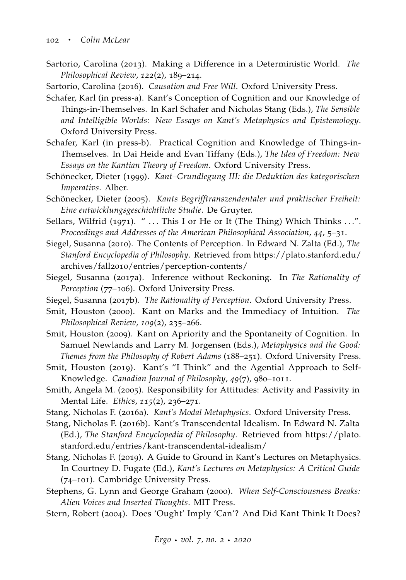<span id="page-67-7"></span>Sartorio, Carolina (2013). Making a Difference in a Deterministic World. *The Philosophical Review*, *122*(2), 189–214.

<span id="page-67-8"></span>Sartorio, Carolina (2016). *Causation and Free Will*. Oxford University Press.

- <span id="page-67-16"></span>Schafer, Karl (in press-a). Kant's Conception of Cognition and our Knowledge of Things-in-Themselves. In Karl Schafer and Nicholas Stang (Eds.), *The Sensible and Intelligible Worlds: New Essays on Kant's Metaphysics and Epistemology*. Oxford University Press.
- <span id="page-67-17"></span>Schafer, Karl (in press-b). Practical Cognition and Knowledge of Things-in-Themselves. In Dai Heide and Evan Tiffany (Eds.), *The Idea of Freedom: New Essays on the Kantian Theory of Freedom*. Oxford University Press.
- <span id="page-67-0"></span>Schönecker, Dieter (1999). *Kant–Grundlegung III: die Deduktion des kategorischen Imperativs*. Alber.
- <span id="page-67-4"></span>Schönecker, Dieter (2005). *Kants Begrifftranszendentaler und praktischer Freiheit: Eine entwicklungsgeschichtliche Studie*. De Gruyter.
- <span id="page-67-6"></span>Sellars, Wilfrid (1971). " ... This I or He or It (The Thing) Which Thinks ...". *Proceedings and Addresses of the American Philosophical Association*, *44*, 5–31.
- <span id="page-67-18"></span>Siegel, Susanna (2010). The Contents of Perception. In Edward N. Zalta (Ed.), *The Stanford Encyclopedia of Philosophy*. Retrieved from [https://plato.stanford.edu/](https://plato.stanford.edu/archives/fall2010/entries/perception-contents/) archives/fall2010[/entries/perception-contents/](https://plato.stanford.edu/archives/fall2010/entries/perception-contents/)
- <span id="page-67-14"></span>Siegel, Susanna (2017a). Inference without Reckoning. In *The Rationality of Perception* (77–106). Oxford University Press.
- <span id="page-67-11"></span>Siegel, Susanna (2017b). *The Rationality of Perception*. Oxford University Press.
- <span id="page-67-13"></span>Smit, Houston (2000). Kant on Marks and the Immediacy of Intuition. *The Philosophical Review*, *109*(2), 235–266.
- <span id="page-67-1"></span>Smit, Houston (2009). Kant on Apriority and the Spontaneity of Cognition. In Samuel Newlands and Larry M. Jorgensen (Eds.), *Metaphysics and the Good: Themes from the Philosophy of Robert Adams* (188–251). Oxford University Press.
- <span id="page-67-10"></span>Smit, Houston (2019). Kant's "I Think" and the Agential Approach to Self-Knowledge. *Canadian Journal of Philosophy*, *49*(7), 980–1011.
- <span id="page-67-12"></span>Smith, Angela M. (2005). Responsibility for Attitudes: Activity and Passivity in Mental Life. *Ethics*, *115*(2), 236–271.
- <span id="page-67-3"></span>Stang, Nicholas F. (2016a). *Kant's Modal Metaphysics*. Oxford University Press.
- <span id="page-67-5"></span>Stang, Nicholas F. (2016b). Kant's Transcendental Idealism. In Edward N. Zalta (Ed.), *The Stanford Encyclopedia of Philosophy*. Retrieved from [https://plato.](https://plato.stanford.edu/entries/kant-transcendental-idealism/) [stanford.edu/entries/kant-transcendental-idealism/](https://plato.stanford.edu/entries/kant-transcendental-idealism/)
- <span id="page-67-2"></span>Stang, Nicholas F. (2019). A Guide to Ground in Kant's Lectures on Metaphysics. In Courtney D. Fugate (Ed.), *Kant's Lectures on Metaphysics: A Critical Guide* (74–101). Cambridge University Press.
- <span id="page-67-15"></span>Stephens, G. Lynn and George Graham (2000). *When Self-Consciousness Breaks: Alien Voices and Inserted Thoughts*. MIT Press.
- <span id="page-67-9"></span>Stern, Robert (2004). Does 'Ought' Imply 'Can'? And Did Kant Think It Does?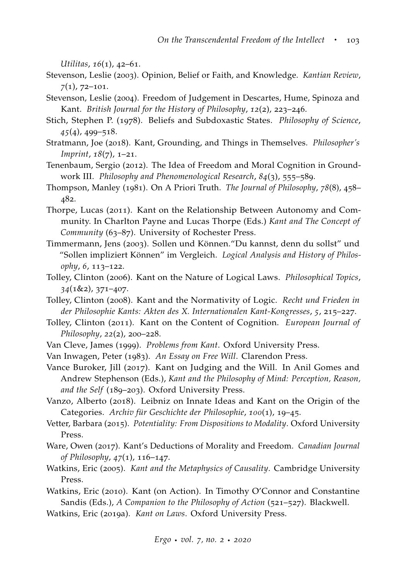*Utilitas*, *16*(1), 42–61.

- <span id="page-68-1"></span>Stevenson, Leslie (2003). Opinion, Belief or Faith, and Knowledge. *Kantian Review*, *7*(1), 72–101.
- <span id="page-68-9"></span>Stevenson, Leslie (2004). Freedom of Judgement in Descartes, Hume, Spinoza and Kant. *British Journal for the History of Philosophy*, *12*(2), 223–246.
- <span id="page-68-11"></span>Stich, Stephen P. (1978). Beliefs and Subdoxastic States. *Philosophy of Science*, *45*(4), 499–518.
- <span id="page-68-7"></span>Stratmann, Joe (2018). Kant, Grounding, and Things in Themselves. *Philosopher's Imprint*, *18*(7), 1–21.
- <span id="page-68-18"></span>Tenenbaum, Sergio (2012). The Idea of Freedom and Moral Cognition in Groundwork III. *Philosophy and Phenomenological Research*, *84*(3), 555–589.
- <span id="page-68-14"></span>Thompson, Manley (1981). On A Priori Truth. *The Journal of Philosophy*, *78*(8), 458– 482.
- <span id="page-68-6"></span>Thorpe, Lucas (2011). Kant on the Relationship Between Autonomy and Community. In Charlton Payne and Lucas Thorpe (Eds.) *Kant and The Concept of Community* (63–87). University of Rochester Press.
- <span id="page-68-8"></span>Timmermann, Jens (2003). Sollen und Können."Du kannst, denn du sollst" und "Sollen impliziert Können" im Vergleich. *Logical Analysis and History of Philosophy*, *6*, 113–122.
- <span id="page-68-12"></span>Tolley, Clinton (2006). Kant on the Nature of Logical Laws. *Philosophical Topics*, *34*(1&2), 371–407.
- <span id="page-68-13"></span>Tolley, Clinton (2008). Kant and the Normativity of Logic. *Recht und Frieden in der Philosophie Kants: Akten des X. Internationalen Kant-Kongresses*, *5*, 215–227.
- <span id="page-68-15"></span>Tolley, Clinton (2011). Kant on the Content of Cognition. *European Journal of Philosophy*, *22*(2), 200–228.
- <span id="page-68-0"></span>Van Cleve, James (1999). *Problems from Kant*. Oxford University Press.
- <span id="page-68-5"></span>Van Inwagen, Peter (1983). *An Essay on Free Will*. Clarendon Press.
- <span id="page-68-10"></span>Vance Buroker, Jill (2017). Kant on Judging and the Will. In Anil Gomes and Andrew Stephenson (Eds.), *Kant and the Philosophy of Mind: Perception, Reason, and the Self* (189–203). Oxford University Press.
- <span id="page-68-16"></span>Vanzo, Alberto (2018). Leibniz on Innate Ideas and Kant on the Origin of the Categories. *Archiv für Geschichte der Philosophie*, *100*(1), 19–45.
- <span id="page-68-17"></span>Vetter, Barbara (2015). *Potentiality: From Dispositions to Modality*. Oxford University Press.
- <span id="page-68-19"></span>Ware, Owen (2017). Kant's Deductions of Morality and Freedom. *Canadian Journal of Philosophy*, *47*(1), 116–147.
- <span id="page-68-2"></span>Watkins, Eric (2005). *Kant and the Metaphysics of Causality*. Cambridge University Press.
- <span id="page-68-3"></span>Watkins, Eric (2010). Kant (on Action). In Timothy O'Connor and Constantine Sandis (Eds.), *A Companion to the Philosophy of Action* (521–527). Blackwell.
- <span id="page-68-4"></span>Watkins, Eric (2019a). *Kant on Laws*. Oxford University Press.